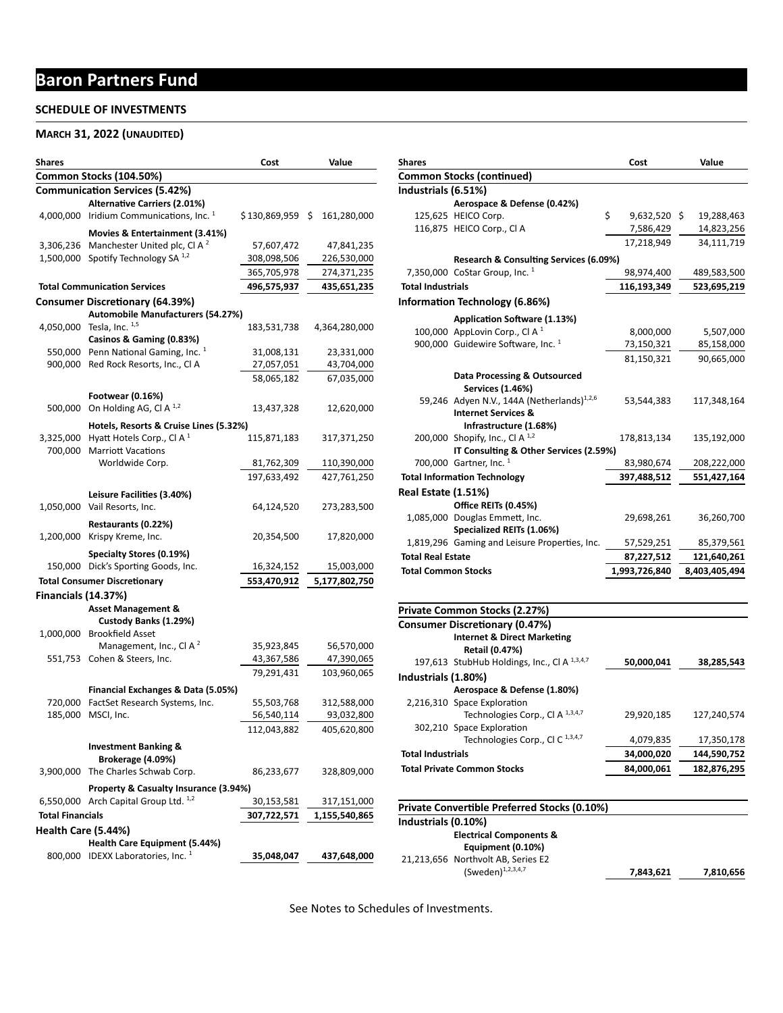# **Baron Partners Fund**

### **SCHEDULE OF INVESTMENTS**

#### **MARCH 31, 2022 (UNAUDITED)**

| Shares                     |                                            | Cost            | Value         |
|----------------------------|--------------------------------------------|-----------------|---------------|
|                            | Common Stocks (104.50%)                    |                 |               |
|                            | <b>Communication Services (5.42%)</b>      |                 |               |
|                            | <b>Alternative Carriers (2.01%)</b>        |                 |               |
| 4,000,000                  | Iridium Communications, Inc. 1             | \$130,869,959\$ | 161,280,000   |
|                            | Movies & Entertainment (3.41%)             |                 |               |
|                            | 3,306,236 Manchester United plc, Cl A $^2$ | 57,607,472      | 47,841,235    |
| 1,500,000                  | Spotify Technology SA <sup>1,2</sup>       | 308,098,506     | 226,530,000   |
|                            |                                            | 365,705,978     | 274,371,235   |
|                            | <b>Total Communication Services</b>        | 496,575,937     | 435,651,235   |
|                            | <b>Consumer Discretionary (64.39%)</b>     |                 |               |
|                            | Automobile Manufacturers (54.27%)          |                 |               |
| 4,050,000                  | Tesla, Inc. $1,5$                          | 183,531,738     | 4,364,280,000 |
|                            | Casinos & Gaming (0.83%)                   |                 |               |
|                            | 550,000 Penn National Gaming, Inc. 1       | 31,008,131      | 23,331,000    |
|                            | 900,000 Red Rock Resorts, Inc., Cl A       | 27,057,051      | 43,704,000    |
|                            |                                            | 58,065,182      | 67,035,000    |
|                            | Footwear (0.16%)                           |                 |               |
| 500,000                    | On Holding AG, Cl A $^{1,2}$               | 13,437,328      | 12,620,000    |
|                            | Hotels, Resorts & Cruise Lines (5.32%)     |                 |               |
| 3,325,000                  | Hyatt Hotels Corp., Cl A $1$               | 115,871,183     | 317,371,250   |
| 700,000                    | <b>Marriott Vacations</b>                  |                 |               |
|                            | Worldwide Corp.                            | 81,762,309      | 110,390,000   |
|                            |                                            | 197,633,492     | 427,761,250   |
|                            | Leisure Facilities (3.40%)                 |                 |               |
|                            | 1,050,000 Vail Resorts, Inc.               | 64,124,520      | 273,283,500   |
|                            | Restaurants (0.22%)                        |                 |               |
|                            | 1,200,000 Krispy Kreme, Inc.               | 20,354,500      | 17,820,000    |
|                            | Specialty Stores (0.19%)                   |                 |               |
|                            | 150,000 Dick's Sporting Goods, Inc.        | 16,324,152      | 15,003,000    |
|                            | <b>Total Consumer Discretionary</b>        | 553,470,912     | 5,177,802,750 |
| <b>Financials (14.37%)</b> |                                            |                 |               |
|                            | <b>Asset Management &amp;</b>              |                 |               |
|                            | Custody Banks (1.29%)                      |                 |               |
|                            | 1,000,000 Brookfield Asset                 |                 |               |
|                            | Management, Inc., Cl A <sup>2</sup>        | 35,923,845      | 56,570,000    |
|                            | 551,753 Cohen & Steers, Inc.               | 43,367,586      | 47,390,065    |
|                            |                                            | 79,291,431      | 103,960,065   |
|                            | Financial Exchanges & Data (5.05%)         |                 |               |
| 720,000                    | FactSet Research Systems, Inc.             | 55,503,768      | 312,588,000   |
| 185,000                    | MSCI, Inc.                                 | 56,540,114      | 93,032,800    |
|                            |                                            | 112,043,882     | 405,620,800   |
|                            | <b>Investment Banking &amp;</b>            |                 |               |
|                            | Brokerage (4.09%)                          |                 |               |
| 3,900,000                  | The Charles Schwab Corp.                   | 86,233,677      | 328,809,000   |
|                            | Property & Casualty Insurance (3.94%)      |                 |               |
| 6,550,000                  | Arch Capital Group Ltd. 1,2                | 30,153,581      | 317,151,000   |
| <b>Total Financials</b>    |                                            | 307,722,571     | 1,155,540,865 |
| Health Care (5.44%)        |                                            |                 |               |
|                            | <b>Health Care Equipment (5.44%)</b>       |                 |               |
| 800,000                    | IDEXX Laboratories, Inc. 1                 | 35,048,047      | 437,648,000   |

| <b>Shares</b>              |                                                          | Cost                 | Value         |
|----------------------------|----------------------------------------------------------|----------------------|---------------|
|                            | <b>Common Stocks (continued)</b>                         |                      |               |
| Industrials (6.51%)        |                                                          |                      |               |
|                            | Aerospace & Defense (0.42%)                              |                      |               |
|                            | 125,625 HEICO Corp.                                      | \$<br>$9,632,520$ \$ | 19,288,463    |
|                            | 116,875 HEICO Corp., Cl A                                | 7,586,429            | 14,823,256    |
|                            |                                                          | 17,218,949           | 34,111,719    |
|                            | Research & Consulting Services (6.09%)                   |                      |               |
|                            | 7,350,000 CoStar Group, Inc. $1$                         | 98,974,400           | 489,583,500   |
| <b>Total Industrials</b>   |                                                          | 116,193,349          | 523,695,219   |
|                            | <b>Information Technology (6.86%)</b>                    |                      |               |
|                            | Application Software (1.13%)                             |                      |               |
|                            | 100,000 AppLovin Corp., Cl A $1$                         | 8,000,000            | 5,507,000     |
|                            | 900,000 Guidewire Software, Inc. 1                       | 73,150,321           | 85,158,000    |
|                            |                                                          | 81,150,321           | 90,665,000    |
|                            | <b>Data Processing &amp; Outsourced</b>                  |                      |               |
|                            | <b>Services (1.46%)</b>                                  |                      |               |
|                            | 59,246 Adven N.V., 144A (Netherlands) <sup>1,2,6</sup>   | 53,544,383           | 117,348,164   |
|                            | <b>Internet Services &amp;</b><br>Infrastructure (1.68%) |                      |               |
|                            | 200,000 Shopify, Inc., Cl A $^{1,2}$                     | 178,813,134          | 135,192,000   |
|                            | IT Consulting & Other Services (2.59%)                   |                      |               |
|                            | 700,000 Gartner, Inc. 1                                  | 83,980,674           | 208,222,000   |
|                            | <b>Total Information Technology</b>                      | 397,488,512          | 551,427,164   |
| Real Estate (1.51%)        |                                                          |                      |               |
|                            | Office REITs (0.45%)                                     |                      |               |
|                            | 1,085,000 Douglas Emmett, Inc.                           | 29,698,261           | 36,260,700    |
|                            | Specialized REITs (1.06%)                                |                      |               |
|                            | 1,819,296 Gaming and Leisure Properties, Inc.            | 57,529,251           | 85,379,561    |
| <b>Total Real Estate</b>   |                                                          | 87,227,512           | 121,640,261   |
| <b>Total Common Stocks</b> |                                                          | 1,993,726,840        | 8,403,405,494 |

|                          | <b>Consumer Discretionary (0.47%)</b>             |            |             |
|--------------------------|---------------------------------------------------|------------|-------------|
|                          | <b>Internet &amp; Direct Marketing</b>            |            |             |
|                          | <b>Retail (0.47%)</b>                             |            |             |
|                          | 197,613 StubHub Holdings, Inc., CI A $^{1,3,4,7}$ | 50,000,041 | 38,285,543  |
| Industrials (1.80%)      |                                                   |            |             |
|                          | Aerospace & Defense (1.80%)                       |            |             |
|                          | 2,216,310 Space Exploration                       |            |             |
|                          | Technologies Corp., CI A $^{1,3,4,7}$             | 29.920.185 | 127.240.574 |
|                          | 302,210 Space Exploration                         |            |             |
|                          | Technologies Corp., CI C $^{1,3,4,7}$             | 4,079,835  | 17,350,178  |
| <b>Total Industrials</b> |                                                   | 34,000,020 | 144,590,752 |
|                          | <b>Total Private Common Stocks</b>                | 84.000.061 | 182,876,295 |

| <b>Private Convertible Preferred Stocks (0.10%)</b> |           |           |  |
|-----------------------------------------------------|-----------|-----------|--|
| Industrials (0.10%)                                 |           |           |  |
| <b>Electrical Components &amp;</b>                  |           |           |  |
| Equipment (0.10%)                                   |           |           |  |
| 21,213,656 Northvolt AB, Series E2                  |           |           |  |
| (Sweden) $1,2,3,4,7$                                | 7,843,621 | 7,810,656 |  |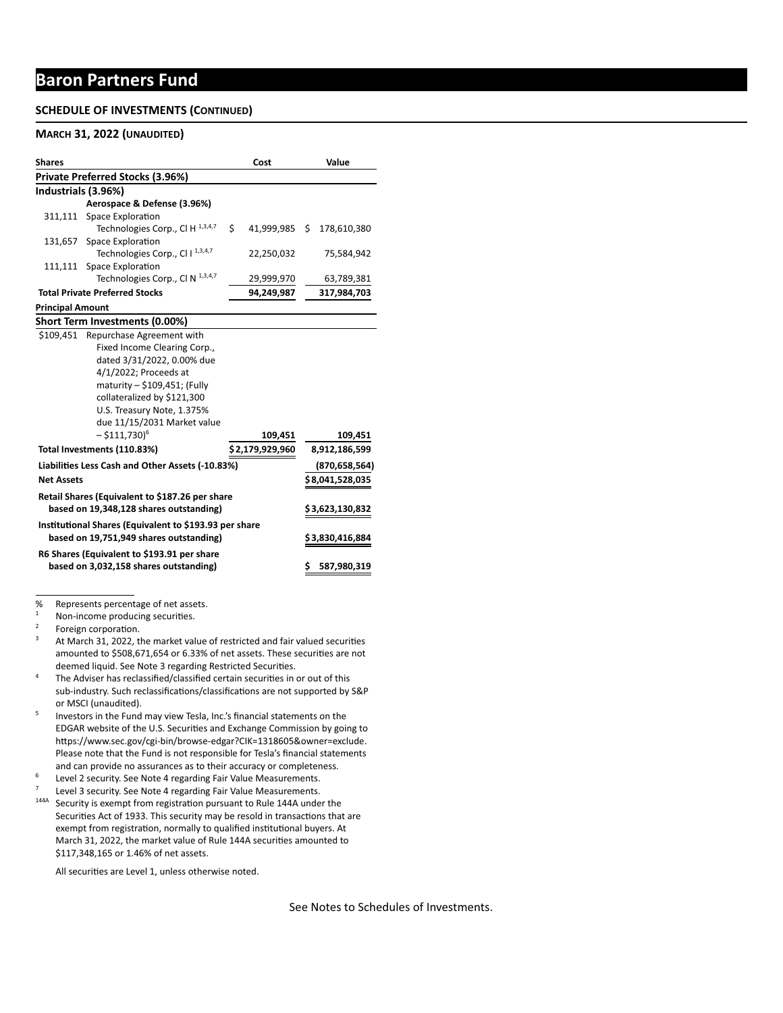### **Baron Partners Fund**

#### **SCHEDULE OF INVESTMENTS (CONTINUED)**

#### **MARCH 31, 2022 (UNAUDITED)**

| <b>Shares</b>                               |                                                        | Cost                | Value           |  |
|---------------------------------------------|--------------------------------------------------------|---------------------|-----------------|--|
|                                             | Private Preferred Stocks (3.96%)                       |                     |                 |  |
| Industrials (3.96%)                         |                                                        |                     |                 |  |
|                                             | Aerospace & Defense (3.96%)                            |                     |                 |  |
|                                             | 311,111 Space Exploration                              |                     |                 |  |
|                                             | Technologies Corp., Cl H 1,3,4,7                       | Ś.<br>41,999,985 \$ | 178,610,380     |  |
| 131,657                                     | <b>Space Exploration</b>                               |                     |                 |  |
|                                             | Technologies Corp., Cl I 1,3,4,7                       | 22,250,032          | 75,584,942      |  |
| 111,111                                     | Space Exploration                                      |                     |                 |  |
|                                             | Technologies Corp., Cl N 1,3,4,7                       | 29,999,970          | 63,789,381      |  |
|                                             | <b>Total Private Preferred Stocks</b>                  | 94,249,987          | 317,984,703     |  |
| <b>Principal Amount</b>                     |                                                        |                     |                 |  |
|                                             | Short Term Investments (0.00%)                         |                     |                 |  |
| \$109.451                                   | Repurchase Agreement with                              |                     |                 |  |
|                                             | Fixed Income Clearing Corp.,                           |                     |                 |  |
|                                             | dated 3/31/2022, 0.00% due                             |                     |                 |  |
|                                             | 4/1/2022; Proceeds at                                  |                     |                 |  |
|                                             | maturity - \$109,451; (Fully                           |                     |                 |  |
|                                             | collateralized by \$121,300                            |                     |                 |  |
|                                             | U.S. Treasury Note, 1.375%                             |                     |                 |  |
|                                             | due 11/15/2031 Market value                            |                     |                 |  |
|                                             | $-$ \$111,730) <sup>6</sup>                            | 109,451             | 109,451         |  |
|                                             | Total Investments (110.83%)                            | \$2,179,929,960     | 8,912,186,599   |  |
|                                             | Liabilities Less Cash and Other Assets (-10.83%)       |                     | (870, 658, 564) |  |
| <b>Net Assets</b>                           |                                                        |                     | \$8,041,528,035 |  |
|                                             | Retail Shares (Equivalent to \$187.26 per share        |                     |                 |  |
| based on 19,348,128 shares outstanding)     |                                                        | \$3,623,130,832     |                 |  |
|                                             | Institutional Shares (Equivalent to \$193.93 per share |                     |                 |  |
| based on 19,751,949 shares outstanding)     |                                                        |                     | \$3,830,416,884 |  |
| R6 Shares (Equivalent to \$193.91 per share |                                                        |                     |                 |  |
| based on 3,032,158 shares outstanding)      |                                                        |                     | 587,980,319     |  |

% Represents percentage of net assets.<br> $\frac{1}{1}$  New income are due in a securities.

- $3$  At March 31, 2022, the market value of restricted and fair valued securities amounted to \$508,671,654 or 6.33% of net assets. These securities are not deemed liquid. See Note 3 regarding Restricted Securities.
- <sup>4</sup> The Adviser has reclassified/classified certain securities in or out of this sub-industry. Such reclassifications/classifications are not supported by S&P or MSCI (unaudited).
- <sup>5</sup> Investors in the Fund may view Tesla, Inc.'s financial statements on the EDGAR website of the U.S. Securities and Exchange Commission by going to https://www.sec.gov/cgi-bin/browse-edgar?CIK=1318605&owner=exclude. Please note that the Fund is not responsible for Tesla's financial statements and can provide no assurances as to their accuracy or completeness.
- <sup>6</sup> Level 2 security. See Note 4 regarding Fair Value Measurements.
- Level 3 security. See Note 4 regarding Fair Value Measurements.
- <sup>144A</sup> Security is exempt from registration pursuant to Rule 144A under the Securities Act of 1933. This security may be resold in transactions that are exempt from registration, normally to qualified institutional buyers. At March 31, 2022, the market value of Rule 144A securities amounted to \$117,348,165 or 1.46% of net assets.

All securities are Level 1, unless otherwise noted.

 $1$  Non-income producing securities.

 $2^2$  Foreign corporation.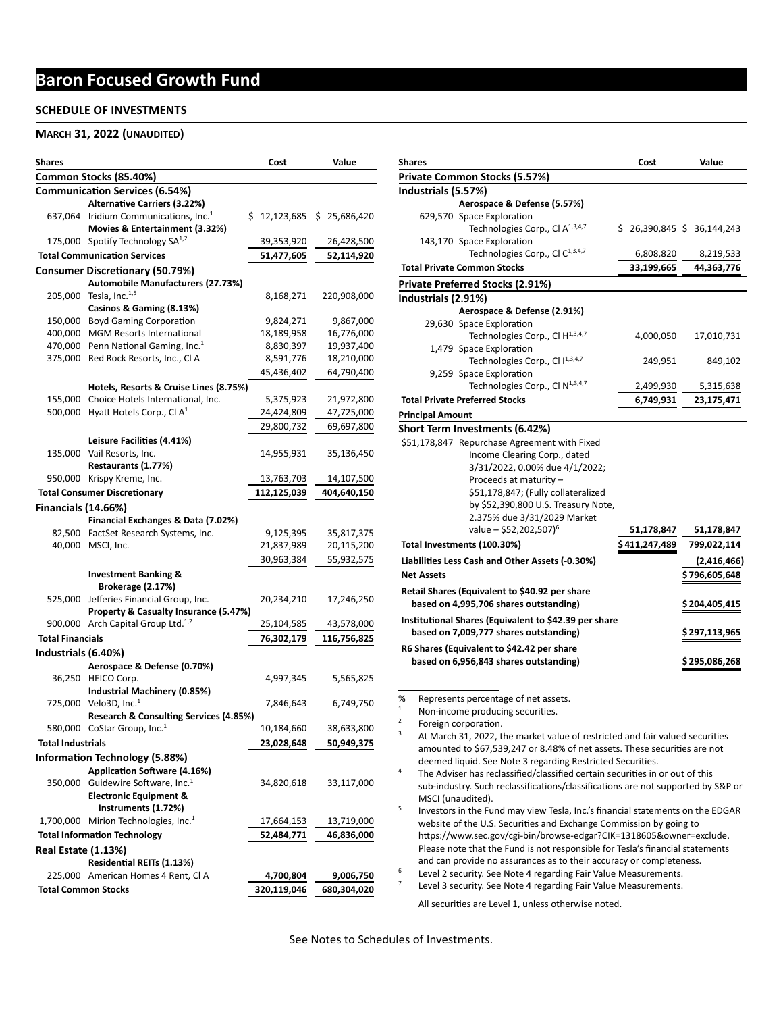## **Baron Focused Growth Fund**

#### **SCHEDULE OF INVESTMENTS**

#### **MARCH 31, 2022 (UNAUDITED)**

| Shares                     |                                                                             | Cost         | Value        |
|----------------------------|-----------------------------------------------------------------------------|--------------|--------------|
|                            | Common Stocks (85.40%)                                                      |              |              |
|                            | <b>Communication Services (6.54%)</b>                                       |              |              |
|                            | <b>Alternative Carriers (3.22%)</b>                                         |              |              |
|                            | 637,064 Iridium Communications, Inc. <sup>1</sup>                           | \$12,123,685 | \$25,686,420 |
|                            | Movies & Entertainment (3.32%)                                              |              |              |
|                            | 175,000 Spotify Technology SA <sup>1,2</sup>                                | 39,353,920   | 26,428,500   |
|                            | <b>Total Communication Services</b>                                         | 51,477,605   | 52,114,920   |
|                            | Consumer Discretionary (50.79%)                                             |              |              |
|                            | Automobile Manufacturers (27.73%)                                           |              |              |
| 205,000                    | Tesla, Inc. <sup>1,5</sup>                                                  | 8,168,271    | 220,908,000  |
|                            | Casinos & Gaming (8.13%)                                                    |              |              |
|                            | 150,000 Boyd Gaming Corporation                                             | 9,824,271    | 9,867,000    |
| 400,000                    | <b>MGM Resorts International</b>                                            | 18,189,958   | 16,776,000   |
|                            | 470,000 Penn National Gaming, Inc. <sup>1</sup>                             | 8,830,397    | 19,937,400   |
| 375,000                    | Red Rock Resorts, Inc., Cl A                                                | 8,591,776    | 18,210,000   |
|                            |                                                                             | 45,436,402   | 64,790,400   |
|                            | Hotels, Resorts & Cruise Lines (8.75%)                                      |              |              |
|                            | 155,000 Choice Hotels International, Inc.                                   | 5,375,923    | 21,972,800   |
|                            | 500,000 Hyatt Hotels Corp., Cl $A^1$                                        | 24,424,809   | 47,725,000   |
|                            |                                                                             | 29,800,732   | 69,697,800   |
|                            | Leisure Facilities (4.41%)                                                  |              |              |
|                            | 135,000 Vail Resorts, Inc.                                                  | 14,955,931   | 35,136,450   |
|                            | Restaurants (1.77%)                                                         |              |              |
|                            | 950,000 Krispy Kreme, Inc.                                                  | 13,763,703   | 14,107,500   |
|                            | <b>Total Consumer Discretionary</b>                                         | 112,125,039  | 404,640,150  |
| <b>Financials (14.66%)</b> |                                                                             |              |              |
|                            | Financial Exchanges & Data (7.02%)                                          |              |              |
|                            | 82,500 FactSet Research Systems, Inc.                                       | 9,125,395    | 35,817,375   |
|                            | 40,000 MSCI, Inc.                                                           | 21,837,989   | 20,115,200   |
|                            |                                                                             |              |              |
|                            |                                                                             | 30,963,384   | 55,932,575   |
|                            | <b>Investment Banking &amp;</b>                                             |              |              |
|                            | Brokerage (2.17%)<br>525,000 Jefferies Financial Group, Inc.                |              |              |
|                            | Property & Casualty Insurance (5.47%)                                       | 20,234,210   | 17,246,250   |
|                            | 900,000 Arch Capital Group Ltd. <sup>1,2</sup>                              | 25,104,585   |              |
| <b>Total Financials</b>    |                                                                             |              | 43,578,000   |
|                            |                                                                             | 76,302,179   | 116,756,825  |
| Industrials (6.40%)        |                                                                             |              |              |
|                            | Aerospace & Defense (0.70%)                                                 |              |              |
| 36,250                     | HEICO Corp.                                                                 | 4,997,345    | 5,565,825    |
|                            | Industrial Machinery (0.85%)                                                |              |              |
|                            | 725,000 Velo3D, Inc. <sup>1</sup><br>Research & Consulting Services (4.85%) | 7,846,643    | 6,749,750    |
|                            | 580,000 CoStar Group, Inc. <sup>1</sup>                                     | 10,184,660   | 38,633,800   |
|                            |                                                                             |              |              |
| Total Industrials          |                                                                             | 23,028,648   | 50,949,375   |
|                            | <b>Information Technology (5.88%)</b>                                       |              |              |
|                            | <b>Application Software (4.16%)</b>                                         |              |              |
| 350,000                    | Guidewire Software, Inc. <sup>1</sup>                                       | 34,820,618   | 33,117,000   |
|                            | <b>Electronic Equipment &amp;</b>                                           |              |              |
|                            | Instruments (1.72%)                                                         |              |              |
|                            | 1,700,000 Mirion Technologies, Inc. <sup>1</sup>                            | 17,664,153   | 13,719,000   |
|                            | <b>Total Information Technology</b>                                         | 52,484,771   | 46,836,000   |
| Real Estate (1.13%)        |                                                                             |              |              |
|                            | Residential REITs (1.13%)                                                   |              |              |
|                            | 225,000 American Homes 4 Rent, Cl A                                         | 4,700,804    | 9,006,750    |
| <b>Total Common Stocks</b> |                                                                             | 320,119,046  | 680,304,020  |

| Shares                       |                                                                              | Cost          | Value                     |
|------------------------------|------------------------------------------------------------------------------|---------------|---------------------------|
|                              | Private Common Stocks (5.57%)                                                |               |                           |
| Industrials (5.57%)          |                                                                              |               |                           |
|                              | Aerospace & Defense (5.57%)                                                  |               |                           |
|                              | 629,570 Space Exploration                                                    |               |                           |
|                              | Technologies Corp., Cl A <sup>1,3,4,7</sup>                                  |               | \$26,390,845 \$36,144,243 |
|                              | 143,170 Space Exploration                                                    |               |                           |
|                              | Technologies Corp., Cl C <sup>1,3,4,7</sup>                                  | 6,808,820     | 8,219,533                 |
|                              | <b>Total Private Common Stocks</b>                                           | 33,199,665    | 44,363,776                |
|                              | Private Preferred Stocks (2.91%)                                             |               |                           |
| Industrials (2.91%)          |                                                                              |               |                           |
|                              | Aerospace & Defense (2.91%)                                                  |               |                           |
|                              | 29,630 Space Exploration                                                     |               |                           |
|                              | Technologies Corp., Cl H <sup>1,3,4,7</sup>                                  | 4,000,050     | 17,010,731                |
|                              | 1,479 Space Exploration                                                      |               |                           |
|                              | Technologies Corp., Cl I <sup>1,3,4,7</sup>                                  | 249,951       | 849,102                   |
|                              | 9,259 Space Exploration                                                      |               |                           |
|                              | Technologies Corp., Cl N <sup>1,3,4,7</sup>                                  | 2,499,930     | 5,315,638                 |
|                              | <b>Total Private Preferred Stocks</b>                                        | 6,749,931     | 23,175,471                |
| <b>Principal Amount</b>      |                                                                              |               |                           |
|                              | Short Term Investments (6.42%)                                               |               |                           |
|                              | \$51,178,847 Repurchase Agreement with Fixed                                 |               |                           |
|                              | Income Clearing Corp., dated                                                 |               |                           |
|                              | 3/31/2022, 0.00% due 4/1/2022;                                               |               |                           |
|                              | Proceeds at maturity -                                                       |               |                           |
|                              | \$51,178,847; (Fully collateralized                                          |               |                           |
|                              | by \$52,390,800 U.S. Treasury Note,                                          |               |                           |
|                              | 2.375% due 3/31/2029 Market                                                  |               |                           |
|                              | value – \$52,202,507) <sup>6</sup>                                           | 51,178,847    | 51,178,847                |
|                              | Total Investments (100.30%)                                                  | \$411,247,489 | 799,022,114               |
|                              | Liabilities Less Cash and Other Assets (-0.30%)                              |               | (2,416,466)               |
| <b>Net Assets</b>            |                                                                              |               | \$ 796,605,648            |
|                              |                                                                              |               |                           |
|                              | Retail Shares (Equivalent to \$40.92 per share                               |               |                           |
|                              | based on 4,995,706 shares outstanding)                                       |               | \$ 204,405,415            |
|                              | Institutional Shares (Equivalent to \$42.39 per share                        |               |                           |
|                              | based on 7,009,777 shares outstanding)                                       |               | \$ 297,113,965            |
|                              | R6 Shares (Equivalent to \$42.42 per share                                   |               |                           |
|                              | based on 6,956,843 shares outstanding)                                       |               | \$295,086,268             |
|                              |                                                                              |               |                           |
|                              |                                                                              |               |                           |
| %                            | Represents percentage of net assets.                                         |               |                           |
| 1<br>$\overline{\mathbf{c}}$ | Non-income producing securities.                                             |               |                           |
|                              | Foreign corporation.                                                         |               |                           |
| 3                            | At March 31, 2022, the market value of restricted and fair valued securities |               |                           |
|                              | amounted to \$67,539,247 or 8.48% of net assets. These securities are not    |               |                           |

deemed liquid. See Note 3 regarding Restricted Securities. <sup>4</sup> The Adviser has reclassified/classified certain securities in or out of this

sub-industry. Such reclassifications/classifications are not supported by S&P or MSCI (unaudited).

<sup>5</sup> Investors in the Fund may view Tesla, Inc.'s financial statements on the EDGAR website of the U.S. Securities and Exchange Commission by going to https://www.sec.gov/cgi-bin/browse-edgar?CIK=1318605&owner=exclude. Please note that the Fund is not responsible for Tesla's financial statements and can provide no assurances as to their accuracy or completeness.

<sup>6</sup> Level 2 security. See Note 4 regarding Fair Value Measurements.<br><sup>7</sup> Level 3 security. See Note 4 regarding Fair Value Measurements.

Level 3 security. See Note 4 regarding Fair Value Measurements.

All securities are Level 1, unless otherwise noted.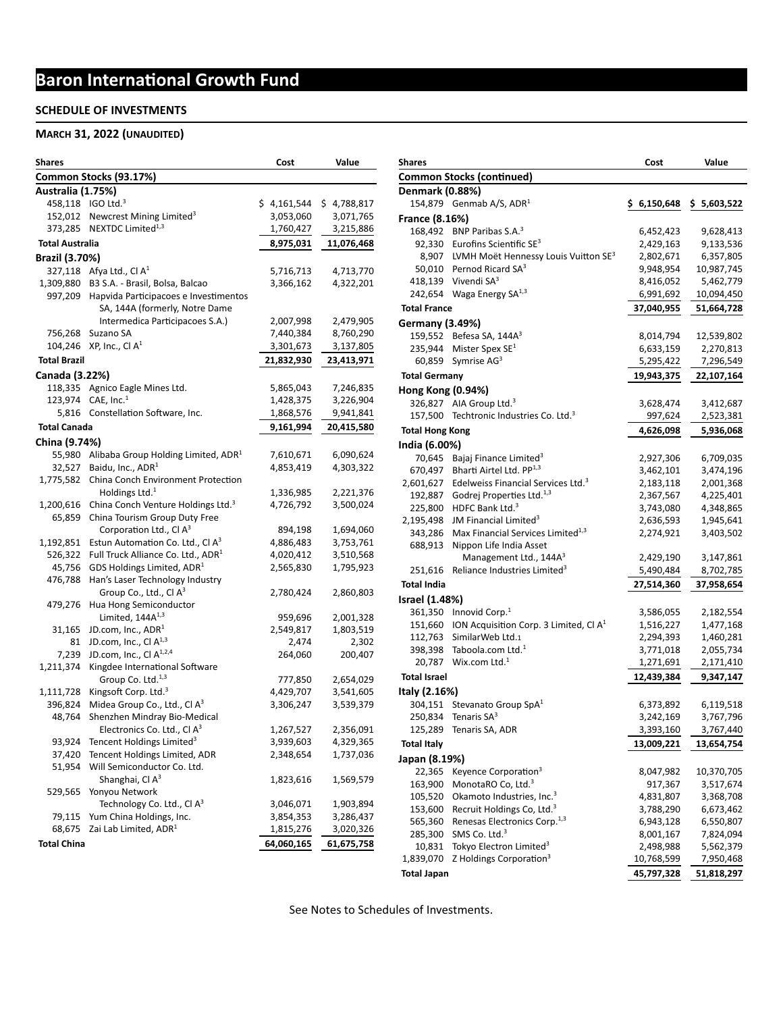#### **SCHEDULE OF INVESTMENTS**

#### **MARCH 31, 2022 (UNAUDITED)**

| Shares                 |                                                        | Cost        | Value                  |
|------------------------|--------------------------------------------------------|-------------|------------------------|
|                        | Common Stocks (93.17%)                                 |             |                        |
| Australia (1.75%)      |                                                        |             |                        |
|                        | 458,118 IGO Ltd. <sup>3</sup>                          | \$4,161,544 | \$4,788,817            |
| 152,012                | Newcrest Mining Limited <sup>3</sup>                   | 3,053,060   | 3,071,765              |
|                        | 373.285 NEXTDC Limited <sup>1,3</sup>                  | 1,760,427   | 3,215,886              |
| <b>Total Australia</b> |                                                        | 8,975,031   | 11,076,468             |
| <b>Brazil (3.70%)</b>  |                                                        |             |                        |
|                        | Afya Ltd., Cl $A^1$                                    |             |                        |
| 327,118<br>1,309,880   | B3 S.A. - Brasil, Bolsa, Balcao                        | 5,716,713   | 4,713,770<br>4,322,201 |
| 997,209                | Hapvida Participacoes e Investimentos                  | 3,366,162   |                        |
|                        | SA, 144A (formerly, Notre Dame                         |             |                        |
|                        |                                                        |             |                        |
|                        | Intermedica Participacoes S.A.)                        | 2,007,998   | 2,479,905              |
| 756,268                | Suzano SA                                              | 7,440,384   | 8,760,290              |
| 104,246                | XP, Inc., Cl $A^1$                                     | 3,301,673   | 3,137,805              |
| <b>Total Brazil</b>    |                                                        | 21,832,930  | 23,413,971             |
| Canada (3.22%)         |                                                        |             |                        |
|                        | 118,335 Agnico Eagle Mines Ltd.                        | 5,865,043   | 7,246,835              |
|                        | 123,974 CAE, Inc. <sup>1</sup>                         | 1,428,375   | 3,226,904              |
|                        | 5,816 Constellation Software, Inc.                     | 1,868,576   | 9,941,841              |
| <b>Total Canada</b>    |                                                        | 9,161,994   | 20,415,580             |
| China (9.74%)          |                                                        |             |                        |
|                        | 55,980 Alibaba Group Holding Limited, ADR <sup>1</sup> | 7,610,671   | 6,090,624              |
| 32,527                 | Baidu, Inc., ADR <sup>1</sup>                          | 4,853,419   | 4,303,322              |
| 1,775,582              | China Conch Environment Protection                     |             |                        |
|                        | Holdings Ltd. $1$                                      | 1,336,985   | 2,221,376              |
| 1,200,616              | China Conch Venture Holdings Ltd. <sup>3</sup>         | 4,726,792   | 3,500,024              |
| 65,859                 | China Tourism Group Duty Free                          |             |                        |
|                        | Corporation Ltd., Cl A <sup>3</sup>                    | 894,198     | 1,694,060              |
| 1,192,851              | Estun Automation Co. Ltd., Cl A <sup>3</sup>           | 4,886,483   | 3,753,761              |
| 526,322                | Full Truck Alliance Co. Ltd., ADR <sup>1</sup>         | 4,020,412   | 3,510,568              |
| 45,756                 | GDS Holdings Limited, ADR <sup>1</sup>                 | 2,565,830   | 1,795,923              |
| 476,788                | Han's Laser Technology Industry                        |             |                        |
|                        | Group Co., Ltd., Cl A <sup>3</sup>                     |             |                        |
|                        | Hua Hong Semiconductor                                 | 2,780,424   | 2,860,803              |
| 479,276                | Limited, $144A^{1,3}$                                  |             |                        |
|                        | JD.com, Inc., $ADR1$                                   | 959,696     | 2,001,328              |
| 31,165                 |                                                        | 2,549,817   | 1,803,519              |
| 81                     | JD.com, Inc., Cl $A^{1,3}$                             | 2,474       | 2,302                  |
| 7,239                  | JD.com, Inc., Cl A <sup>1,2,4</sup>                    | 264,060     | 200,407                |
| 1,211,374              | Kingdee International Software                         |             |                        |
|                        | Group Co. Ltd. <sup>1,3</sup>                          | 777,850     | 2,654,029              |
| 1,111,728              | Kingsoft Corp. Ltd. <sup>3</sup>                       | 4,429,707   | 3,541,605              |
| 396,824                | Midea Group Co., Ltd., Cl A <sup>3</sup>               | 3,306,247   | 3,539,379              |
| 48,764                 | Shenzhen Mindray Bio-Medical                           |             |                        |
|                        | Electronics Co. Ltd., Cl A <sup>3</sup>                | 1,267,527   | 2,356,091              |
| 93,924                 | Tencent Holdings Limited <sup>3</sup>                  | 3,939,603   | 4,329,365              |
| 37,420                 | Tencent Holdings Limited, ADR                          | 2,348,654   | 1,737,036              |
| 51,954                 | Will Semiconductor Co. Ltd.                            |             |                        |
|                        | Shanghai, Cl A <sup>3</sup>                            | 1,823,616   | 1,569,579              |
| 529,565                | Yonyou Network                                         |             |                        |
|                        | Technology Co. Ltd., Cl A <sup>3</sup>                 | 3,046,071   | 1,903,894              |
| 79,115                 | Yum China Holdings, Inc.                               | 3,854,353   | 3,286,437              |
| 68,675                 | Zai Lab Limited, ADR <sup>1</sup>                      | 1,815,276   | 3,020,326              |
| <b>Total China</b>     |                                                        | 64,060,165  | 61,675,758             |

| <b>Shares</b>            |                                                        | Cost                   | Value                  |
|--------------------------|--------------------------------------------------------|------------------------|------------------------|
|                          | <b>Common Stocks (continued)</b>                       |                        |                        |
| Denmark (0.88%)          |                                                        |                        |                        |
|                          | 154,879 Genmab A/S, $ADR1$                             | \$6,150,648            | \$5,603,522            |
| France (8.16%)           |                                                        |                        |                        |
|                          | 168,492 BNP Paribas S.A. <sup>3</sup>                  | 6,452,423              | 9,628,413              |
|                          | 92,330 Eurofins Scientific $SE^3$                      | 2,429,163              | 9,133,536              |
|                          | 8,907 LVMH Moët Hennessy Louis Vuitton SE <sup>3</sup> | 2,802,671              | 6,357,805              |
|                          | 50,010 Pernod Ricard SA <sup>3</sup>                   | 9,948,954              | 10,987,745             |
|                          | 418,139 Vivendi SA <sup>3</sup>                        | 8,416,052              | 5,462,779              |
| 242,654                  | Waga Energy SA <sup>1,3</sup>                          | 6,991,692              | 10,094,450             |
| <b>Total France</b>      |                                                        | 37,040,955             | 51,664,728             |
| <b>Germany (3.49%)</b>   |                                                        |                        |                        |
|                          | 159,552 Befesa SA, 144 $A^3$                           | 8,014,794              | 12,539,802             |
| 235,944                  | Mister Spex $SE1$                                      | 6,633,159              | 2,270,813              |
| 60,859                   | Symrise AG <sup>3</sup>                                | 5,295,422              | 7,296,549              |
| <b>Total Germany</b>     |                                                        | 19,943,375             | 22,107,164             |
| <b>Hong Kong (0.94%)</b> |                                                        |                        |                        |
|                          | 326,827 AIA Group Ltd. <sup>3</sup>                    | 3,628,474              | 3,412,687              |
| 157,500                  | Techtronic Industries Co. Ltd. <sup>3</sup>            | 997,624                | 2,523,381              |
| <b>Total Hong Kong</b>   |                                                        | 4,626,098              | 5,936,068              |
|                          |                                                        |                        |                        |
| India (6.00%)            | Bajaj Finance Limited <sup>3</sup>                     |                        |                        |
| 70,645                   | Bharti Airtel Ltd. PP <sup>1,3</sup>                   | 2,927,306              | 6,709,035              |
| 670,497<br>2,601,627     | Edelweiss Financial Services Ltd. <sup>3</sup>         | 3,462,101<br>2,183,118 | 3,474,196              |
| 192,887                  | Godrej Properties Ltd. <sup>1,3</sup>                  |                        | 2,001,368<br>4,225,401 |
| 225,800                  | HDFC Bank Ltd. <sup>3</sup>                            | 2,367,567<br>3,743,080 | 4,348,865              |
| 2,195,498                | JM Financial Limited <sup>3</sup>                      | 2,636,593              | 1,945,641              |
| 343,286                  | Max Financial Services Limited <sup>1,3</sup>          | 2,274,921              | 3,403,502              |
| 688,913                  | Nippon Life India Asset                                |                        |                        |
|                          | Management Ltd., 144A <sup>3</sup>                     | 2,429,190              | 3,147,861              |
| 251,616                  | Reliance Industries Limited <sup>3</sup>               | 5,490,484              | 8,702,785              |
| <b>Total India</b>       |                                                        | 27,514,360             | 37,958,654             |
| Israel (1.48%)           |                                                        |                        |                        |
|                          | 361,350 Innovid Corp. $1$                              | 3,586,055              | 2,182,554              |
|                          | 151,660 ION Acquisition Corp. 3 Limited, Cl $A1$       | 1,516,227              | 1,477,168              |
| 112,763                  | SimilarWeb Ltd.1                                       | 2,294,393              | 1,460,281              |
| 398,398                  | Taboola.com Ltd. <sup>1</sup>                          | 3,771,018              | 2,055,734              |
| 20,787                   | Wix.com Ltd. $1$                                       | 1,271,691              | 2,171,410              |
| <b>Total Israel</b>      |                                                        | 12,439,384             | 9,347,147              |
| Italy (2.16%)            |                                                        |                        |                        |
| 304,151                  | Stevanato Group SpA <sup>1</sup>                       | 6,373,892              | 6,119,518              |
| 250,834                  | Tenaris $SA3$                                          | 3,242,169              | 3,767,796              |
| 125,289                  | Tenaris SA, ADR                                        | 3,393,160              | 3,767,440              |
| <b>Total Italy</b>       |                                                        | 13,009,221             | 13,654,754             |
|                          |                                                        |                        |                        |
| Japan (8.19%)            | Keyence Corporation <sup>3</sup>                       |                        |                        |
| 22,365                   | MonotaRO Co, Ltd. <sup>3</sup>                         | 8,047,982              | 10,370,705             |
| 163,900<br>105,520       | Okamoto Industries, Inc. <sup>3</sup>                  | 917,367<br>4,831,807   | 3,517,674<br>3,368,708 |
| 153,600                  | Recruit Holdings Co, Ltd. <sup>3</sup>                 | 3,788,290              | 6,673,462              |
| 565,360                  | Renesas Electronics Corp. <sup>1,3</sup>               | 6,943,128              | 6,550,807              |
| 285,300                  | SMS Co. Ltd. <sup>3</sup>                              | 8,001,167              | 7,824,094              |
| 10,831                   | Tokyo Electron Limited <sup>3</sup>                    | 2,498,988              | 5,562,379              |
| 1,839,070                | Z Holdings Corporation <sup>3</sup>                    | 10,768,599             | 7,950,468              |
| <b>Total Japan</b>       |                                                        | 45,797,328             | 51,818,297             |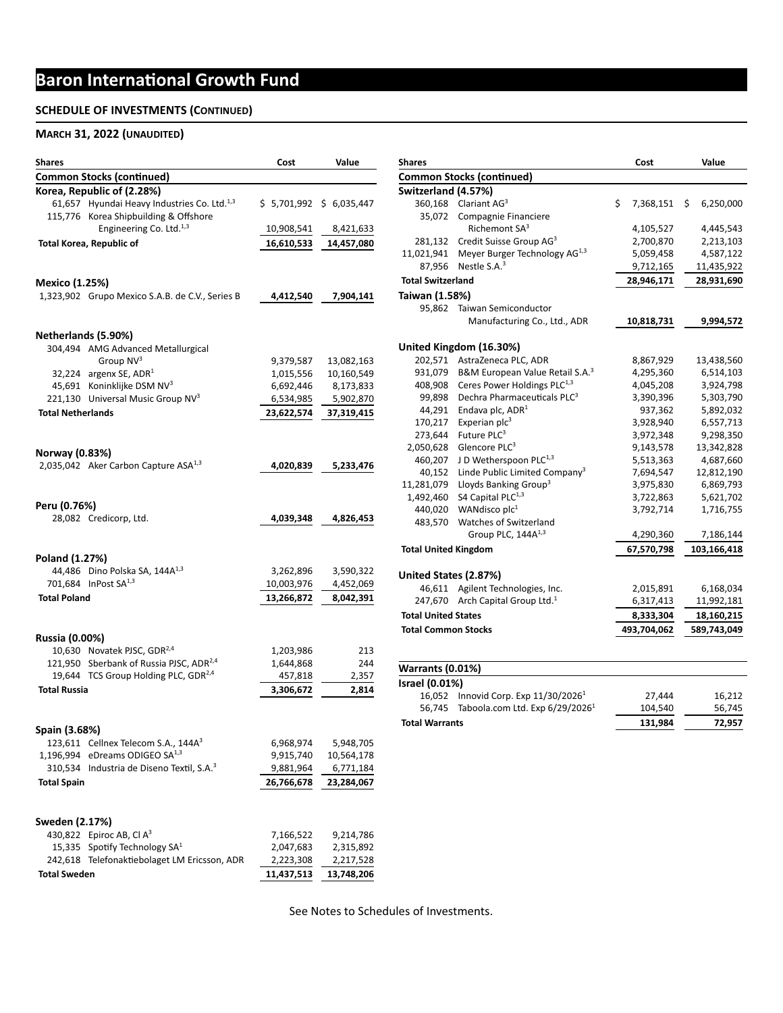#### **SCHEDULE OF INVESTMENTS (CONTINUED)**

#### **MARCH 31, 2022 (UNAUDITED)**

| Shares                   |                                                                                                  | Cost       | Value                  |
|--------------------------|--------------------------------------------------------------------------------------------------|------------|------------------------|
|                          | <b>Common Stocks (continued)</b>                                                                 |            |                        |
|                          | Korea, Republic of (2.28%)                                                                       |            |                        |
|                          | 61,657 Hyundai Heavy Industries Co. Ltd. <sup>1,3</sup><br>115,776 Korea Shipbuilding & Offshore |            | \$5,701,992\$6,035,447 |
|                          | Engineering Co. Ltd. <sup>1,3</sup>                                                              | 10,908,541 | 8,421,633              |
|                          | <b>Total Korea, Republic of</b>                                                                  | 16,610,533 | 14,457,080             |
|                          |                                                                                                  |            |                        |
| <b>Mexico (1.25%)</b>    |                                                                                                  |            |                        |
|                          | 1,323,902 Grupo Mexico S.A.B. de C.V., Series B                                                  | 4,412,540  | 7,904,141              |
| Netherlands (5.90%)      |                                                                                                  |            |                        |
|                          | 304,494 AMG Advanced Metallurgical                                                               |            |                        |
|                          | Group NV <sup>3</sup>                                                                            | 9,379,587  | 13,082,163             |
|                          | 32,224 argenx SE, $ADR1$                                                                         | 1,015,556  | 10,160,549             |
|                          | 45,691 Koninklijke DSM NV <sup>3</sup>                                                           | 6,692,446  | 8,173,833              |
|                          | 221,130 Universal Music Group NV <sup>3</sup>                                                    | 6,534,985  | 5,902,870              |
| <b>Total Netherlands</b> |                                                                                                  | 23,622,574 | 37,319,415             |
|                          |                                                                                                  |            |                        |
| Norway (0.83%)           |                                                                                                  |            |                        |
|                          | 2,035,042 Aker Carbon Capture ASA <sup>1,3</sup>                                                 | 4,020,839  | 5,233,476              |
| Peru (0.76%)             |                                                                                                  |            |                        |
|                          | 28,082 Credicorp, Ltd.                                                                           | 4,039,348  | 4,826,453              |
|                          |                                                                                                  |            |                        |
| Poland (1.27%)           |                                                                                                  |            |                        |
|                          | 44,486 Dino Polska SA, 144A <sup>1,3</sup>                                                       | 3,262,896  | 3,590,322              |
|                          | 701,684 InPost SA <sup>1,3</sup>                                                                 | 10,003,976 | 4,452,069              |
| <b>Total Poland</b>      |                                                                                                  | 13,266,872 | 8,042,391              |
| Russia (0.00%)           |                                                                                                  |            |                        |
|                          | 10,630 Novatek PJSC, GDR <sup>2,4</sup>                                                          | 1,203,986  | 213                    |
|                          | 121,950 Sberbank of Russia PJSC, ADR <sup>2,4</sup>                                              | 1,644,868  | 244                    |
|                          | 19,644 TCS Group Holding PLC, GDR <sup>2,4</sup>                                                 | 457,818    | 2,357                  |
| <b>Total Russia</b>      |                                                                                                  | 3,306,672  | 2,814                  |
|                          |                                                                                                  |            |                        |
| Spain (3.68%)            |                                                                                                  |            |                        |
|                          | 123,611 Cellnex Telecom S.A., 144A <sup>3</sup>                                                  | 6,968,974  | 5,948,705              |
|                          | 1,196,994 eDreams ODIGEO SA <sup>1,3</sup>                                                       | 9,915,740  | 10,564,178             |
|                          | 310,534 Industria de Diseno Textil, S.A. <sup>3</sup>                                            | 9,881,964  | 6,771,184              |
| <b>Total Spain</b>       |                                                                                                  | 26,766,678 | 23,284,067             |
| Sweden (2.17%)           |                                                                                                  |            |                        |
|                          | 430,822 Epiroc AB, Cl $A^3$                                                                      | 7,166,522  | 9,214,786              |
|                          | 15,335 Spotify Technology $SA1$                                                                  | 2,047,683  | 2,315,892              |
|                          | 242,618 Telefonaktiebolaget LM Ericsson, ADR                                                     | 2,223,308  | 2,217,528              |
| <b>Total Sweden</b>      |                                                                                                  | 11,437,513 | 13,748,206             |
|                          |                                                                                                  |            |                        |

| <b>Shares</b>               |                                              | Cost            | Value           |
|-----------------------------|----------------------------------------------|-----------------|-----------------|
|                             | <b>Common Stocks (continued)</b>             |                 |                 |
| Switzerland (4.57%)         |                                              |                 |                 |
| 360,168                     | Clariant $AG3$                               | \$<br>7,368,151 | \$<br>6,250,000 |
| 35,072                      | Compagnie Financiere                         |                 |                 |
|                             | Richemont SA <sup>3</sup>                    | 4,105,527       | 4,445,543       |
| 281,132                     | Credit Suisse Group AG <sup>3</sup>          | 2,700,870       | 2,213,103       |
| 11,021,941                  | Meyer Burger Technology AG <sup>1,3</sup>    | 5,059,458       | 4,587,122       |
| 87,956                      | Nestle $S.A.^3$                              | 9,712,165       | 11,435,922      |
| <b>Total Switzerland</b>    |                                              | 28,946,171      | 28,931,690      |
| Taiwan (1.58%)              |                                              |                 |                 |
| 95,862                      | <b>Taiwan Semiconductor</b>                  |                 |                 |
|                             | Manufacturing Co., Ltd., ADR                 | 10,818,731      | 9,994,572       |
|                             | United Kingdom (16.30%)                      |                 |                 |
| 202,571                     | AstraZeneca PLC, ADR                         | 8,867,929       | 13,438,560      |
| 931,079                     | B&M European Value Retail S.A. <sup>3</sup>  | 4,295,360       | 6,514,103       |
| 408,908                     | Ceres Power Holdings PLC <sup>1,3</sup>      | 4,045,208       | 3,924,798       |
| 99,898                      | Dechra Pharmaceuticals PLC <sup>3</sup>      | 3,390,396       | 5,303,790       |
| 44,291                      | Endava plc, ADR <sup>1</sup>                 | 937,362         | 5,892,032       |
| 170,217                     | Experian $plc3$                              | 3,928,940       | 6,557,713       |
| 273,644                     | Future PLC <sup>3</sup>                      | 3,972,348       | 9,298,350       |
| 2,050,628                   | Glencore PLC <sup>3</sup>                    | 9,143,578       | 13,342,828      |
| 460,207                     | J D Wetherspoon PLC <sup>1,3</sup>           | 5,513,363       | 4,687,660       |
| 40,152                      | Linde Public Limited Company <sup>3</sup>    | 7,694,547       | 12,812,190      |
| 11,281,079                  | Lloyds Banking Group <sup>3</sup>            | 3,975,830       | 6,869,793       |
| 1,492,460                   | S4 Capital PLC <sup>1,3</sup>                | 3,722,863       | 5,621,702       |
| 440,020                     | WANdisco plc <sup>1</sup>                    | 3,792,714       | 1,716,755       |
| 483,570                     | Watches of Switzerland                       |                 |                 |
|                             | Group PLC, 144A <sup>1,3</sup>               | 4,290,360       | 7,186,144       |
| <b>Total United Kingdom</b> |                                              | 67,570,798      | 103,166,418     |
| United States (2.87%)       |                                              |                 |                 |
|                             | 46,611 Agilent Technologies, Inc.            | 2,015,891       | 6,168,034       |
|                             | 247,670 Arch Capital Group Ltd. <sup>1</sup> | 6,317,413       | 11,992,181      |
| <b>Total United States</b>  |                                              | 8,333,304       | 18,160,215      |
| <b>Total Common Stocks</b>  |                                              | 493,704,062     | 589,743,049     |
|                             |                                              |                 |                 |
|                             |                                              |                 |                 |
|                             | $\sqrt{2}$                                   |                 |                 |

| <b>Warrants (0.01%)</b> |                                           |         |        |  |
|-------------------------|-------------------------------------------|---------|--------|--|
| Israel (0.01%)          |                                           |         |        |  |
| 16.052                  | Innovid Corp. Exp $11/30/20261$           | 27.444  | 16.212 |  |
|                         | 56,745 Taboola.com Ltd. Exp $6/29/2026^1$ | 104.540 | 56.745 |  |
| <b>Total Warrants</b>   |                                           | 131.984 | 72.957 |  |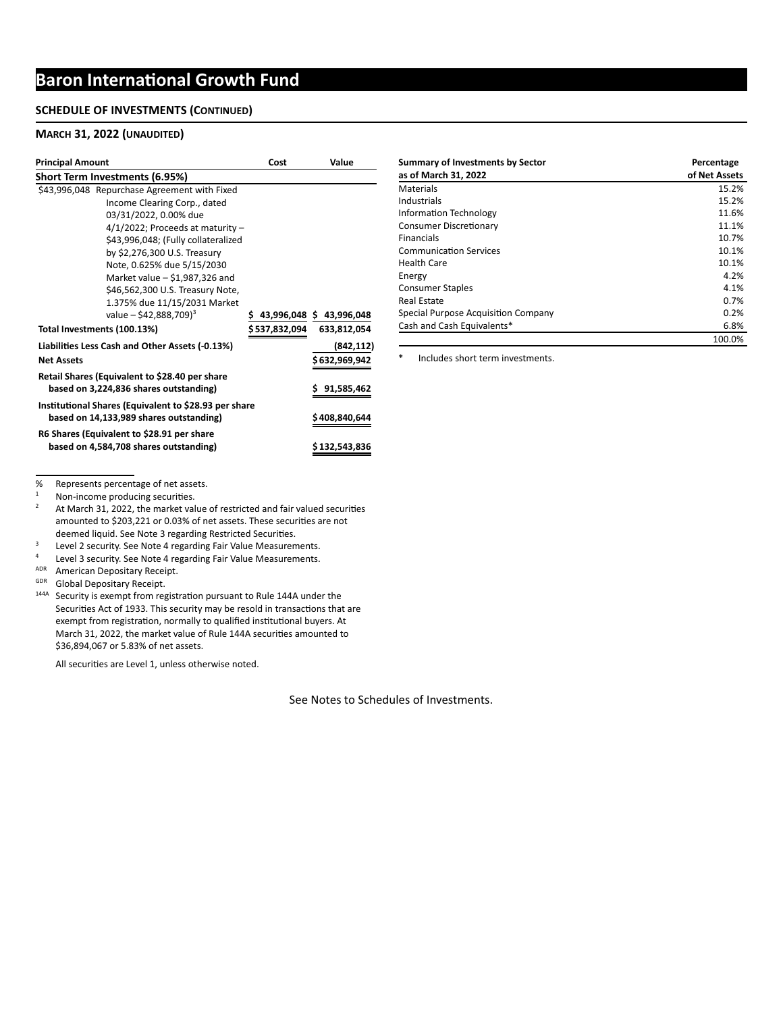#### **SCHEDULE OF INVESTMENTS (CONTINUED)**

#### **MARCH 31, 2022 (UNAUDITED)**

| <b>Principal Amount</b>                               | Cost           | Value                   |
|-------------------------------------------------------|----------------|-------------------------|
| Short Term Investments (6.95%)                        |                |                         |
| \$43,996,048 Repurchase Agreement with Fixed          |                |                         |
| Income Clearing Corp., dated                          |                |                         |
| 03/31/2022, 0.00% due                                 |                |                         |
| $4/1/2022$ ; Proceeds at maturity -                   |                |                         |
| \$43,996,048; (Fully collateralized                   |                |                         |
| by \$2,276,300 U.S. Treasury                          |                |                         |
| Note, 0.625% due 5/15/2030                            |                |                         |
| Market value $-$ \$1,987,326 and                      |                |                         |
| \$46,562,300 U.S. Treasury Note,                      |                |                         |
| 1.375% due 11/15/2031 Market                          |                |                         |
| value – \$42,888,709) <sup>3</sup>                    | Ś.             | 43,996,048 \$43,996,048 |
| Total Investments (100.13%)                           | \$ 537,832,094 | 633,812,054             |
| Liabilities Less Cash and Other Assets (-0.13%)       |                | (842, 112)              |
| <b>Net Assets</b>                                     |                | \$ 632,969,942          |
| Retail Shares (Equivalent to \$28.40 per share        |                |                         |
| based on 3,224,836 shares outstanding)                |                | \$91,585,462            |
| Institutional Shares (Equivalent to \$28.93 per share |                |                         |
| based on 14,133,989 shares outstanding)               |                | \$408,840,644           |
| R6 Shares (Equivalent to \$28.91 per share            |                |                         |
| based on 4,584,708 shares outstanding)                |                | \$ 132,543,836          |

| <b>Summary of Investments by Sector</b><br>as of March 31, 2022 | Percentage<br>of Net Assets |
|-----------------------------------------------------------------|-----------------------------|
| Materials                                                       | 15.2%                       |
| Industrials                                                     | 15.2%                       |
| Information Technology                                          | 11.6%                       |
| <b>Consumer Discretionary</b>                                   | 11.1%                       |
| <b>Financials</b>                                               | 10.7%                       |
| <b>Communication Services</b>                                   | 10.1%                       |
| <b>Health Care</b>                                              | 10.1%                       |
| Energy                                                          | 4.2%                        |
| <b>Consumer Staples</b>                                         | 4.1%                        |
| <b>Real Estate</b>                                              | 0.7%                        |
| Special Purpose Acquisition Company                             | 0.2%                        |
| Cash and Cash Equivalents*                                      | 6.8%                        |
|                                                                 | 100.0%                      |

\* Includes short term investments.

% Represents percentage of net assets.<br> $\frac{1}{1}$  Non-income producing socurities

 $1$  Non-income producing securities.

<sup>2</sup> At March 31, 2022, the market value of restricted and fair valued securities amounted to \$203,221 or 0.03% of net assets. These securities are not deemed liquid. See Note 3 regarding Restricted Securities.

<sup>3</sup><br>Level 2 security. See Note 4 regarding Fair Value Measurements.

Level 3 security. See Note 4 regarding Fair Value Measurements.

ADR American Depositary Receipt.

GDR Global Depositary Receipt.

<sup>144A</sup> Security is exempt from registration pursuant to Rule 144A under the Securities Act of 1933. This security may be resold in transactions that are exempt from registration, normally to qualified institutional buyers. At March 31, 2022, the market value of Rule 144A securities amounted to \$36,894,067 or 5.83% of net assets.

All securities are Level 1, unless otherwise noted.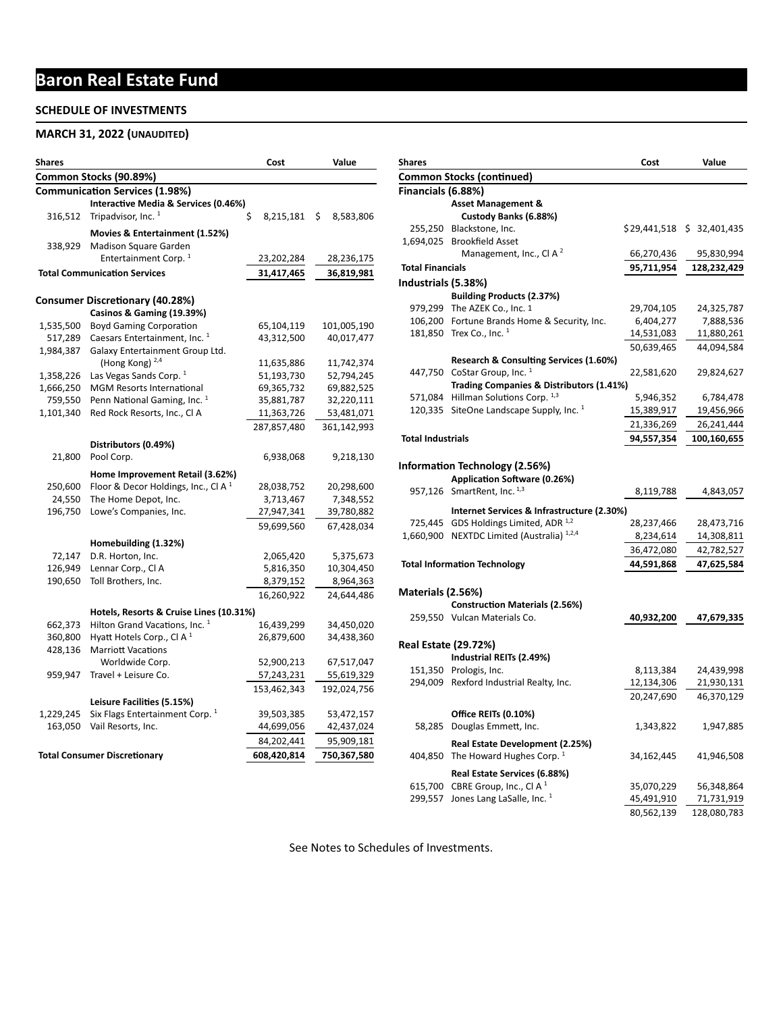# **Baron Real Estate Fund**

#### **SCHEDULE OF INVESTMENTS**

## **MARCH 31, 2022 (UNAUDITED)**

| Shares                 |                                            | Cost            | Value           |  |
|------------------------|--------------------------------------------|-----------------|-----------------|--|
| Common Stocks (90.89%) |                                            |                 |                 |  |
|                        | <b>Communication Services (1.98%)</b>      |                 |                 |  |
|                        | Interactive Media & Services (0.46%)       |                 |                 |  |
| 316,512                | Tripadvisor, Inc. <sup>1</sup>             | \$<br>8,215,181 | \$<br>8,583,806 |  |
|                        | Movies & Entertainment (1.52%)             |                 |                 |  |
| 338,929                | Madison Square Garden                      |                 |                 |  |
|                        | Entertainment Corp. <sup>1</sup>           | 23,202,284      | 28,236,175      |  |
|                        | <b>Total Communication Services</b>        | 31,417,465      | 36,819,981      |  |
|                        |                                            |                 |                 |  |
|                        | <b>Consumer Discretionary (40.28%)</b>     |                 |                 |  |
|                        | Casinos & Gaming (19.39%)                  |                 |                 |  |
| 1,535,500              | <b>Boyd Gaming Corporation</b>             | 65,104,119      | 101,005,190     |  |
| 517,289                | Caesars Entertainment, Inc. <sup>1</sup>   | 43,312,500      | 40,017,477      |  |
| 1,984,387              | Galaxy Entertainment Group Ltd.            |                 |                 |  |
|                        | (Hong Kong) <sup>2,4</sup>                 | 11,635,886      | 11,742,374      |  |
| 1,358,226              | Las Vegas Sands Corp. <sup>1</sup>         | 51,193,730      | 52,794,245      |  |
| 1,666,250              | <b>MGM Resorts International</b>           | 69,365,732      | 69,882,525      |  |
| 759,550                | Penn National Gaming, Inc. <sup>1</sup>    | 35,881,787      | 32,220,111      |  |
| 1,101,340              | Red Rock Resorts, Inc., Cl A               | 11,363,726      | 53,481,071      |  |
|                        |                                            | 287,857,480     | 361,142,993     |  |
|                        | Distributors (0.49%)                       |                 |                 |  |
| 21,800                 | Pool Corp.                                 | 6,938,068       | 9,218,130       |  |
|                        | Home Improvement Retail (3.62%)            |                 |                 |  |
| 250,600                | Floor & Decor Holdings, Inc., Cl A $1$     | 28,038,752      | 20,298,600      |  |
| 24,550                 | The Home Depot, Inc.                       | 3,713,467       | 7,348,552       |  |
| 196,750                | Lowe's Companies, Inc.                     | 27,947,341      | 39,780,882      |  |
|                        |                                            | 59,699,560      | 67,428,034      |  |
|                        |                                            |                 |                 |  |
|                        | Homebuilding (1.32%)                       |                 |                 |  |
| 72,147                 | D.R. Horton, Inc.                          | 2,065,420       | 5,375,673       |  |
| 126,949                | Lennar Corp., Cl A                         | 5,816,350       | 10,304,450      |  |
| 190,650                | Toll Brothers, Inc.                        | 8,379,152       | 8,964,363       |  |
|                        |                                            | 16,260,922      | 24,644,486      |  |
|                        | Hotels, Resorts & Cruise Lines (10.31%)    |                 |                 |  |
| 662,373                | Hilton Grand Vacations, Inc. <sup>1</sup>  | 16,439,299      | 34,450,020      |  |
| 360,800                | Hyatt Hotels Corp., Cl A <sup>1</sup>      | 26,879,600      | 34,438,360      |  |
| 428,136                | <b>Marriott Vacations</b>                  |                 |                 |  |
|                        | Worldwide Corp.                            | 52,900,213      | 67,517,047      |  |
| 959,947                | Travel + Leisure Co.                       | 57,243,231      | 55,619,329      |  |
|                        |                                            | 153,462,343     | 192,024,756     |  |
|                        | Leisure Facilities (5.15%)                 |                 |                 |  |
| 1,229,245              | Six Flags Entertainment Corp. <sup>1</sup> | 39,503,385      | 53,472,157      |  |
| 163,050                | Vail Resorts, Inc.                         | 44,699,056      | 42,437,024      |  |
|                        |                                            | 84,202,441      | 95,909,181      |  |
|                        | <b>Total Consumer Discretionary</b>        | 608,420,814     | 750,367,580     |  |
|                        |                                            |                 |                 |  |

| <b>Shares</b>            |                                                                       | Cost       | Value                     |
|--------------------------|-----------------------------------------------------------------------|------------|---------------------------|
|                          | Common Stocks (continued)                                             |            |                           |
| Financials (6.88%)       |                                                                       |            |                           |
|                          | <b>Asset Management &amp;</b>                                         |            |                           |
|                          | Custody Banks (6.88%)                                                 |            |                           |
|                          | 255,250 Blackstone, Inc.                                              |            | \$29,441,518 \$32,401,435 |
| 1,694,025                | <b>Brookfield Asset</b>                                               |            |                           |
|                          | Management, Inc., CI A <sup>2</sup>                                   | 66,270,436 | 95,830,994                |
| <b>Total Financials</b>  |                                                                       | 95,711,954 | 128,232,429               |
| Industrials (5.38%)      |                                                                       |            |                           |
|                          | <b>Building Products (2.37%)</b>                                      |            |                           |
|                          | 979,299 The AZEK Co., Inc. 1                                          | 29,704,105 | 24,325,787                |
|                          | 106,200 Fortune Brands Home & Security, Inc.                          | 6,404,277  | 7,888,536                 |
|                          | 181,850 Trex Co., Inc. $^1$                                           | 14,531,083 | 11,880,261                |
|                          |                                                                       | 50,639,465 | 44,094,584                |
|                          | Research & Consulting Services (1.60%)                                |            |                           |
|                          | 447,750 CoStar Group, Inc. <sup>1</sup>                               | 22,581,620 | 29,824,627                |
|                          | Trading Companies & Distributors (1.41%)                              |            |                           |
|                          | 571,084 Hillman Solutions Corp. 1,3                                   | 5,946,352  | 6,784,478                 |
|                          | 120,335 SiteOne Landscape Supply, Inc. $1$                            | 15,389,917 | 19,456,966                |
|                          |                                                                       | 21,336,269 | 26,241,444                |
| <b>Total Industrials</b> |                                                                       | 94,557,354 | 100,160,655               |
|                          |                                                                       |            |                           |
|                          | Information Technology (2.56%)                                        |            |                           |
|                          | Application Software (0.26%)                                          |            |                           |
|                          | 957,126 SmartRent, Inc. 1,3                                           | 8,119,788  | 4,843,057                 |
|                          | Internet Services & Infrastructure (2.30%)                            |            |                           |
|                          | 725,445 GDS Holdings Limited, ADR 1,2                                 | 28,237,466 | 28,473,716                |
|                          | 1,660,900 NEXTDC Limited (Australia) 1,2,4                            | 8,234,614  | 14,308,811                |
|                          |                                                                       | 36,472,080 | 42,782,527                |
|                          |                                                                       | 44,591,868 | 47,625,584                |
|                          | <b>Total Information Technology</b>                                   |            |                           |
|                          |                                                                       |            |                           |
| Materials (2.56%)        |                                                                       |            |                           |
|                          | <b>Construction Materials (2.56%)</b><br>259,550 Vulcan Materials Co. |            |                           |
|                          |                                                                       | 40,932,200 | 47,679,335                |
|                          | <b>Real Estate (29.72%)</b>                                           |            |                           |
|                          | Industrial REITs (2.49%)                                              |            |                           |
|                          | 151,350 Prologis, Inc.                                                | 8,113,384  | 24,439,998                |
|                          | 294,009 Rexford Industrial Realty, Inc.                               | 12,134,306 | 21,930,131                |
|                          |                                                                       | 20,247,690 | 46,370,129                |
|                          |                                                                       |            |                           |
|                          | Office REITs (0.10%)                                                  |            |                           |
| 58,285                   | Douglas Emmett, Inc.                                                  | 1,343,822  | 1,947,885                 |
|                          | Real Estate Development (2.25%)                                       |            |                           |
|                          | 404,850 The Howard Hughes Corp. 1                                     | 34,162,445 | 41,946,508                |
|                          | Real Estate Services (6.88%)                                          |            |                           |
|                          | 615,700 CBRE Group, Inc., Cl A $^1$                                   | 35,070,229 | 56,348,864                |
|                          | 299,557 Jones Lang LaSalle, Inc. $1$                                  | 45,491,910 | 71,731,919                |
|                          |                                                                       | 80,562,139 | 128,080,783               |
|                          |                                                                       |            |                           |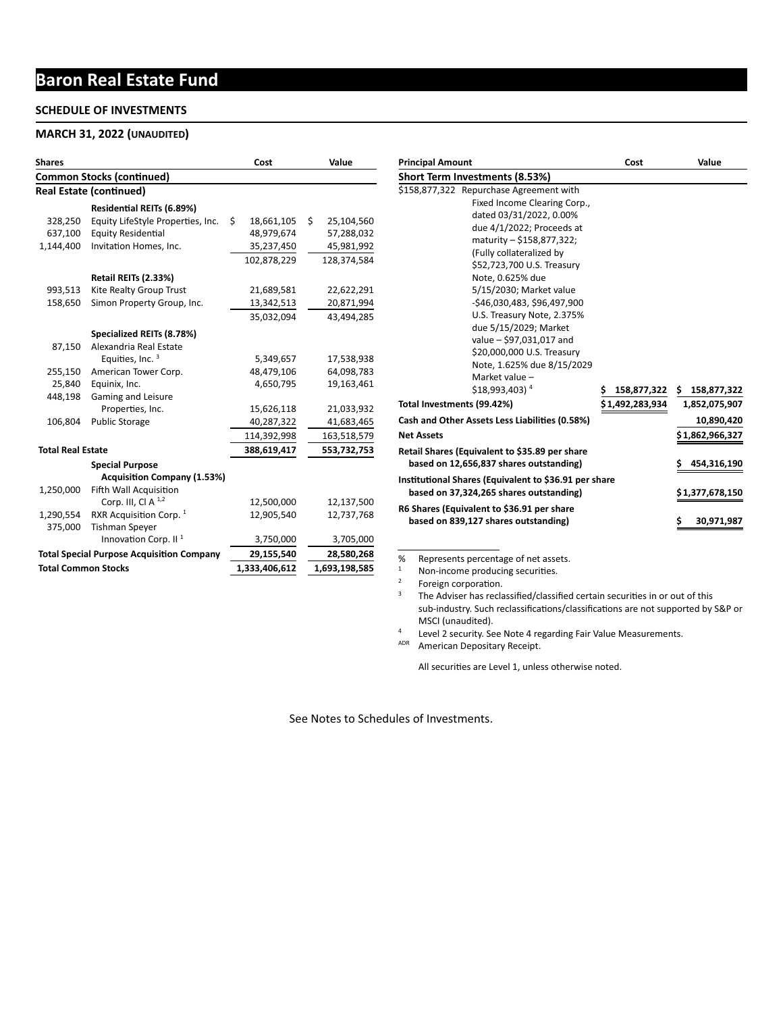# **Baron Real Estate Fund**

#### **SCHEDULE OF INVESTMENTS**

#### **MARCH 31, 2022 (UNAUDITED)**

| <b>Shares</b>              |                                                  |    | Cost          |    | Value         |  |  |
|----------------------------|--------------------------------------------------|----|---------------|----|---------------|--|--|
|                            | <b>Common Stocks (continued)</b>                 |    |               |    |               |  |  |
|                            | <b>Real Estate (continued)</b>                   |    |               |    |               |  |  |
|                            | <b>Residential REITs (6.89%)</b>                 |    |               |    |               |  |  |
| 328,250                    | Equity LifeStyle Properties, Inc.                | Ś. | 18,661,105    | Ś. | 25,104,560    |  |  |
| 637,100                    | <b>Equity Residential</b>                        |    | 48,979,674    |    | 57,288,032    |  |  |
| 1,144,400                  | Invitation Homes, Inc.                           |    | 35,237,450    |    | 45,981,992    |  |  |
|                            |                                                  |    | 102,878,229   |    | 128,374,584   |  |  |
|                            | Retail REITs (2.33%)                             |    |               |    |               |  |  |
| 993,513                    | Kite Realty Group Trust                          |    | 21,689,581    |    | 22,622,291    |  |  |
| 158,650                    | Simon Property Group, Inc.                       |    | 13,342,513    |    | 20,871,994    |  |  |
|                            |                                                  |    | 35,032,094    |    | 43,494,285    |  |  |
|                            | Specialized REITs (8.78%)                        |    |               |    |               |  |  |
| 87,150                     | Alexandria Real Estate                           |    |               |    |               |  |  |
|                            | Equities, Inc. <sup>3</sup>                      |    | 5,349,657     |    | 17,538,938    |  |  |
| 255,150                    | American Tower Corp.                             |    | 48,479,106    |    | 64,098,783    |  |  |
| 25,840                     | Equinix, Inc.                                    |    | 4,650,795     |    | 19,163,461    |  |  |
| 448,198                    | <b>Gaming and Leisure</b>                        |    |               |    |               |  |  |
|                            | Properties, Inc.                                 |    | 15,626,118    |    | 21,033,932    |  |  |
| 106,804                    | <b>Public Storage</b>                            |    | 40,287,322    |    | 41,683,465    |  |  |
|                            |                                                  |    | 114,392,998   |    | 163,518,579   |  |  |
| <b>Total Real Estate</b>   |                                                  |    | 388,619,417   |    | 553,732,753   |  |  |
|                            | <b>Special Purpose</b>                           |    |               |    |               |  |  |
|                            | <b>Acquisition Company (1.53%)</b>               |    |               |    |               |  |  |
| 1,250,000                  | Fifth Wall Acquisition                           |    |               |    |               |  |  |
|                            | Corp. III, Cl A $^{1,2}$                         |    | 12,500,000    |    | 12,137,500    |  |  |
| 1,290,554                  | RXR Acquisition Corp. 1                          |    | 12,905,540    |    | 12,737,768    |  |  |
| 375,000                    | <b>Tishman Spever</b>                            |    |               |    |               |  |  |
|                            | Innovation Corp. II <sup>1</sup>                 |    | 3,750,000     |    | 3,705,000     |  |  |
|                            | <b>Total Special Purpose Acquisition Company</b> |    | 29,155,540    |    | 28,580,268    |  |  |
| <b>Total Common Stocks</b> |                                                  |    | 1,333,406,612 |    | 1,693,198,585 |  |  |

| <b>Principal Amount</b>                                                                                                                                                                                                                                                                                                                                                                                                                                                                             | Cost            | Value                                                                              |
|-----------------------------------------------------------------------------------------------------------------------------------------------------------------------------------------------------------------------------------------------------------------------------------------------------------------------------------------------------------------------------------------------------------------------------------------------------------------------------------------------------|-----------------|------------------------------------------------------------------------------------|
| Short Term Investments (8.53%)                                                                                                                                                                                                                                                                                                                                                                                                                                                                      |                 |                                                                                    |
| \$158,877,322 Repurchase Agreement with<br>Fixed Income Clearing Corp.,<br>dated 03/31/2022, 0.00%<br>due 4/1/2022; Proceeds at<br>maturity - \$158,877,322;<br>(Fully collateralized by<br>\$52,723,700 U.S. Treasury<br>Note, 0.625% due<br>5/15/2030; Market value<br>-\$46,030,483, \$96,497,900<br>U.S. Treasury Note, 2.375%<br>due 5/15/2029; Market<br>value - \$97,031,017 and<br>\$20,000,000 U.S. Treasury<br>Note, 1.625% due 8/15/2029<br>Market value -<br>$$18,993,403$ <sup>4</sup> | 158,877,322     | \$158,877,322                                                                      |
| Total Investments (99.42%)                                                                                                                                                                                                                                                                                                                                                                                                                                                                          | \$1,492,283,934 | 1,852,075,907                                                                      |
| Cash and Other Assets Less Liabilities (0.58%)<br><b>Net Assets</b><br>Retail Shares (Equivalent to \$35.89 per share<br>based on 12,656,837 shares outstanding)<br>Institutional Shares (Equivalent to \$36.91 per share<br>based on 37,324,265 shares outstanding)<br>R6 Shares (Equivalent to \$36.91 per share<br>based on 839,127 shares outstanding)                                                                                                                                          |                 | 10,890,420<br>\$1,862,966,327<br>454,316,190<br>\$1,377,678,150<br>30,971,987<br>s |

% Represents percentage of net assets.

 $1$  Non-income producing securities.

 $2^2$  Foreign corporation.

 $3$  The Adviser has reclassified/classified certain securities in or out of this sub-industry. Such reclassifications/classifications are not supported by S&P or MSCI (unaudited).

<sup>4</sup> Level 2 security. See Note 4 regarding Fair Value Measurements.

ADR American Depositary Receipt.

All securities are Level 1, unless otherwise noted.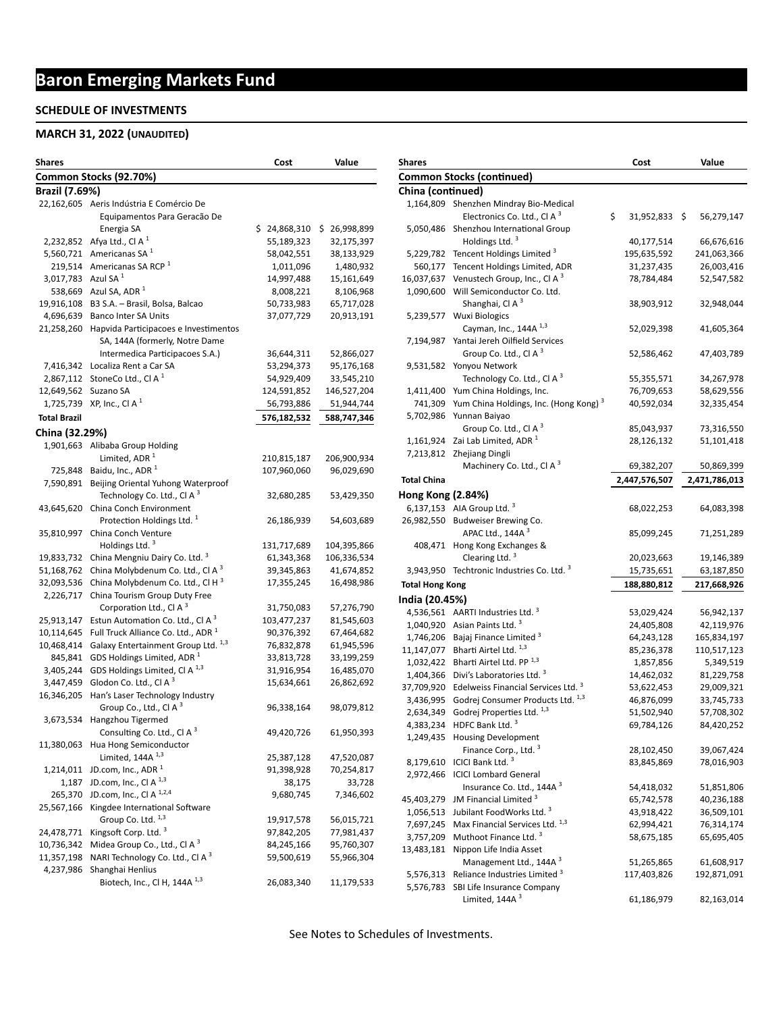# **Baron Emerging Markets Fund**

#### **SCHEDULE OF INVESTMENTS**

#### **MARCH 31, 2022 (UNAUDITED)**

| <b>Shares</b>                  |                                                                                        | Cost         | Value        |
|--------------------------------|----------------------------------------------------------------------------------------|--------------|--------------|
|                                | Common Stocks (92.70%)                                                                 |              |              |
| <b>Brazil (7.69%)</b>          |                                                                                        |              |              |
|                                | 22,162,605 Aeris Indústria E Comércio De                                               |              |              |
|                                | Equipamentos Para Geracão De                                                           |              |              |
|                                | Energia SA                                                                             | \$24,868,310 | \$26,998,899 |
|                                | 2,232,852 Afya Ltd., Cl A <sup>1</sup>                                                 | 55,189,323   | 32,175,397   |
|                                | 5,560,721 Americanas SA $1$                                                            | 58,042,551   | 38,133,929   |
|                                | 219,514 Americanas SA RCP <sup>1</sup>                                                 | 1,011,096    | 1,480,932    |
| 3,017,783 Azul SA <sup>1</sup> |                                                                                        | 14,997,488   | 15,161,649   |
|                                | 538,669 Azul SA, ADR 1                                                                 | 8,008,221    | 8,106,968    |
| 19,916,108                     | B3 S.A. - Brasil, Bolsa, Balcao                                                        | 50,733,983   | 65,717,028   |
| 4,696,639                      | <b>Banco Inter SA Units</b>                                                            | 37,077,729   | 20,913,191   |
| 21,258,260                     | Hapvida Participacoes e Investimentos<br>SA, 144A (formerly, Notre Dame                |              |              |
|                                | Intermedica Participacoes S.A.)                                                        | 36,644,311   | 52,866,027   |
|                                | 7,416,342 Localiza Rent a Car SA                                                       | 53,294,373   | 95,176,168   |
| 2,867,112                      | StoneCo Ltd., Cl A <sup>1</sup>                                                        | 54,929,409   | 33,545,210   |
|                                | 12,649,562 Suzano SA                                                                   | 124,591,852  | 146,527,204  |
| 1,725,739                      | XP, Inc., Cl A $1$                                                                     | 56,793,886   | 51,944,744   |
| <b>Total Brazil</b>            |                                                                                        | 576,182,532  | 588,747,346  |
| China (32.29%)                 |                                                                                        |              |              |
|                                | 1,901,663 Alibaba Group Holding                                                        |              |              |
|                                | Limited, ADR <sup>1</sup>                                                              | 210,815,187  | 206,900,934  |
|                                | 725,848 Baidu, Inc., ADR 1                                                             | 107,960,060  | 96,029,690   |
|                                | 7,590,891 Beijing Oriental Yuhong Waterproof<br>Technology Co. Ltd., Cl A <sup>3</sup> | 32,680,285   | 53,429,350   |
| 43,645,620                     | China Conch Environment                                                                |              |              |
|                                | Protection Holdings Ltd. <sup>1</sup>                                                  | 26,186,939   | 54,603,689   |
| 35,810,997                     | China Conch Venture                                                                    |              |              |
|                                | Holdings Ltd. <sup>3</sup>                                                             | 131,717,689  | 104,395,866  |
| 19,833,732                     | China Mengniu Dairy Co. Ltd. <sup>3</sup>                                              | 61,343,368   | 106,336,534  |
| 51,168,762                     | China Molybdenum Co. Ltd., Cl A <sup>3</sup>                                           | 39,345,863   | 41,674,852   |
| 32,093,536                     | China Molybdenum Co. Ltd., Cl H <sup>3</sup>                                           | 17,355,245   | 16,498,986   |
| 2,226,717                      | China Tourism Group Duty Free                                                          |              |              |
|                                | Corporation Ltd., Cl A <sup>3</sup>                                                    | 31,750,083   | 57,276,790   |
| 25,913,147                     | Estun Automation Co. Ltd., Cl A <sup>3</sup>                                           | 103,477,237  | 81,545,603   |
| 10,114,645                     | Full Truck Alliance Co. Ltd., ADR <sup>1</sup>                                         | 90,376,392   | 67,464,682   |
| 10,468,414                     | Galaxy Entertainment Group Ltd. 1,3                                                    | 76,832,878   | 61,945,596   |
| 845,841                        | GDS Holdings Limited, ADR <sup>1</sup>                                                 | 33,813,728   | 33,199,259   |
| 3,405,244                      | GDS Holdings Limited, Cl A <sup>1,3</sup>                                              | 31,916,954   | 16,485,070   |
| 3,447,459                      | Glodon Co. Ltd., Cl A <sup>3</sup>                                                     | 15,634,661   | 26,862,692   |
| 16,346,205                     | Han's Laser Technology Industry                                                        |              |              |
|                                | Group Co., Ltd., Cl A <sup>3</sup>                                                     | 96,338,164   | 98,079,812   |
| 3,673,534                      | Hangzhou Tigermed                                                                      |              |              |
|                                | Consulting Co. Ltd., Cl A <sup>3</sup>                                                 | 49,420,726   | 61,950,393   |
| 11,380,063                     | Hua Hong Semiconductor                                                                 |              |              |
|                                | Limited, $144A$ <sup>1,3</sup>                                                         | 25,387,128   | 47,520,087   |
| 1,214,011                      | JD.com, Inc., ADR $^1$                                                                 | 91,398,928   | 70,254,817   |
| 1,187                          | JD.com, Inc., Cl A <sup>1,3</sup>                                                      | 38,175       | 33,728       |
| 265,370                        | JD.com, Inc., Cl A 1,2,4                                                               | 9,680,745    | 7,346,602    |
| 25,567,166                     | Kingdee International Software                                                         |              |              |
|                                | Group Co. Ltd. 1,3                                                                     | 19,917,578   | 56,015,721   |
| 24,478,771                     | Kingsoft Corp. Ltd. <sup>3</sup>                                                       | 97,842,205   | 77,981,437   |
| 10,736,342                     | Midea Group Co., Ltd., Cl A <sup>3</sup>                                               | 84,245,166   | 95,760,307   |
| 11,357,198                     | NARI Technology Co. Ltd., CI A 3                                                       | 59,500,619   | 55,966,304   |
| 4,237,986                      | Shanghai Henlius                                                                       |              |              |
|                                | Biotech, Inc., Cl H, 144A 1,3                                                          | 26,083,340   | 11,179,533   |

| Shares                   |                                                                          | Cost                    | Value                    |
|--------------------------|--------------------------------------------------------------------------|-------------------------|--------------------------|
|                          | <b>Common Stocks (continued)</b>                                         |                         |                          |
| China (continued)        |                                                                          |                         |                          |
|                          | 1,164,809 Shenzhen Mindray Bio-Medical                                   |                         |                          |
|                          | Electronics Co. Ltd., Cl A <sup>3</sup>                                  | \$<br>31,952,833        | \$<br>56,279,147         |
| 5,050,486                | Shenzhou International Group                                             |                         |                          |
|                          | Holdings Ltd. <sup>3</sup>                                               | 40,177,514              | 66,676,616               |
| 5,229,782                | Tencent Holdings Limited <sup>3</sup>                                    | 195,635,592             | 241,063,366              |
| 560,177                  | Tencent Holdings Limited, ADR                                            | 31,237,435              | 26,003,416               |
| 16,037,637               | Venustech Group, Inc., Cl A <sup>3</sup>                                 | 78,784,484              | 52,547,582               |
| 1,090,600                | Will Semiconductor Co. Ltd.<br>Shanghai, Cl A <sup>3</sup>               | 38,903,912              | 32,948,044               |
| 5,239,577                | <b>Wuxi Biologics</b>                                                    |                         |                          |
|                          | Cayman, Inc., 144A <sup>1,3</sup>                                        | 52,029,398              | 41,605,364               |
| 7,194,987                | Yantai Jereh Oilfield Services                                           |                         |                          |
|                          | Group Co. Ltd., Cl A <sup>3</sup>                                        | 52,586,462              | 47,403,789               |
| 9,531,582                | Yonyou Network                                                           |                         |                          |
|                          | Technology Co. Ltd., Cl A <sup>3</sup>                                   | 55,355,571              | 34,267,978               |
| 1,411,400                | Yum China Holdings, Inc.                                                 | 76,709,653              | 58,629,556               |
| 741,309                  | Yum China Holdings, Inc. (Hong Kong) <sup>3</sup>                        | 40,592,034              | 32,335,454               |
| 5,702,986                | Yunnan Baiyao                                                            |                         |                          |
|                          | Group Co. Ltd., Cl $A^3$                                                 | 85,043,937              | 73,316,550               |
| 1,161,924                | Zai Lab Limited, ADR <sup>1</sup>                                        | 28,126,132              | 51,101,418               |
| 7,213,812                | Zhejiang Dingli                                                          |                         |                          |
|                          | Machinery Co. Ltd., Cl A <sup>3</sup>                                    | 69,382,207              | 50,869,399               |
| Total China              |                                                                          | 2,447,576,507           | 2,471,786,013            |
| <b>Hong Kong (2.84%)</b> |                                                                          |                         |                          |
|                          | 6,137,153 AIA Group Ltd. 3                                               | 68,022,253              | 64,083,398               |
| 26,982,550               | Budweiser Brewing Co.                                                    |                         |                          |
|                          | APAC Ltd., 144A <sup>3</sup>                                             | 85,099,245              | 71,251,289               |
| 408,471                  | Hong Kong Exchanges &                                                    |                         |                          |
|                          | Clearing Ltd. $3$<br>3,943,950 Techtronic Industries Co. Ltd. 3          | 20,023,663              | 19,146,389               |
|                          |                                                                          | 15,735,651              | 63,187,850               |
| <b>Total Hong Kong</b>   |                                                                          | 188,880,812             | 217,668,926              |
| India (20.45%)           |                                                                          |                         |                          |
|                          | 4,536,561 AARTI Industries Ltd. 3                                        | 53,029,424              | 56,942,137               |
|                          | 1,040,920 Asian Paints Ltd. 3                                            | 24,405,808              | 42,119,976               |
|                          | 1,746,206 Bajaj Finance Limited <sup>3</sup>                             | 64,243,128              | 165,834,197              |
|                          | 11,147,077 Bharti Airtel Ltd. 1,3<br>1,032,422 Bharti Airtel Ltd. PP 1,3 | 85,236,378              | 110,517,123              |
|                          | 1,404,366 Divi's Laboratories Ltd. 3                                     | 1,857,856<br>14,462,032 | 5,349,519                |
| 37,709,920               | Edelweiss Financial Services Ltd. <sup>3</sup>                           | 53,622,453              | 81,229,758<br>29,009,321 |
| 3,436,995                | Godrej Consumer Products Ltd. 1,3                                        | 46,876,099              | 33,745,733               |
| 2,634,349                | Godrej Properties Ltd. 1,3                                               | 51,502,940              | 57,708,302               |
|                          | 4,383,234 HDFC Bank Ltd. 3                                               | 69,784,126              | 84,420,252               |
| 1,249,435                | <b>Housing Development</b>                                               |                         |                          |
|                          | Finance Corp., Ltd. <sup>3</sup>                                         | 28,102,450              | 39,067,424               |
| 8,179,610                | ICICI Bank Ltd. <sup>3</sup>                                             | 83,845,869              | 78,016,903               |
| 2,972,466                | <b>ICICI Lombard General</b>                                             |                         |                          |
|                          | Insurance Co. Ltd., 144A <sup>3</sup>                                    | 54,418,032              | 51,851,806               |
| 45,403,279               | JM Financial Limited <sup>3</sup>                                        | 65,742,578              | 40,236,188               |
| 1,056,513                | Jubilant FoodWorks Ltd. <sup>3</sup>                                     | 43,918,422              | 36,509,101               |
| 7,697,245                | Max Financial Services Ltd. 1,3                                          | 62,994,421              | 76,314,174               |
| 3,757,209                | Muthoot Finance Ltd. <sup>3</sup>                                        | 58,675,185              | 65,695,405               |
| 13,483,181               | Nippon Life India Asset                                                  |                         |                          |
|                          | Management Ltd., 144A <sup>3</sup>                                       | 51,265,865              | 61,608,917               |
| 5,576,313                | Reliance Industries Limited <sup>3</sup>                                 | 117,403,826             | 192,871,091              |
| 5,576,783                | SBI Life Insurance Company                                               |                         |                          |
|                          | Limited, 144A <sup>3</sup>                                               | 61,186,979              | 82,163,014               |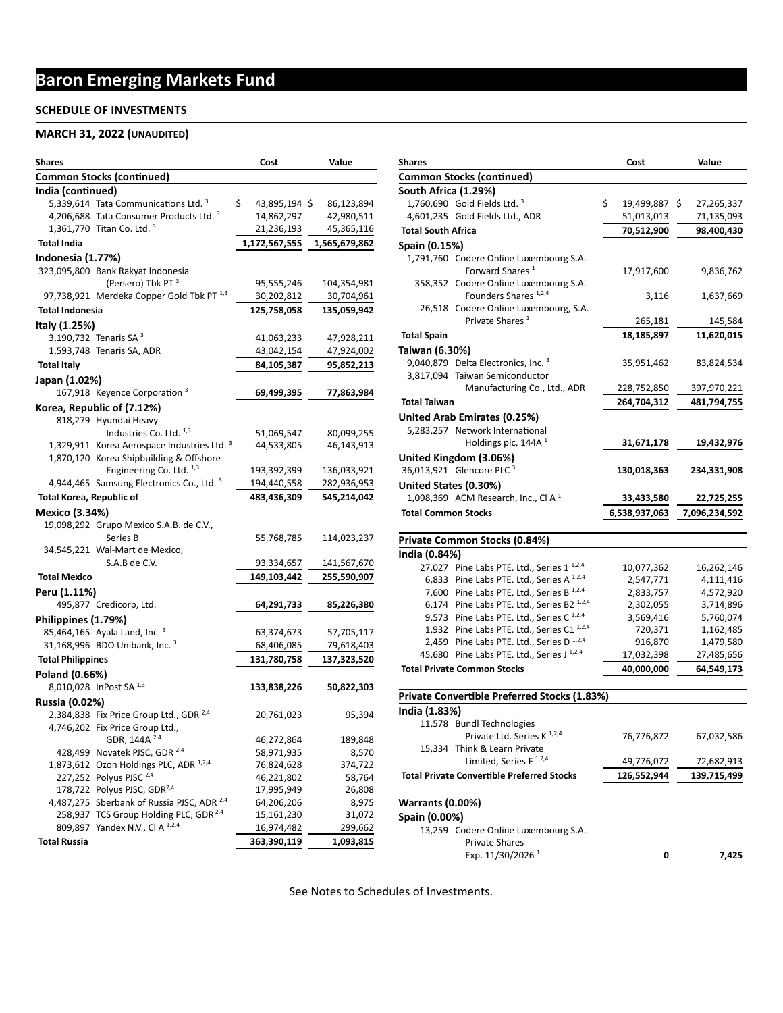# **Baron Emerging Markets Fund**

#### **SCHEDULE OF INVESTMENTS**

### **MARCH 31, 2022 (UNAUDITED)**

| <b>Shares</b>                    |                                                                                                            | Cost                     | Value             |  |  |
|----------------------------------|------------------------------------------------------------------------------------------------------------|--------------------------|-------------------|--|--|
| <b>Common Stocks (continued)</b> |                                                                                                            |                          |                   |  |  |
| India (continued)                |                                                                                                            |                          |                   |  |  |
|                                  | 5,339,614 Tata Communications Ltd. <sup>3</sup>                                                            | \$<br>43,895,194 \$      | 86,123,894        |  |  |
|                                  | 4,206,688 Tata Consumer Products Ltd. 3                                                                    | 14,862,297               | 42,980,511        |  |  |
|                                  | 1,361,770 Titan Co. Ltd. $3$                                                                               | 21,236,193               | 45,365,116        |  |  |
| <b>Total India</b>               |                                                                                                            | 1,172,567,555            | 1,565,679,862     |  |  |
| Indonesia (1.77%)                |                                                                                                            |                          |                   |  |  |
|                                  | 323,095,800 Bank Rakyat Indonesia                                                                          |                          |                   |  |  |
|                                  | (Persero) Tbk PT <sup>3</sup>                                                                              | 95,555,246               | 104,354,981       |  |  |
|                                  | 97,738,921 Merdeka Copper Gold Tbk PT $^{1,3}$                                                             | 30,202,812               | 30,704,961        |  |  |
| <b>Total Indonesia</b>           |                                                                                                            | 125,758,058              | 135,059,942       |  |  |
| Italy (1.25%)                    |                                                                                                            |                          |                   |  |  |
|                                  | 3,190,732 Tenaris SA $3$                                                                                   | 41,063,233               | 47,928,211        |  |  |
|                                  | 1,593,748 Tenaris SA, ADR                                                                                  | 43,042,154               | 47,924,002        |  |  |
| <b>Total Italy</b>               |                                                                                                            | 84,105,387               | 95,852,213        |  |  |
| Japan (1.02%)                    |                                                                                                            |                          |                   |  |  |
|                                  | 167,918 Keyence Corporation <sup>3</sup>                                                                   | 69,499,395               | 77,863,984        |  |  |
|                                  | Korea, Republic of (7.12%)                                                                                 |                          |                   |  |  |
|                                  | 818,279 Hyundai Heavy                                                                                      |                          |                   |  |  |
|                                  | Industries Co. Ltd. 1,3                                                                                    | 51,069,547               | 80,099,255        |  |  |
|                                  | 1,329,911 Korea Aerospace Industries Ltd. $3$                                                              | 44,533,805               | 46,143,913        |  |  |
|                                  | 1,870,120 Korea Shipbuilding & Offshore                                                                    |                          |                   |  |  |
|                                  | Engineering Co. Ltd. $1,3$                                                                                 | 193,392,399              | 136,033,921       |  |  |
|                                  | 4,944,465 Samsung Electronics Co., Ltd. 3                                                                  | 194,440,558              | 282,936,953       |  |  |
| <b>Total Korea, Republic of</b>  |                                                                                                            | 483,436,309              | 545,214,042       |  |  |
| <b>Mexico (3.34%)</b>            |                                                                                                            |                          |                   |  |  |
|                                  | 19,098,292 Grupo Mexico S.A.B. de C.V.,                                                                    |                          |                   |  |  |
|                                  | Series B                                                                                                   | 55,768,785               | 114,023,237       |  |  |
|                                  | 34,545,221 Wal-Mart de Mexico,                                                                             |                          |                   |  |  |
|                                  | S.A.B de C.V.                                                                                              | 93,334,657               | 141,567,670       |  |  |
| <b>Total Mexico</b>              |                                                                                                            | 149,103,442              | 255,590,907       |  |  |
| Peru (1.11%)                     |                                                                                                            |                          |                   |  |  |
|                                  | 495,877 Credicorp, Ltd.                                                                                    | 64,291,733               | 85,226,380        |  |  |
| Philippines (1.79%)              |                                                                                                            |                          |                   |  |  |
|                                  | 85,464,165 Ayala Land, Inc. 3                                                                              | 63,374,673               | 57,705,117        |  |  |
|                                  | 31,168,996 BDO Unibank, Inc. 3                                                                             | 68,406,085               | 79,618,403        |  |  |
| <b>Total Philippines</b>         |                                                                                                            | 131,780,758              | 137,323,520       |  |  |
| Poland (0.66%)                   |                                                                                                            |                          |                   |  |  |
|                                  | 8,010,028 InPost SA 1,3                                                                                    | 133,838,226              | 50,822,303        |  |  |
| <b>Russia (0.02%)</b>            |                                                                                                            |                          |                   |  |  |
|                                  | 2,384,838 Fix Price Group Ltd., GDR <sup>2,4</sup>                                                         | 20,761,023               | 95,394            |  |  |
|                                  | 4,746,202 Fix Price Group Ltd.,                                                                            |                          |                   |  |  |
|                                  | GDR, 144A <sup>2,4</sup>                                                                                   | 46,272,864               | 189,848           |  |  |
|                                  | 428,499 Novatek PJSC, GDR <sup>2,4</sup>                                                                   | 58,971,935               | 8,570             |  |  |
|                                  | 1,873,612 Ozon Holdings PLC, ADR 1,2,4                                                                     | 76,824,628               | 374,722           |  |  |
|                                  | 227,252 Polyus PJSC 2,4                                                                                    | 46,221,802               | 58,764            |  |  |
|                                  | 178,722 Polyus PJSC, GDR <sup>2,4</sup>                                                                    | 17,995,949               | 26,808            |  |  |
|                                  | 4,487,275 Sberbank of Russia PJSC, ADR <sup>2,4</sup><br>258,937 TCS Group Holding PLC, GDR <sup>2,4</sup> | 64,206,206<br>15,161,230 | 8,975             |  |  |
|                                  | 809,897 Yandex N.V., Cl A 1,2,4                                                                            | 16,974,482               | 31,072<br>299,662 |  |  |
|                                  |                                                                                                            |                          |                   |  |  |
| <b>Total Russia</b>              |                                                                                                            | 363,390,119              | 1,093,815         |  |  |

| Shares                     |                                                       | Cost             | Value            |
|----------------------------|-------------------------------------------------------|------------------|------------------|
|                            | <b>Common Stocks (continued)</b>                      |                  |                  |
| South Africa (1.29%)       |                                                       |                  |                  |
|                            | 1,760,690 Gold Fields Ltd. $3$                        | \$<br>19,499,887 | \$<br>27,265,337 |
|                            | 4,601,235 Gold Fields Ltd., ADR                       | 51,013,013       | 71,135,093       |
| <b>Total South Africa</b>  |                                                       | 70,512,900       | 98,400,430       |
| Spain (0.15%)              |                                                       |                  |                  |
|                            | 1,791,760 Codere Online Luxembourg S.A.               |                  |                  |
|                            | Forward Shares <sup>1</sup>                           | 17,917,600       | 9,836,762        |
|                            | 358,352 Codere Online Luxembourg S.A.                 |                  |                  |
|                            | Founders Shares 1,2,4                                 | 3,116            | 1,637,669        |
|                            | 26,518 Codere Online Luxembourg, S.A.                 |                  |                  |
|                            | Private Shares <sup>1</sup>                           | 265,181          | 145,584          |
| <b>Total Spain</b>         |                                                       | 18,185,897       | 11,620,015       |
| Taiwan (6.30%)             |                                                       |                  |                  |
|                            | 9,040,879 Delta Electronics, Inc. 3                   | 35,951,462       | 83,824,534       |
|                            | 3,817,094 Taiwan Semiconductor                        |                  |                  |
|                            | Manufacturing Co., Ltd., ADR                          | 228,752,850      | 397,970,221      |
| <b>Total Taiwan</b>        |                                                       | 264,704,312      | 481,794,755      |
|                            | United Arab Emirates (0.25%)                          |                  |                  |
|                            | 5,283,257 Network International                       |                  |                  |
|                            | Holdings plc, 144A <sup>1</sup>                       | 31,671,178       | 19,432,976       |
|                            |                                                       |                  |                  |
|                            | United Kingdom (3.06%)<br>36,013,921 Glencore PLC 3   |                  |                  |
|                            |                                                       | 130,018,363      | 234,331,908      |
| United States (0.30%)      |                                                       |                  |                  |
|                            | 1,098,369 ACM Research, Inc., Cl A $1$                | 33,433,580       | 22,725,255       |
| <b>Total Common Stocks</b> |                                                       | 6,538,937,063    | 7,096,234,592    |
|                            | Private Common Stocks (0.84%)                         |                  |                  |
| India (0.84%)              |                                                       |                  |                  |
|                            | 27,027 Pine Labs PTE. Ltd., Series 1 <sup>1,2,4</sup> | 10,077,362       | 16,262,146       |
|                            | 6,833 Pine Labs PTE. Ltd., Series A 1,2,4             | 2,547,771        | 4,111,416        |
|                            | 7,600 Pine Labs PTE. Ltd., Series B 1,2,4             | 2,833,757        | 4,572,920        |
|                            | 6,174 Pine Labs PTE. Ltd., Series B2 1,2,4            | 2,302,055        | 3,714,896        |
|                            | 9,573 Pine Labs PTE. Ltd., Series C <sup>1,2,4</sup>  | 3,569,416        | 5,760,074        |
|                            | 1,932 Pine Labs PTE. Ltd., Series C1 1,2,4            | 720,371          | 1,162,485        |
|                            | 2,459 Pine Labs PTE. Ltd., Series D <sup>1,2,4</sup>  | 916,870          | 1,479,580        |
|                            | 45,680 Pine Labs PTE. Ltd., Series J 1,2,4            | 17,032,398       | 27,485,656       |
|                            | <b>Total Private Common Stocks</b>                    | 40,000,000       | 64,549,173       |
|                            | <b>Private Convertible Preferred Stocks (1.83%)</b>   |                  |                  |
| India (1.83%)              |                                                       |                  |                  |
|                            | 11,578 Bundl Technologies                             |                  |                  |
|                            |                                                       |                  |                  |
|                            |                                                       |                  |                  |
|                            | Private Ltd. Series K <sup>1,2,4</sup>                | 76,776,872       | 67,032,586       |
|                            | 15,334 Think & Learn Private                          |                  |                  |
|                            | Limited, Series F <sup>1,2,4</sup>                    | 49,776,072       | 72,682,913       |
|                            | <b>Total Private Convertible Preferred Stocks</b>     | 126,552,944      | 139,715,499      |
| <b>Warrants (0.00%)</b>    |                                                       |                  |                  |
| Spain (0.00%)              |                                                       |                  |                  |
|                            | 13,259 Codere Online Luxembourg S.A.                  |                  |                  |
|                            | <b>Private Shares</b>                                 |                  |                  |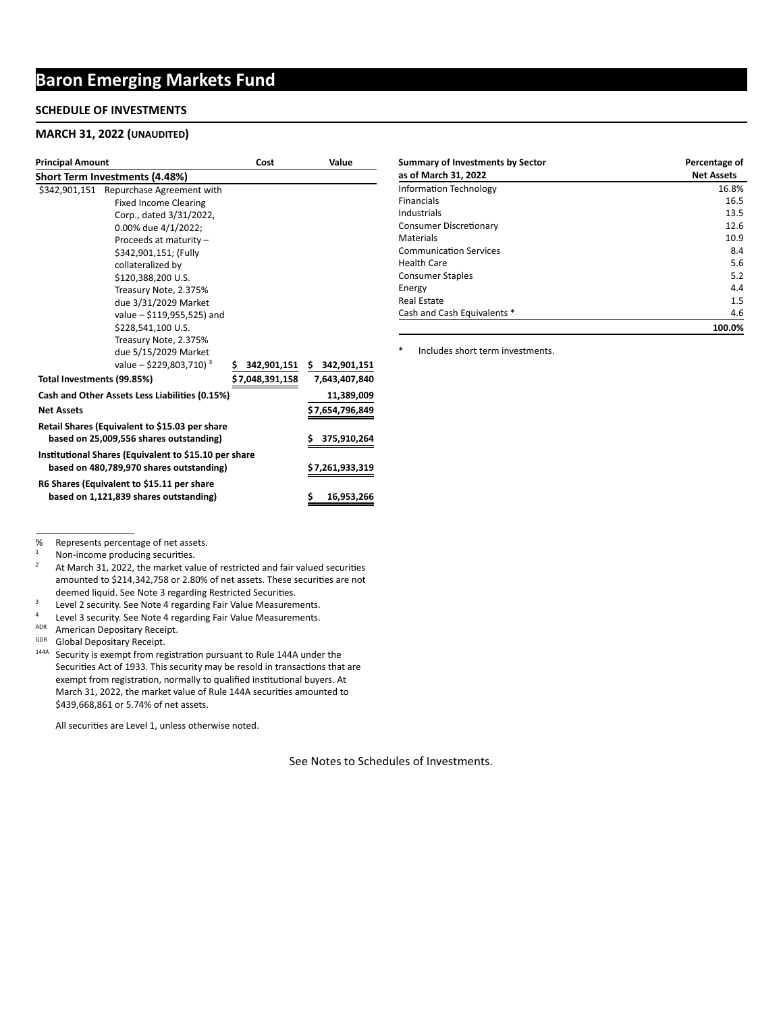## **Baron Emerging Markets Fund**

#### **SCHEDULE OF INVESTMENTS**

#### **MARCH 31, 2022 (UNAUDITED)**

| <b>Principal Amount</b>               |                                                       | Cost                  | Value           |
|---------------------------------------|-------------------------------------------------------|-----------------------|-----------------|
| <b>Short Term Investments (4.48%)</b> |                                                       |                       |                 |
|                                       | \$342,901,151 Repurchase Agreement with               |                       |                 |
|                                       | <b>Fixed Income Clearing</b>                          |                       |                 |
|                                       | Corp., dated 3/31/2022,                               |                       |                 |
|                                       | 0.00% due 4/1/2022;                                   |                       |                 |
|                                       | Proceeds at maturity -                                |                       |                 |
|                                       | \$342,901,151; (Fully                                 |                       |                 |
|                                       | collateralized by                                     |                       |                 |
|                                       | \$120,388,200 U.S.                                    |                       |                 |
|                                       | Treasury Note, 2.375%                                 |                       |                 |
|                                       | due 3/31/2029 Market                                  |                       |                 |
|                                       | value - \$119,955,525) and                            |                       |                 |
|                                       | \$228,541,100 U.S.                                    |                       |                 |
|                                       | Treasury Note, 2.375%                                 |                       |                 |
|                                       | due 5/15/2029 Market                                  |                       |                 |
|                                       | value - \$229,803,710) <sup>3</sup>                   | 342,901,151 \$<br>\$. | 342,901,151     |
| Total Investments (99.85%)            |                                                       | \$ 7,048,391,158      | 7,643,407,840   |
|                                       | Cash and Other Assets Less Liabilities (0.15%)        |                       | 11,389,009      |
| <b>Net Assets</b>                     |                                                       |                       | \$7,654,796,849 |
|                                       | Retail Shares (Equivalent to \$15.03 per share        |                       |                 |
|                                       | based on 25,009,556 shares outstanding)               |                       | 375,910,264     |
|                                       | Institutional Shares (Equivalent to \$15.10 per share |                       |                 |
|                                       | based on 480,789,970 shares outstanding)              |                       | \$7,261,933,319 |
|                                       | R6 Shares (Equivalent to \$15.11 per share            |                       |                 |
|                                       | based on 1,121,839 shares outstanding)                |                       | 16,953,266      |

| <b>Summary of Investments by Sector</b> | Percentage of     |
|-----------------------------------------|-------------------|
| as of March 31, 2022                    | <b>Net Assets</b> |
| <b>Information Technology</b>           | 16.8%             |
| Financials                              | 16.5              |
| Industrials                             | 13.5              |
| <b>Consumer Discretionary</b>           | 12.6              |
| Materials                               | 10.9              |
| <b>Communication Services</b>           | 8.4               |
| <b>Health Care</b>                      | 5.6               |
| <b>Consumer Staples</b>                 | 5.2               |
| Energy                                  | 4.4               |
| Real Estate                             | 1.5               |
| Cash and Cash Equivalents *             | 4.6               |
|                                         | 100.0%            |

\* Includes short term investments.

% Represents percentage of net assets.<br> $\frac{1}{1}$  New income are due in a securities.

 $1$  Non-income producing securities.

<sup>2</sup> At March 31, 2022, the market value of restricted and fair valued securities amounted to \$214,342,758 or 2.80% of net assets. These securities are not deemed liquid. See Note 3 regarding Restricted Securities.

<sup>3</sup> Level 2 security. See Note 4 regarding Fair Value Measurements.<br> $\frac{4}{10}$  Lovel 3 security. See Note 4 regarding Fair Value Measurements.

<sup>4</sup> Level 3 security. See Note 4 regarding Fair Value Measurements.<br> $\frac{\text{ADR}}{\text{ADR}}$  American Depositary Peccipt

ADR American Depositary Receipt.

Global Depositary Receipt.

<sup>144A</sup> Security is exempt from registration pursuant to Rule 144A under the Securities Act of 1933. This security may be resold in transactions that are exempt from registration, normally to qualified institutional buyers. At March 31, 2022, the market value of Rule 144A securities amounted to \$439,668,861 or 5.74% of net assets.

All securities are Level 1, unless otherwise noted.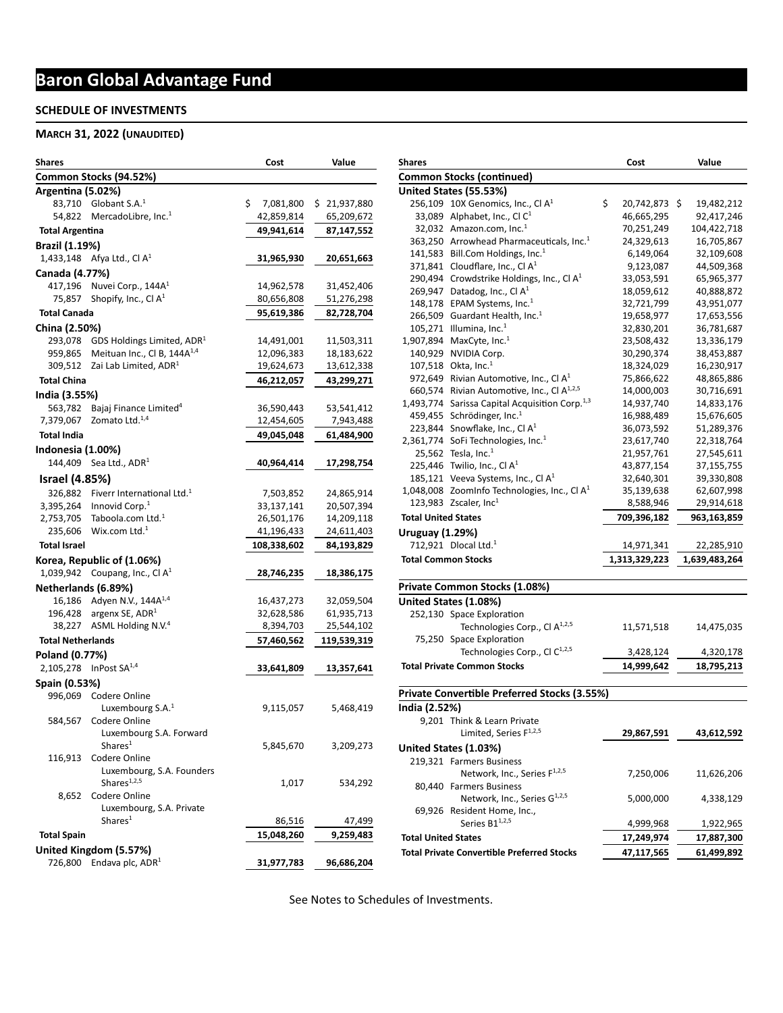# **Baron Global Advantage Fund**

#### **SCHEDULE OF INVESTMENTS**

#### **MARCH 31, 2022 (UNAUDITED)**

| Shares                   |                                                                      | Cost                    | Value                    |
|--------------------------|----------------------------------------------------------------------|-------------------------|--------------------------|
|                          | Common Stocks (94.52%)                                               |                         |                          |
| Argentina (5.02%)        |                                                                      |                         |                          |
|                          | 83,710 Globant S.A. <sup>1</sup>                                     | \$.<br>7,081,800        | \$21,937,880             |
| 54,822                   | MercadoLibre, Inc. <sup>1</sup>                                      | 42,859,814              | 65,209,672               |
| <b>Total Argentina</b>   |                                                                      | 49,941,614              | 87,147,552               |
| <b>Brazil (1.19%)</b>    |                                                                      |                         |                          |
|                          | 1,433,148 Afya Ltd., Cl $A^1$                                        | 31,965,930              | 20,651,663               |
| Canada (4.77%)           |                                                                      |                         |                          |
|                          | 417,196 Nuvei Corp., $144A1$                                         | 14,962,578              | 31,452,406               |
| 75.857                   | Shopify, Inc., Cl $A^1$                                              | 80,656,808              | 51,276,298               |
| <b>Total Canada</b>      |                                                                      | 95,619,386              | 82,728,704               |
| China (2.50%)            |                                                                      |                         |                          |
| 293,078                  | GDS Holdings Limited, ADR <sup>1</sup>                               | 14,491,001              | 11,503,311               |
| 959,865                  | Meituan Inc., Cl B, $144A^{1,4}$                                     | 12,096,383              | 18,183,622               |
|                          | 309,512 Zai Lab Limited, ADR <sup>1</sup>                            | 19,624,673              | 13,612,338               |
| <b>Total China</b>       |                                                                      | 46,212,057              | 43,299,271               |
| India (3.55%)            |                                                                      |                         |                          |
| 563,782                  | Bajaj Finance Limited <sup>4</sup>                                   | 36,590,443              | 53,541,412               |
| 7,379,067                | Zomato Ltd. <sup>1,4</sup>                                           | 12,454,605              | 7,943,488                |
| <b>Total India</b>       |                                                                      | 49,045,048              | 61,484,900               |
| Indonesia (1.00%)        |                                                                      |                         |                          |
| 144,409                  | Sea Ltd., ADR <sup>1</sup>                                           | 40,964,414              | 17,298,754               |
| <b>Israel (4.85%)</b>    |                                                                      |                         |                          |
|                          |                                                                      |                         |                          |
| 326,882<br>3,395,264     | Fiverr International Ltd. <sup>1</sup><br>Innovid Corp. <sup>1</sup> | 7,503,852<br>33,137,141 | 24,865,914               |
| 2,753,705                | Taboola.com Ltd. <sup>1</sup>                                        | 26,501,176              | 20,507,394<br>14,209,118 |
| 235,606                  | Wix.com Ltd. $1$                                                     | 41,196,433              | 24,611,403               |
| <b>Total Israel</b>      |                                                                      | 108,338,602             | 84,193,829               |
|                          |                                                                      |                         |                          |
|                          | Korea, Republic of (1.06%)<br>1,039,942 Coupang, Inc., Cl $A^1$      |                         |                          |
|                          |                                                                      | 28,746,235              | 18,386,175               |
| Netherlands (6.89%)      |                                                                      |                         |                          |
|                          | 16,186 Adyen N.V., 144A <sup>1,4</sup>                               | 16,437,273              | 32,059,504               |
|                          | 196,428 argenx SE, $ADR1$<br>38,227 ASML Holding N.V. <sup>4</sup>   | 32,628,586              | 61,935,713               |
|                          |                                                                      | 8,394,703               | 25,544,102               |
| <b>Total Netherlands</b> |                                                                      | 57,460,562              | 119,539,319              |
| Poland (0.77%)           |                                                                      |                         |                          |
|                          | 2,105,278 InPost SA $^{1,4}$                                         | 33,641,809              | 13,357,641               |
| Spain (0.53%)            |                                                                      |                         |                          |
|                          | 996,069 Codere Online                                                |                         |                          |
|                          | Luxembourg $S.A.^1$                                                  | 9,115,057               | 5,468,419                |
| 584,567                  | Codere Online                                                        |                         |                          |
|                          | Luxembourg S.A. Forward<br>Shares <sup>1</sup>                       | 5,845,670               | 3,209,273                |
| 116,913                  | Codere Online                                                        |                         |                          |
|                          | Luxembourg, S.A. Founders                                            |                         |                          |
|                          | Shares <sup>1,2,5</sup>                                              | 1,017                   | 534,292                  |
| 8,652                    | Codere Online                                                        |                         |                          |
|                          | Luxembourg, S.A. Private                                             |                         |                          |
|                          | Shares <sup>1</sup>                                                  | 86,516                  | 47,499                   |
| <b>Total Spain</b>       |                                                                      | 15,048,260              | 9,259,483                |
|                          | United Kingdom (5.57%)                                               |                         |                          |
| 726,800                  | Endava plc, ADR <sup>1</sup>                                         | 31,977,783              | 96,686,204               |
|                          |                                                                      |                         |                          |

| <b>Shares</b>                      |                                                            |    | Cost          |  | Value         |  |  |
|------------------------------------|------------------------------------------------------------|----|---------------|--|---------------|--|--|
|                                    | <b>Common Stocks (continued)</b>                           |    |               |  |               |  |  |
|                                    | United States (55.53%)                                     |    |               |  |               |  |  |
|                                    | 256,109 10X Genomics, Inc., Cl $A^1$                       | \$ | 20,742,873 \$ |  | 19,482,212    |  |  |
|                                    | 33,089 Alphabet, Inc., Cl $C^1$                            |    | 46,665,295    |  | 92,417,246    |  |  |
|                                    | 32,032 Amazon.com, Inc. $1$                                |    | 70,251,249    |  | 104,422,718   |  |  |
|                                    | 363,250 Arrowhead Pharmaceuticals, Inc. <sup>1</sup>       |    | 24,329,613    |  | 16,705,867    |  |  |
|                                    | 141,583 Bill.Com Holdings, Inc. $1$                        |    | 6,149,064     |  | 32,109,608    |  |  |
|                                    | 371,841 Cloudflare, Inc., Cl $A^1$                         |    | 9,123,087     |  | 44,509,368    |  |  |
|                                    | 290,494 Crowdstrike Holdings, Inc., Cl $A1$                |    | 33,053,591    |  | 65,965,377    |  |  |
|                                    | 269,947 Datadog, Inc., Cl $A^1$                            |    | 18,059,612    |  | 40,888,872    |  |  |
|                                    | 148,178 EPAM Systems, Inc. <sup>1</sup>                    |    | 32,721,799    |  | 43,951,077    |  |  |
|                                    | 266,509 Guardant Health, Inc. <sup>1</sup>                 |    | 19,658,977    |  | 17,653,556    |  |  |
|                                    | 105,271 Illumina, Inc. $1$                                 |    | 32,830,201    |  | 36,781,687    |  |  |
|                                    | 1,907,894 MaxCyte, Inc. <sup>1</sup>                       |    | 23,508,432    |  | 13,336,179    |  |  |
| 140,929                            | NVIDIA Corp.                                               |    | 30,290,374    |  | 38,453,887    |  |  |
|                                    | 107,518 Okta, Inc. $1$                                     |    | 18,324,029    |  | 16,230,917    |  |  |
|                                    | 972,649 Rivian Automotive, Inc., Cl $A^1$                  |    | 75,866,622    |  | 48,865,886    |  |  |
|                                    | 660,574 Rivian Automotive, Inc., Cl A <sup>1,2,5</sup>     |    | 14,000,003    |  | 30,716,691    |  |  |
|                                    | 1,493,774 Sarissa Capital Acquisition Corp. <sup>1,3</sup> |    | 14,937,740    |  | 14,833,176    |  |  |
|                                    | 459,455 Schrödinger, Inc. <sup>1</sup>                     |    | 16,988,489    |  | 15,676,605    |  |  |
|                                    | 223,844 Snowflake, Inc., Cl $A^1$                          |    | 36,073,592    |  | 51,289,376    |  |  |
|                                    | 2,361,774 SoFi Technologies, Inc. <sup>1</sup>             |    | 23,617,740    |  | 22,318,764    |  |  |
|                                    | 25,562 Tesla, Inc. <sup>1</sup>                            |    | 21,957,761    |  | 27,545,611    |  |  |
|                                    | 225,446 Twilio, Inc., Cl $A1$                              |    | 43,877,154    |  | 37,155,755    |  |  |
|                                    | 185,121 Veeva Systems, Inc., Cl $A1$                       |    | 32,640,301    |  | 39,330,808    |  |  |
|                                    | 1,048,008 ZoomInfo Technologies, Inc., Cl $A1$             |    | 35,139,638    |  | 62,607,998    |  |  |
|                                    | 123,983 Zscaler, Inc $^1$                                  |    | 8,588,946     |  | 29,914,618    |  |  |
| <b>Total United States</b>         |                                                            |    | 709,396,182   |  | 963,163,859   |  |  |
| <b>Uruguay (1.29%)</b>             |                                                            |    |               |  |               |  |  |
|                                    | 712,921 Dlocal Ltd. $1$                                    |    | 14,971,341    |  | 22,285,910    |  |  |
| <b>Total Common Stocks</b>         |                                                            |    | 1,313,329,223 |  | 1,639,483,264 |  |  |
|                                    | Private Common Stocks (1.08%)                              |    |               |  |               |  |  |
|                                    | United States (1.08%)                                      |    |               |  |               |  |  |
|                                    | 252,130 Space Exploration                                  |    |               |  |               |  |  |
|                                    | Technologies Corp., Cl A <sup>1,2,5</sup>                  |    | 11,571,518    |  | 14,475,035    |  |  |
|                                    | 75,250 Space Exploration                                   |    |               |  |               |  |  |
|                                    | Technologies Corp., Cl C <sup>1,2,5</sup>                  |    | 3,428,124     |  | 4,320,178     |  |  |
| <b>Total Private Common Stocks</b> |                                                            |    | 14,999,642    |  | 18,795,213    |  |  |
|                                    | <b>Private Convertible Preferred Stocks (3.55%)</b>        |    |               |  |               |  |  |

**India (2.52%)** 9,201 Think & Learn Private Limited, Series F1,2,5 **29,867,591 43,612,592 United States (1.03%)** 219,321 Farmers Business Network, Inc., Series F<sup>1,2,5</sup> 7,250,006 11,626,206 80,440 Farmers Business Network, Inc., Series  $G^{1,2,5}$  5,000,000 4,338,129 69,926 Resident Home, Inc., Series B1<sup>1,2,5</sup> 4,999,968 1,922,965  **Total United States 17,249,974 17,887,300**  Total Private Convertible Preferred Stocks 47,117,565 61,499,892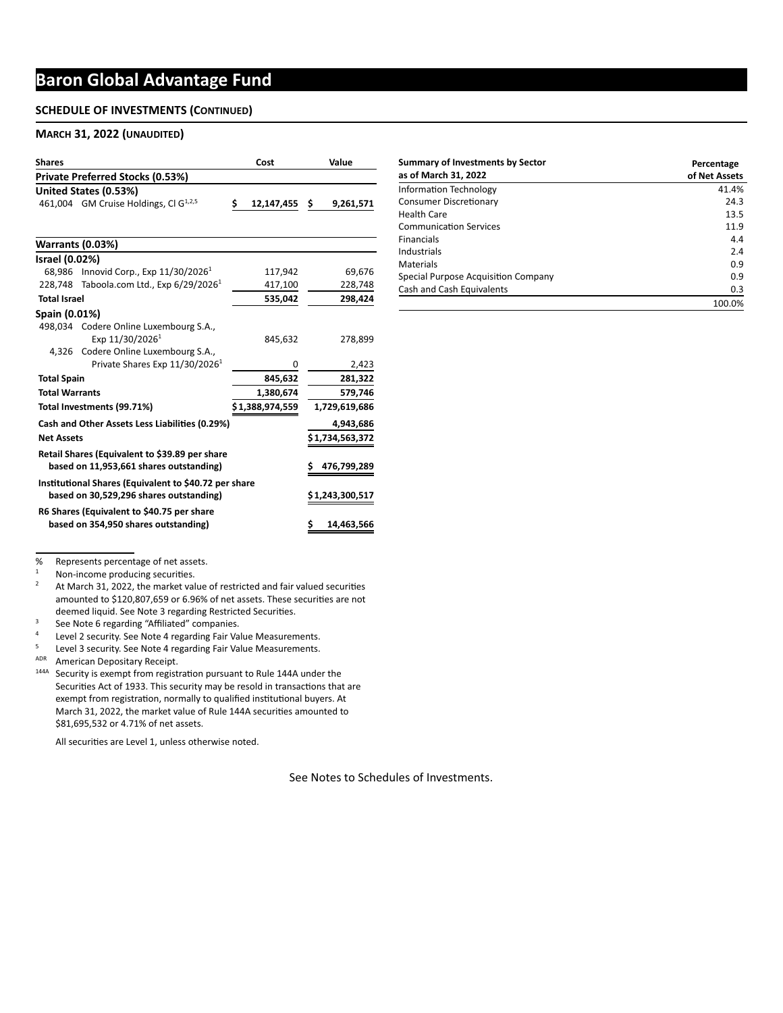## **Baron Global Advantage Fund**

#### **SCHEDULE OF INVESTMENTS (CONTINUED)**

#### **MARCH 31, 2022 (UNAUDITED)**

| <b>Shares</b>           |                                                                                                  | Cost                | Value           |
|-------------------------|--------------------------------------------------------------------------------------------------|---------------------|-----------------|
|                         | Private Preferred Stocks (0.53%)                                                                 |                     |                 |
|                         | United States (0.53%)                                                                            |                     |                 |
|                         | 461,004 GM Cruise Holdings, Cl G <sup>1,2,5</sup>                                                | \$<br>12,147,455 \$ | 9,261,571       |
|                         |                                                                                                  |                     |                 |
| <b>Warrants (0.03%)</b> |                                                                                                  |                     |                 |
| Israel (0.02%)          |                                                                                                  |                     |                 |
|                         | 68,986 Innovid Corp., Exp 11/30/2026 <sup>1</sup>                                                | 117,942             | 69,676          |
|                         | 228,748 Taboola.com Ltd., Exp $6/29/20261$                                                       | 417,100             | 228,748         |
| <b>Total Israel</b>     |                                                                                                  | 535,042             | 298,424         |
| Spain (0.01%)           |                                                                                                  |                     |                 |
|                         | 498,034 Codere Online Luxembourg S.A.,<br>Exp 11/30/2026 <sup>1</sup>                            | 845,632             | 278,899         |
|                         | 4,326 Codere Online Luxembourg S.A.,                                                             |                     |                 |
|                         | Private Shares Exp 11/30/2026 <sup>1</sup>                                                       | 0                   | 2,423           |
| <b>Total Spain</b>      |                                                                                                  | 845,632             | 281,322         |
| <b>Total Warrants</b>   |                                                                                                  | 1,380,674           | 579,746         |
|                         | Total Investments (99.71%)                                                                       | \$1,388,974,559     | 1,729,619,686   |
|                         | Cash and Other Assets Less Liabilities (0.29%)                                                   |                     | 4,943,686       |
| <b>Net Assets</b>       |                                                                                                  |                     | \$1,734,563,372 |
|                         | Retail Shares (Equivalent to \$39.89 per share                                                   |                     |                 |
|                         | based on 11,953,661 shares outstanding)                                                          |                     | 476,799,289     |
|                         | Institutional Shares (Equivalent to \$40.72 per share<br>based on 30,529,296 shares outstanding) |                     | \$1,243,300,517 |
|                         |                                                                                                  |                     |                 |
|                         | R6 Shares (Equivalent to \$40.75 per share<br>based on 354,950 shares outstanding)               |                     | 14,463,566      |
|                         |                                                                                                  |                     |                 |

| <b>Summary of Investments by Sector</b> | Percentage    |
|-----------------------------------------|---------------|
| as of March 31, 2022                    | of Net Assets |
| <b>Information Technology</b>           | 41.4%         |
| Consumer Discretionary                  | 24.3          |
| Health Care                             | 13.5          |
| <b>Communication Services</b>           | 11.9          |
| <b>Financials</b>                       | 4.4           |
| Industrials                             | 2.4           |
| Materials                               | 0.9           |
| Special Purpose Acquisition Company     | 0.9           |
| Cash and Cash Equivalents               | 0.3           |
|                                         | 100.0%        |

% Represents percentage of net assets.<br> $\frac{1}{1}$  Non-income producing socurities

 $1$  Non-income producing securities.

<sup>2</sup> At March 31, 2022, the market value of restricted and fair valued securities amounted to \$120,807,659 or 6.96% of net assets. These securities are not deemed liquid. See Note 3 regarding Restricted Securities.

<sup>3</sup> See Note 6 regarding "Affiliated" companies.<br><sup>4</sup> Lovel 2 security, See Note 4 regarding Fair Va

<sup>4</sup> Level 2 security. See Note 4 regarding Fair Value Measurements.<br> $\frac{5}{2}$  Lavel 2 security. See Note 4 regarding Fair Value Measurements.

Level 3 security. See Note 4 regarding Fair Value Measurements.

ADR American Depositary Receipt.

<sup>144A</sup> Security is exempt from registration pursuant to Rule 144A under the Securities Act of 1933. This security may be resold in transactions that are exempt from registration, normally to qualified institutional buyers. At March 31, 2022, the market value of Rule 144A securities amounted to \$81,695,532 or 4.71% of net assets.

All securities are Level 1, unless otherwise noted.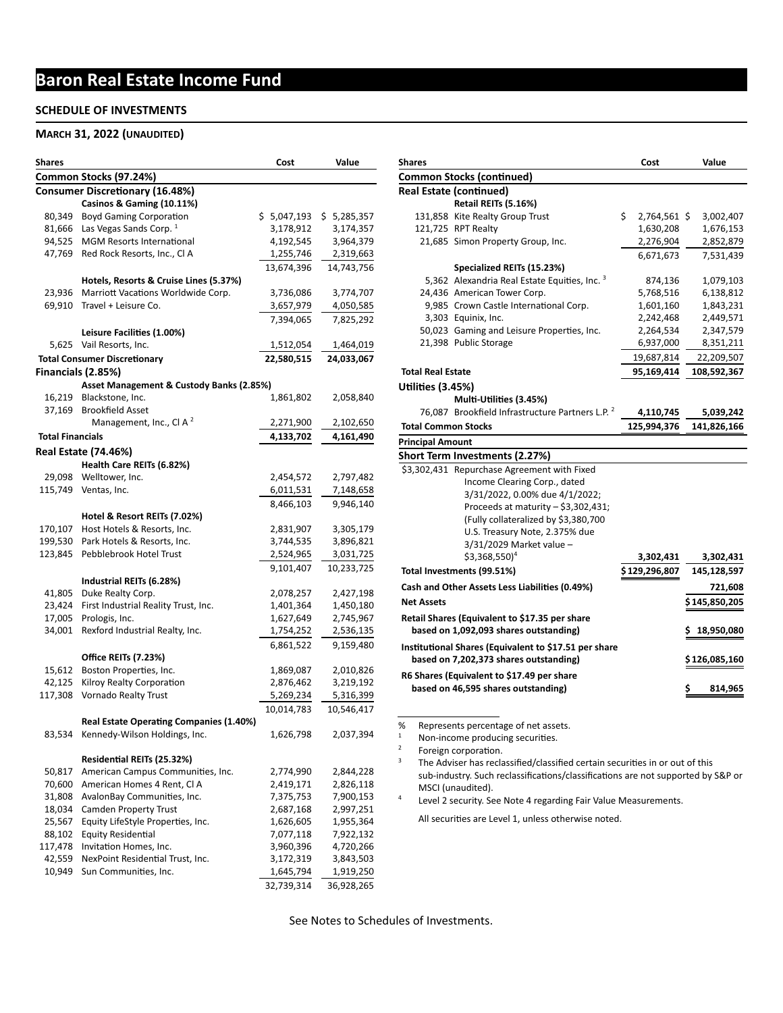# **Baron Real Estate Income Fund**

#### **SCHEDULE OF INVESTMENTS**

#### **MARCH 31, 2022 (UNAUDITED)**

| Shares                  |                                          | Cost        | Value       |
|-------------------------|------------------------------------------|-------------|-------------|
|                         | Common Stocks (97.24%)                   |             |             |
|                         | <b>Consumer Discretionary (16.48%)</b>   |             |             |
|                         | Casinos & Gaming (10.11%)                |             |             |
| 80,349                  | <b>Boyd Gaming Corporation</b>           | \$5,047,193 | \$5,285,357 |
| 81,666                  | Las Vegas Sands Corp. <sup>1</sup>       | 3,178,912   | 3,174,357   |
| 94,525                  | <b>MGM Resorts International</b>         | 4,192,545   | 3,964,379   |
| 47,769                  | Red Rock Resorts, Inc., CI A             | 1,255,746   | 2,319,663   |
|                         |                                          | 13,674,396  | 14,743,756  |
|                         | Hotels, Resorts & Cruise Lines (5.37%)   |             |             |
| 23,936                  | Marriott Vacations Worldwide Corp.       | 3,736,086   | 3,774,707   |
| 69,910                  | Travel + Leisure Co.                     | 3,657,979   | 4,050,585   |
|                         |                                          | 7,394,065   | 7,825,292   |
|                         | Leisure Facilities (1.00%)               |             |             |
|                         | 5,625 Vail Resorts, Inc.                 | 1,512,054   | 1,464,019   |
|                         | <b>Total Consumer Discretionary</b>      | 22,580,515  | 24,033,067  |
|                         | Financials (2.85%)                       |             |             |
|                         | Asset Management & Custody Banks (2.85%) |             |             |
|                         | 16,219 Blackstone, Inc.                  | 1,861,802   | 2,058,840   |
| 37,169                  | <b>Brookfield Asset</b>                  |             |             |
|                         | Management, Inc., CI A <sup>2</sup>      | 2,271,900   | 2,102,650   |
| <b>Total Financials</b> |                                          | 4,133,702   | 4,161,490   |
|                         | <b>Real Estate (74.46%)</b>              |             |             |
|                         | Health Care REITs (6.82%)                |             |             |
|                         | 29,098 Welltower, Inc.                   | 2,454,572   | 2,797,482   |
|                         | 115,749 Ventas, Inc.                     | 6,011,531   | 7,148,658   |
|                         |                                          | 8,466,103   | 9,946,140   |
|                         | Hotel & Resort REITs (7.02%)             |             |             |
| 170,107                 | Host Hotels & Resorts, Inc.              | 2,831,907   | 3,305,179   |
| 199,530                 | Park Hotels & Resorts, Inc.              | 3,744,535   | 3,896,821   |
| 123,845                 | Pebblebrook Hotel Trust                  | 2,524,965   | 3,031,725   |
|                         |                                          | 9,101,407   | 10,233,725  |
|                         | Industrial REITs (6.28%)                 |             |             |
| 41,805                  | Duke Realty Corp.                        | 2,078,257   | 2,427,198   |
| 23,424                  | First Industrial Reality Trust, Inc.     | 1,401,364   | 1,450,180   |
| 17,005                  | Prologis, Inc.                           | 1,627,649   | 2,745,967   |
| 34,001                  | Rexford Industrial Realty, Inc.          | 1,754,252   | 2,536,135   |
|                         |                                          | 6,861,522   | 9,159,480   |
|                         | Office REITs (7.23%)                     |             |             |
| 15,612                  | Boston Properties, Inc.                  | 1,869,087   | 2,010,826   |
| 42,125                  | Kilroy Realty Corporation                | 2,876,462   | 3,219,192   |
| 117,308                 | Vornado Realty Trust                     | 5,269,234   | 5,316,399   |
|                         |                                          | 10,014,783  | 10,546,417  |
|                         | Real Estate Operating Companies (1.40%)  |             |             |
| 83,534                  | Kennedy-Wilson Holdings, Inc.            | 1,626,798   | 2,037,394   |
|                         |                                          |             |             |
|                         | Residential REITs (25.32%)               |             |             |
| 50,817                  | American Campus Communities, Inc.        | 2,774,990   | 2,844,228   |
| 70,600                  | American Homes 4 Rent, Cl A              | 2,419,171   | 2,826,118   |
| 31,808                  | AvalonBay Communities, Inc.              | 7,375,753   | 7,900,153   |
| 18,034                  | <b>Camden Property Trust</b>             | 2,687,168   | 2,997,251   |
| 25,567                  | Equity LifeStyle Properties, Inc.        | 1,626,605   | 1,955,364   |
| 88,102                  | <b>Equity Residential</b>                | 7,077,118   | 7,922,132   |
| 117,478                 | Invitation Homes, Inc.                   | 3,960,396   | 4,720,266   |
| 42,559                  | NexPoint Residential Trust, Inc.         | 3,172,319   | 3,843,503   |
| 10,949                  | Sun Communities, Inc.                    | 1,645,794   | 1,919,250   |
|                         |                                          | 32,739,314  | 36,928,265  |

| <b>Shares</b>              |                                                             |    | Cost           |   | Value          |
|----------------------------|-------------------------------------------------------------|----|----------------|---|----------------|
|                            | <b>Common Stocks (continued)</b>                            |    |                |   |                |
|                            | <b>Real Estate (continued)</b>                              |    |                |   |                |
|                            | Retail REITs (5.16%)                                        |    |                |   |                |
|                            | 131,858 Kite Realty Group Trust                             | Ś. | 2,764,561 \$   |   | 3,002,407      |
|                            | 121,725 RPT Realty                                          |    | 1,630,208      |   | 1,676,153      |
|                            | 21,685 Simon Property Group, Inc.                           |    | 2,276,904      |   | 2,852,879      |
|                            |                                                             |    | 6,671,673      |   | 7,531,439      |
|                            | Specialized REITs (15.23%)                                  |    |                |   |                |
|                            | 5,362 Alexandria Real Estate Equities, Inc. 3               |    | 874,136        |   | 1,079,103      |
|                            | 24,436 American Tower Corp.                                 |    | 5,768,516      |   | 6,138,812      |
|                            | 9,985 Crown Castle International Corp.                      |    | 1,601,160      |   | 1,843,231      |
|                            | 3,303 Equinix, Inc.                                         |    | 2,242,468      |   | 2,449,571      |
|                            | 50,023 Gaming and Leisure Properties, Inc.                  |    | 2,264,534      |   | 2,347,579      |
|                            | 21,398 Public Storage                                       |    | 6,937,000      |   | 8,351,211      |
|                            |                                                             |    | 19,687,814     |   | 22,209,507     |
| <b>Total Real Estate</b>   |                                                             |    | 95,169,414     |   | 108,592,367    |
| <b>Utilities (3.45%)</b>   |                                                             |    |                |   |                |
|                            | Multi-Utilities (3.45%)                                     |    |                |   |                |
|                            | 76,087 Brookfield Infrastructure Partners L.P. <sup>2</sup> |    | 4,110,745      |   | 5,039,242      |
| <b>Total Common Stocks</b> |                                                             |    | 125,994,376    |   | 141,826,166    |
| <b>Principal Amount</b>    |                                                             |    |                |   |                |
|                            | Short Term Investments (2.27%)                              |    |                |   |                |
|                            | \$3,302,431 Repurchase Agreement with Fixed                 |    |                |   |                |
|                            | Income Clearing Corp., dated                                |    |                |   |                |
|                            | 3/31/2022, 0.00% due 4/1/2022;                              |    |                |   |                |
|                            | Proceeds at maturity - \$3,302,431;                         |    |                |   |                |
|                            | (Fully collateralized by \$3,380,700                        |    |                |   |                |
|                            | U.S. Treasury Note, 2.375% due                              |    |                |   |                |
|                            | 3/31/2029 Market value -                                    |    |                |   |                |
|                            | $$3,368,550$ <sup>4</sup>                                   |    | 3,302,431      |   | 3,302,431      |
|                            | Total Investments (99.51%)                                  |    | \$ 129,296,807 |   | 145,128,597    |
|                            | Cash and Other Assets Less Liabilities (0.49%)              |    |                |   | 721,608        |
| <b>Net Assets</b>          |                                                             |    |                |   | \$ 145,850,205 |
|                            | Retail Shares (Equivalent to \$17.35 per share              |    |                |   |                |
|                            | based on 1,092,093 shares outstanding)                      |    |                |   | 18,950,080     |
|                            | Institutional Shares (Equivalent to \$17.51 per share       |    |                |   |                |
|                            | based on 7,202,373 shares outstanding)                      |    |                |   | \$ 126,085,160 |
|                            | R6 Shares (Equivalent to \$17.49 per share                  |    |                |   |                |
|                            | based on 46,595 shares outstanding)                         |    |                | s | 814,965        |
|                            |                                                             |    |                |   |                |

% Represents percentage of net assets.<br> $\frac{1}{1}$  Non-income producing securities

 $1$  Non-income producing securities.

 $2^2$  Foreign corporation.

 $3$  The Adviser has reclassified/classified certain securities in or out of this sub-industry. Such reclassifications/classifications are not supported by S&P or MSCI (unaudited).

<sup>4</sup> Level 2 security. See Note 4 regarding Fair Value Measurements.

All securities are Level 1, unless otherwise noted.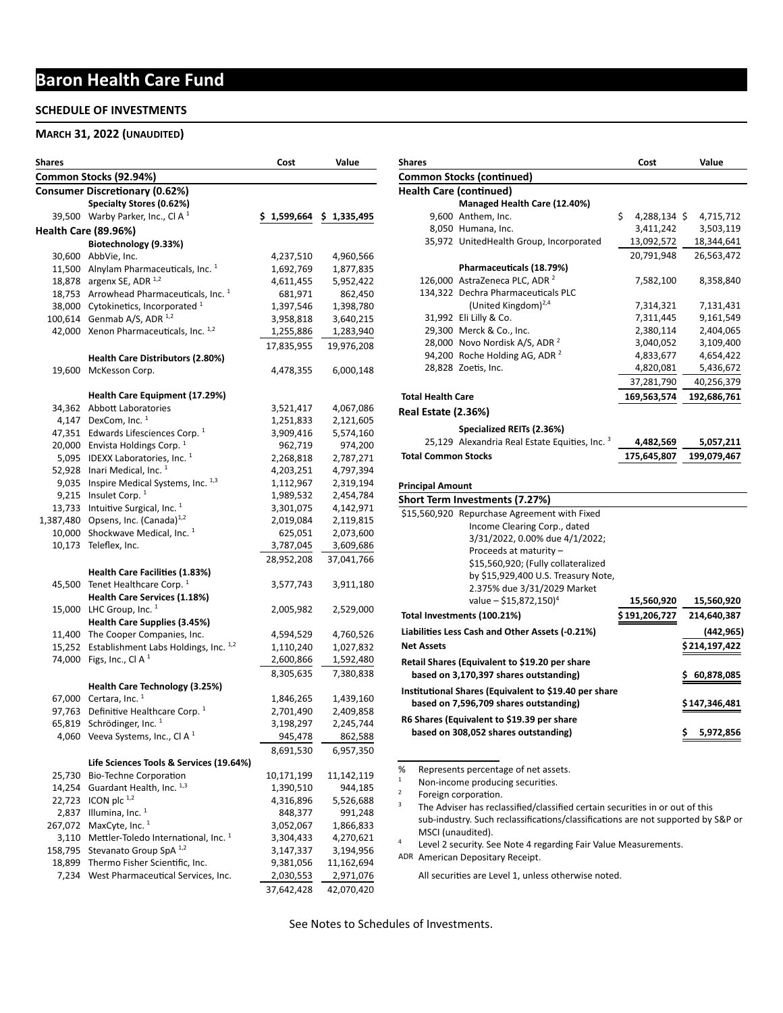# **Baron Health Care Fund**

#### **SCHEDULE OF INVESTMENTS**

#### **MARCH 31, 2022 (UNAUDITED)**

| Shares  |                                                                      | Cost        | Value       |
|---------|----------------------------------------------------------------------|-------------|-------------|
|         | Common Stocks (92.94%)                                               |             |             |
|         | <b>Consumer Discretionary (0.62%)</b>                                |             |             |
|         | Specialty Stores (0.62%)                                             |             |             |
|         | 39,500 Warby Parker, Inc., Cl A $1$                                  | \$1,599,664 | \$1,335,495 |
|         | <b>Health Care (89.96%)</b>                                          |             |             |
|         | Biotechnology (9.33%)                                                |             |             |
|         | 30,600 AbbVie, Inc.                                                  | 4,237,510   | 4,960,566   |
|         | 11,500 Alnylam Pharmaceuticals, Inc. <sup>1</sup>                    | 1,692,769   | 1,877,835   |
|         | 18,878 argenx SE, ADR 1,2                                            | 4,611,455   | 5,952,422   |
|         | 18,753 Arrowhead Pharmaceuticals, Inc. 1                             | 681,971     | 862,450     |
|         | 38,000 Cytokinetics, Incorporated <sup>1</sup>                       | 1,397,546   | 1,398,780   |
|         | 100,614 Genmab A/S, ADR 1,2                                          | 3,958,818   | 3,640,215   |
|         | 42,000 Xenon Pharmaceuticals, Inc. 1,2                               | 1,255,886   | 1,283,940   |
|         |                                                                      | 17,835,955  | 19,976,208  |
|         | Health Care Distributors (2.80%)                                     |             |             |
|         | 19,600 McKesson Corp.                                                | 4,478,355   | 6,000,148   |
|         |                                                                      |             |             |
|         | Health Care Equipment (17.29%)                                       |             |             |
|         | 34,362 Abbott Laboratories                                           | 3,521,417   | 4,067,086   |
|         | 4,147 DexCom, Inc. $1$                                               | 1,251,833   | 2,121,605   |
| 47,351  | Edwards Lifesciences Corp. <sup>1</sup>                              | 3,909,416   | 5,574,160   |
|         | 20,000 Envista Holdings Corp. <sup>1</sup>                           | 962,719     | 974,200     |
|         | 5,095 IDEXX Laboratories, Inc. <sup>1</sup>                          | 2,268,818   | 2,787,271   |
|         | 52,928 Inari Medical, Inc. <sup>1</sup>                              | 4,203,251   | 4,797,394   |
|         | 9,035 Inspire Medical Systems, Inc. 1,3                              | 1,112,967   | 2,319,194   |
| 9,215   | Insulet Corp. <sup>1</sup>                                           | 1,989,532   | 2,454,784   |
|         | 13,733 Intuitive Surgical, Inc. <sup>1</sup>                         | 3,301,075   | 4,142,971   |
|         | 1,387,480 Opsens, Inc. (Canada) $^{1,2}$                             | 2,019,084   | 2,119,815   |
|         | 10,000 Shockwave Medical, Inc. 1                                     | 625,051     | 2,073,600   |
|         | 10,173 Teleflex, Inc.                                                | 3,787,045   | 3,609,686   |
|         |                                                                      | 28,952,208  | 37,041,766  |
|         | Health Care Facilities (1.83%)                                       |             |             |
|         | 45,500 Tenet Healthcare Corp. <sup>1</sup>                           | 3,577,743   |             |
|         | Health Care Services (1.18%)                                         |             | 3,911,180   |
|         | 15,000 LHC Group, Inc. $1$                                           | 2,005,982   |             |
|         | Health Care Supplies (3.45%)                                         |             | 2,529,000   |
|         | 11,400 The Cooper Companies, Inc.                                    | 4,594,529   | 4,760,526   |
|         | 15,252 Establishment Labs Holdings, Inc. 1,2                         | 1,110,240   | 1,027,832   |
|         | 74,000 Figs, Inc., Cl A $1$                                          | 2,600,866   | 1,592,480   |
|         |                                                                      |             |             |
|         |                                                                      | 8,305,635   | 7,380,838   |
|         | Health Care Technology (3.25%)                                       |             |             |
| 97,763  | 67,000 Certara, Inc. $1$<br>Definitive Healthcare Corp. <sup>1</sup> | 1,846,265   | 1,439,160   |
|         | Schrödinger, Inc. 1                                                  | 2,701,490   | 2,409,858   |
| 65,819  |                                                                      | 3,198,297   | 2,245,744   |
|         | 4,060 Veeva Systems, Inc., CI A $1$                                  | 945,478     | 862,588     |
|         |                                                                      | 8,691,530   | 6,957,350   |
|         | Life Sciences Tools & Services (19.64%)                              |             |             |
| 25,730  | Bio-Techne Corporation                                               | 10,171,199  | 11,142,119  |
| 14,254  | Guardant Health, Inc. 1,3                                            | 1,390,510   | 944,185     |
| 22,723  | ICON plc $^{1,2}$                                                    | 4,316,896   | 5,526,688   |
| 2,837   | Illumina, Inc. $1$                                                   | 848,377     | 991,248     |
| 267,072 | MaxCyte, Inc. <sup>1</sup>                                           | 3,052,067   | 1,866,833   |
| 3,110   | Mettler-Toledo International, Inc. 1                                 | 3,304,433   | 4,270,621   |
| 158,795 | Stevanato Group SpA <sup>1,2</sup>                                   | 3,147,337   | 3,194,956   |
| 18,899  | Thermo Fisher Scientific, Inc.                                       | 9,381,056   | 11,162,694  |
|         | 7,234 West Pharmaceutical Services, Inc.                             | 2,030,553   | 2,971,076   |
|         |                                                                      | 37,642,428  | 42,070,420  |

| Shares                     |                                                                                  | Cost               | Value          |
|----------------------------|----------------------------------------------------------------------------------|--------------------|----------------|
|                            | <b>Common Stocks (continued)</b>                                                 |                    |                |
|                            | <b>Health Care (continued)</b>                                                   |                    |                |
|                            | Managed Health Care (12.40%)                                                     |                    |                |
|                            | 9,600 Anthem, Inc.                                                               | \$<br>4,288,134 \$ | 4,715,712      |
|                            | 8,050 Humana, Inc.                                                               | 3,411,242          | 3,503,119      |
|                            | 35,972 UnitedHealth Group, Incorporated                                          | 13,092,572         | 18,344,641     |
|                            |                                                                                  | 20,791,948         | 26,563,472     |
|                            | Pharmaceuticals (18.79%)                                                         |                    |                |
|                            | 126,000 AstraZeneca PLC, ADR <sup>2</sup>                                        | 7,582,100          | 8,358,840      |
|                            | 134,322 Dechra Pharmaceuticals PLC                                               |                    |                |
|                            | (United Kingdom) <sup>2,4</sup>                                                  | 7,314,321          | 7,131,431      |
|                            | 31,992 Eli Lilly & Co.                                                           | 7,311,445          | 9,161,549      |
|                            | 29,300 Merck & Co., Inc.                                                         | 2,380,114          | 2,404,065      |
|                            | 28,000 Novo Nordisk A/S, ADR <sup>2</sup>                                        | 3,040,052          | 3,109,400      |
|                            | 94,200 Roche Holding AG, ADR <sup>2</sup>                                        | 4,833,677          | 4,654,422      |
|                            | 28,828 Zoetis, Inc.                                                              | 4,820,081          | 5,436,672      |
|                            |                                                                                  | 37,281,790         | 40,256,379     |
| <b>Total Health Care</b>   |                                                                                  | 169,563,574        | 192,686,761    |
| Real Estate (2.36%)        |                                                                                  |                    |                |
|                            |                                                                                  |                    |                |
|                            | Specialized REITs (2.36%)                                                        |                    |                |
|                            | 25,129 Alexandria Real Estate Equities, Inc. 3                                   | 4,482,569          | 5,057,211      |
| <b>Total Common Stocks</b> | 175,645,807                                                                      | 199,079,467        |                |
|                            |                                                                                  |                    |                |
| <b>Principal Amount</b>    |                                                                                  |                    |                |
|                            | Short Term Investments (7.27%)                                                   |                    |                |
|                            | \$15,560,920 Repurchase Agreement with Fixed                                     |                    |                |
|                            | Income Clearing Corp., dated                                                     |                    |                |
|                            | 3/31/2022, 0.00% due 4/1/2022;                                                   |                    |                |
|                            | Proceeds at maturity -                                                           |                    |                |
|                            | \$15,560,920; (Fully collateralized                                              |                    |                |
|                            | by \$15,929,400 U.S. Treasury Note,                                              |                    |                |
|                            | 2.375% due 3/31/2029 Market                                                      |                    |                |
|                            | value – \$15,872,150) <sup>4</sup>                                               | 15,560,920         | 15,560,920     |
|                            | Total Investments (100.21%)                                                      | \$ 191,206,727     | 214,640,387    |
|                            | Liabilities Less Cash and Other Assets (-0.21%)                                  |                    | (442,965)      |
| <b>Net Assets</b>          |                                                                                  |                    | \$ 214,197,422 |
|                            |                                                                                  |                    |                |
|                            | Retail Shares (Equivalent to \$19.20 per share                                   |                    |                |
|                            | based on 3,170,397 shares outstanding)                                           |                    | 60,878,085     |
|                            | Institutional Shares (Equivalent to \$19.40 per share                            |                    |                |
|                            | based on 7,596,709 shares outstanding)                                           |                    | \$ 147,346,481 |
|                            | R6 Shares (Equivalent to \$19.39 per share                                       |                    |                |
|                            | based on 308,052 shares outstanding)                                             |                    | Ş<br>5,972,856 |
|                            |                                                                                  |                    |                |
|                            |                                                                                  |                    |                |
| %                          | Represents percentage of net assets.                                             |                    |                |
| 1                          | Non-income producing securities.                                                 |                    |                |
| 2                          | Foreign corporation.                                                             |                    |                |
| 3                          | The Adviser has reclassified/classified certain securities in or out of this     |                    |                |
|                            | sub-industry. Such reclassifications/classifications are not supported by S&P or |                    |                |
|                            | MSCI (unaudited).                                                                |                    |                |

<sup>4</sup> Level 2 security. See Note 4 regarding Fair Value Measurements.

ADR American Depositary Receipt.

All securities are Level 1, unless otherwise noted.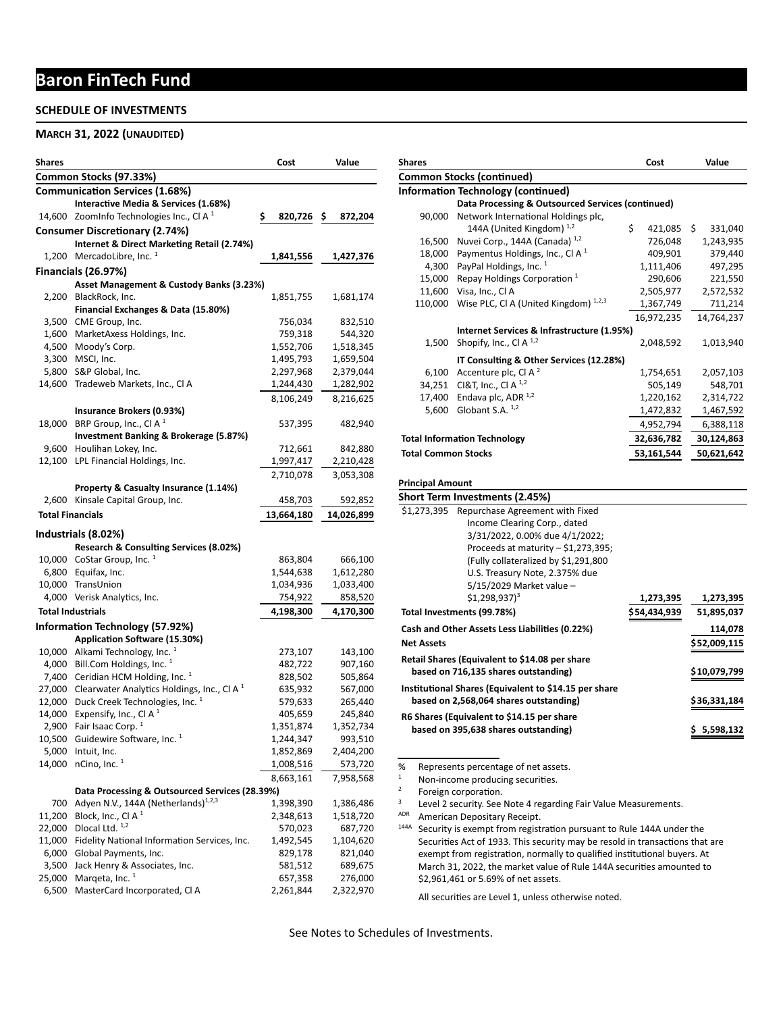## **Baron FinTech Fund**

### **SCHEDULE OF INVESTMENTS**

#### **MARCH 31, 2022 (UNAUDITED)**

| Common Stocks (97.33%)<br><b>Communication Services (1.68%)</b><br>Interactive Media & Services (1.68%)<br>14,600 ZoomInfo Technologies Inc., CI A <sup>1</sup><br>\$.<br>820,726\$<br>872,204<br><b>Consumer Discretionary (2.74%)</b><br>Internet & Direct Marketing Retail (2.74%)<br>1,200 MercadoLibre, Inc. $1$<br>1,841,556<br>1,427,376<br>Financials (26.97%)<br>Asset Management & Custody Banks (3.23%)<br>BlackRock, Inc.<br>2,200<br>1,851,755<br>1,681,174<br>Financial Exchanges & Data (15.80%)<br>3,500 CME Group, Inc.<br>756,034<br>832,510<br>1,600 MarketAxess Holdings, Inc.<br>759,318<br>544,320<br>4,500 Moody's Corp.<br>1,552,706<br>1,518,345<br>3,300 MSCI, Inc.<br>1,495,793<br>1,659,504<br>5,800 S&P Global, Inc.<br>2,297,968<br>2,379,044<br>14,600<br>Tradeweb Markets, Inc., Cl A<br>1,244,430<br>1,282,902<br>8,106,249<br>8,216,625<br>Insurance Brokers (0.93%)<br>BRP Group, Inc., Cl A $1$<br>18,000<br>537,395<br>482,940<br>Investment Banking & Brokerage (5.87%)<br>9,600 Houlihan Lokey, Inc.<br>712,661<br>842,880<br>LPL Financial Holdings, Inc.<br>12,100<br>1,997,417<br>2,210,428<br>2,710,078<br>3,053,308<br>Property & Casualty Insurance (1.14%)<br>2,600 Kinsale Capital Group, Inc.<br>458,703<br>592,852<br><b>Total Financials</b><br>13,664,180<br>14,026,899<br>Industrials (8.02%)<br>Research & Consulting Services (8.02%)<br>10,000 CoStar Group, Inc. $1$<br>863,804<br>666,100<br>6,800 Equifax, Inc.<br>1,544,638<br>1,612,280<br>10,000 TransUnion<br>1,034,936<br>1,033,400<br>4,000 Verisk Analytics, Inc.<br>754,922<br>858,520<br><b>Total Industrials</b><br>4,198,300<br>4,170,300<br>Information Technology (57.92%)<br>Application Software (15.30%)<br>10,000 Alkami Technology, Inc. <sup>1</sup><br>273,107<br>143,100<br>4,000 Bill.Com Holdings, Inc. <sup>1</sup><br>482,722<br>907,160<br>7,400 Ceridian HCM Holding, Inc. <sup>1</sup><br>828,502<br>505,864<br>27,000 Clearwater Analytics Holdings, Inc., Cl A $1$<br>635,932<br>567,000<br>12,000 Duck Creek Technologies, Inc. 1<br>579,633<br>265,440<br>14,000<br>Expensify, Inc., Cl A $1$<br>405,659<br>245,840<br>1,351,874<br>2,900 Fair Isaac Corp. <sup>1</sup><br>1,352,734<br>10,500 Guidewire Software, Inc. <sup>1</sup><br>1,244,347<br>993,510<br>5,000<br>Intuit, Inc.<br>1,852,869<br>2,404,200<br>nCino, Inc. 1<br>14,000<br>1,008,516<br>573,720<br>8,663,161<br>7,958,568<br>Data Processing & Outsourced Services (28.39%)<br>Adyen N.V., 144A (Netherlands) <sup>1,2,3</sup><br>700<br>1,398,390<br>1,386,486<br>Block, Inc., Cl A <sup>1</sup><br>11,200<br>2,348,613<br>1,518,720<br>Dlocal Ltd. 1,2<br>22,000<br>570,023<br>687,720<br>Fidelity National Information Services, Inc.<br>11,000<br>1,492,545<br>1,104,620<br>6,000<br>Global Payments, Inc.<br>829,178<br>821,040<br>Jack Henry & Associates, Inc.<br>3,500<br>581,512<br>689,675<br>Marqeta, Inc. <sup>1</sup><br>25,000<br>657,358<br>276,000 | Shares |  | Cost | Value |
|---------------------------------------------------------------------------------------------------------------------------------------------------------------------------------------------------------------------------------------------------------------------------------------------------------------------------------------------------------------------------------------------------------------------------------------------------------------------------------------------------------------------------------------------------------------------------------------------------------------------------------------------------------------------------------------------------------------------------------------------------------------------------------------------------------------------------------------------------------------------------------------------------------------------------------------------------------------------------------------------------------------------------------------------------------------------------------------------------------------------------------------------------------------------------------------------------------------------------------------------------------------------------------------------------------------------------------------------------------------------------------------------------------------------------------------------------------------------------------------------------------------------------------------------------------------------------------------------------------------------------------------------------------------------------------------------------------------------------------------------------------------------------------------------------------------------------------------------------------------------------------------------------------------------------------------------------------------------------------------------------------------------------------------------------------------------------------------------------------------------------------------------------------------------------------------------------------------------------------------------------------------------------------------------------------------------------------------------------------------------------------------------------------------------------------------------------------------------------------------------------------------------------------------------------------------------------------------------------------------------------------------------------------------------------------------------------------------------------------------------------------------------------------------------------------------------------------------------------------------------------------------------------------------------------------------------------------------------------------|--------|--|------|-------|
|                                                                                                                                                                                                                                                                                                                                                                                                                                                                                                                                                                                                                                                                                                                                                                                                                                                                                                                                                                                                                                                                                                                                                                                                                                                                                                                                                                                                                                                                                                                                                                                                                                                                                                                                                                                                                                                                                                                                                                                                                                                                                                                                                                                                                                                                                                                                                                                                                                                                                                                                                                                                                                                                                                                                                                                                                                                                                                                                                                                 |        |  |      |       |
|                                                                                                                                                                                                                                                                                                                                                                                                                                                                                                                                                                                                                                                                                                                                                                                                                                                                                                                                                                                                                                                                                                                                                                                                                                                                                                                                                                                                                                                                                                                                                                                                                                                                                                                                                                                                                                                                                                                                                                                                                                                                                                                                                                                                                                                                                                                                                                                                                                                                                                                                                                                                                                                                                                                                                                                                                                                                                                                                                                                 |        |  |      |       |
|                                                                                                                                                                                                                                                                                                                                                                                                                                                                                                                                                                                                                                                                                                                                                                                                                                                                                                                                                                                                                                                                                                                                                                                                                                                                                                                                                                                                                                                                                                                                                                                                                                                                                                                                                                                                                                                                                                                                                                                                                                                                                                                                                                                                                                                                                                                                                                                                                                                                                                                                                                                                                                                                                                                                                                                                                                                                                                                                                                                 |        |  |      |       |
|                                                                                                                                                                                                                                                                                                                                                                                                                                                                                                                                                                                                                                                                                                                                                                                                                                                                                                                                                                                                                                                                                                                                                                                                                                                                                                                                                                                                                                                                                                                                                                                                                                                                                                                                                                                                                                                                                                                                                                                                                                                                                                                                                                                                                                                                                                                                                                                                                                                                                                                                                                                                                                                                                                                                                                                                                                                                                                                                                                                 |        |  |      |       |
|                                                                                                                                                                                                                                                                                                                                                                                                                                                                                                                                                                                                                                                                                                                                                                                                                                                                                                                                                                                                                                                                                                                                                                                                                                                                                                                                                                                                                                                                                                                                                                                                                                                                                                                                                                                                                                                                                                                                                                                                                                                                                                                                                                                                                                                                                                                                                                                                                                                                                                                                                                                                                                                                                                                                                                                                                                                                                                                                                                                 |        |  |      |       |
|                                                                                                                                                                                                                                                                                                                                                                                                                                                                                                                                                                                                                                                                                                                                                                                                                                                                                                                                                                                                                                                                                                                                                                                                                                                                                                                                                                                                                                                                                                                                                                                                                                                                                                                                                                                                                                                                                                                                                                                                                                                                                                                                                                                                                                                                                                                                                                                                                                                                                                                                                                                                                                                                                                                                                                                                                                                                                                                                                                                 |        |  |      |       |
|                                                                                                                                                                                                                                                                                                                                                                                                                                                                                                                                                                                                                                                                                                                                                                                                                                                                                                                                                                                                                                                                                                                                                                                                                                                                                                                                                                                                                                                                                                                                                                                                                                                                                                                                                                                                                                                                                                                                                                                                                                                                                                                                                                                                                                                                                                                                                                                                                                                                                                                                                                                                                                                                                                                                                                                                                                                                                                                                                                                 |        |  |      |       |
|                                                                                                                                                                                                                                                                                                                                                                                                                                                                                                                                                                                                                                                                                                                                                                                                                                                                                                                                                                                                                                                                                                                                                                                                                                                                                                                                                                                                                                                                                                                                                                                                                                                                                                                                                                                                                                                                                                                                                                                                                                                                                                                                                                                                                                                                                                                                                                                                                                                                                                                                                                                                                                                                                                                                                                                                                                                                                                                                                                                 |        |  |      |       |
|                                                                                                                                                                                                                                                                                                                                                                                                                                                                                                                                                                                                                                                                                                                                                                                                                                                                                                                                                                                                                                                                                                                                                                                                                                                                                                                                                                                                                                                                                                                                                                                                                                                                                                                                                                                                                                                                                                                                                                                                                                                                                                                                                                                                                                                                                                                                                                                                                                                                                                                                                                                                                                                                                                                                                                                                                                                                                                                                                                                 |        |  |      |       |
|                                                                                                                                                                                                                                                                                                                                                                                                                                                                                                                                                                                                                                                                                                                                                                                                                                                                                                                                                                                                                                                                                                                                                                                                                                                                                                                                                                                                                                                                                                                                                                                                                                                                                                                                                                                                                                                                                                                                                                                                                                                                                                                                                                                                                                                                                                                                                                                                                                                                                                                                                                                                                                                                                                                                                                                                                                                                                                                                                                                 |        |  |      |       |
|                                                                                                                                                                                                                                                                                                                                                                                                                                                                                                                                                                                                                                                                                                                                                                                                                                                                                                                                                                                                                                                                                                                                                                                                                                                                                                                                                                                                                                                                                                                                                                                                                                                                                                                                                                                                                                                                                                                                                                                                                                                                                                                                                                                                                                                                                                                                                                                                                                                                                                                                                                                                                                                                                                                                                                                                                                                                                                                                                                                 |        |  |      |       |
|                                                                                                                                                                                                                                                                                                                                                                                                                                                                                                                                                                                                                                                                                                                                                                                                                                                                                                                                                                                                                                                                                                                                                                                                                                                                                                                                                                                                                                                                                                                                                                                                                                                                                                                                                                                                                                                                                                                                                                                                                                                                                                                                                                                                                                                                                                                                                                                                                                                                                                                                                                                                                                                                                                                                                                                                                                                                                                                                                                                 |        |  |      |       |
|                                                                                                                                                                                                                                                                                                                                                                                                                                                                                                                                                                                                                                                                                                                                                                                                                                                                                                                                                                                                                                                                                                                                                                                                                                                                                                                                                                                                                                                                                                                                                                                                                                                                                                                                                                                                                                                                                                                                                                                                                                                                                                                                                                                                                                                                                                                                                                                                                                                                                                                                                                                                                                                                                                                                                                                                                                                                                                                                                                                 |        |  |      |       |
|                                                                                                                                                                                                                                                                                                                                                                                                                                                                                                                                                                                                                                                                                                                                                                                                                                                                                                                                                                                                                                                                                                                                                                                                                                                                                                                                                                                                                                                                                                                                                                                                                                                                                                                                                                                                                                                                                                                                                                                                                                                                                                                                                                                                                                                                                                                                                                                                                                                                                                                                                                                                                                                                                                                                                                                                                                                                                                                                                                                 |        |  |      |       |
|                                                                                                                                                                                                                                                                                                                                                                                                                                                                                                                                                                                                                                                                                                                                                                                                                                                                                                                                                                                                                                                                                                                                                                                                                                                                                                                                                                                                                                                                                                                                                                                                                                                                                                                                                                                                                                                                                                                                                                                                                                                                                                                                                                                                                                                                                                                                                                                                                                                                                                                                                                                                                                                                                                                                                                                                                                                                                                                                                                                 |        |  |      |       |
|                                                                                                                                                                                                                                                                                                                                                                                                                                                                                                                                                                                                                                                                                                                                                                                                                                                                                                                                                                                                                                                                                                                                                                                                                                                                                                                                                                                                                                                                                                                                                                                                                                                                                                                                                                                                                                                                                                                                                                                                                                                                                                                                                                                                                                                                                                                                                                                                                                                                                                                                                                                                                                                                                                                                                                                                                                                                                                                                                                                 |        |  |      |       |
|                                                                                                                                                                                                                                                                                                                                                                                                                                                                                                                                                                                                                                                                                                                                                                                                                                                                                                                                                                                                                                                                                                                                                                                                                                                                                                                                                                                                                                                                                                                                                                                                                                                                                                                                                                                                                                                                                                                                                                                                                                                                                                                                                                                                                                                                                                                                                                                                                                                                                                                                                                                                                                                                                                                                                                                                                                                                                                                                                                                 |        |  |      |       |
|                                                                                                                                                                                                                                                                                                                                                                                                                                                                                                                                                                                                                                                                                                                                                                                                                                                                                                                                                                                                                                                                                                                                                                                                                                                                                                                                                                                                                                                                                                                                                                                                                                                                                                                                                                                                                                                                                                                                                                                                                                                                                                                                                                                                                                                                                                                                                                                                                                                                                                                                                                                                                                                                                                                                                                                                                                                                                                                                                                                 |        |  |      |       |
|                                                                                                                                                                                                                                                                                                                                                                                                                                                                                                                                                                                                                                                                                                                                                                                                                                                                                                                                                                                                                                                                                                                                                                                                                                                                                                                                                                                                                                                                                                                                                                                                                                                                                                                                                                                                                                                                                                                                                                                                                                                                                                                                                                                                                                                                                                                                                                                                                                                                                                                                                                                                                                                                                                                                                                                                                                                                                                                                                                                 |        |  |      |       |
|                                                                                                                                                                                                                                                                                                                                                                                                                                                                                                                                                                                                                                                                                                                                                                                                                                                                                                                                                                                                                                                                                                                                                                                                                                                                                                                                                                                                                                                                                                                                                                                                                                                                                                                                                                                                                                                                                                                                                                                                                                                                                                                                                                                                                                                                                                                                                                                                                                                                                                                                                                                                                                                                                                                                                                                                                                                                                                                                                                                 |        |  |      |       |
|                                                                                                                                                                                                                                                                                                                                                                                                                                                                                                                                                                                                                                                                                                                                                                                                                                                                                                                                                                                                                                                                                                                                                                                                                                                                                                                                                                                                                                                                                                                                                                                                                                                                                                                                                                                                                                                                                                                                                                                                                                                                                                                                                                                                                                                                                                                                                                                                                                                                                                                                                                                                                                                                                                                                                                                                                                                                                                                                                                                 |        |  |      |       |
|                                                                                                                                                                                                                                                                                                                                                                                                                                                                                                                                                                                                                                                                                                                                                                                                                                                                                                                                                                                                                                                                                                                                                                                                                                                                                                                                                                                                                                                                                                                                                                                                                                                                                                                                                                                                                                                                                                                                                                                                                                                                                                                                                                                                                                                                                                                                                                                                                                                                                                                                                                                                                                                                                                                                                                                                                                                                                                                                                                                 |        |  |      |       |
|                                                                                                                                                                                                                                                                                                                                                                                                                                                                                                                                                                                                                                                                                                                                                                                                                                                                                                                                                                                                                                                                                                                                                                                                                                                                                                                                                                                                                                                                                                                                                                                                                                                                                                                                                                                                                                                                                                                                                                                                                                                                                                                                                                                                                                                                                                                                                                                                                                                                                                                                                                                                                                                                                                                                                                                                                                                                                                                                                                                 |        |  |      |       |
|                                                                                                                                                                                                                                                                                                                                                                                                                                                                                                                                                                                                                                                                                                                                                                                                                                                                                                                                                                                                                                                                                                                                                                                                                                                                                                                                                                                                                                                                                                                                                                                                                                                                                                                                                                                                                                                                                                                                                                                                                                                                                                                                                                                                                                                                                                                                                                                                                                                                                                                                                                                                                                                                                                                                                                                                                                                                                                                                                                                 |        |  |      |       |
|                                                                                                                                                                                                                                                                                                                                                                                                                                                                                                                                                                                                                                                                                                                                                                                                                                                                                                                                                                                                                                                                                                                                                                                                                                                                                                                                                                                                                                                                                                                                                                                                                                                                                                                                                                                                                                                                                                                                                                                                                                                                                                                                                                                                                                                                                                                                                                                                                                                                                                                                                                                                                                                                                                                                                                                                                                                                                                                                                                                 |        |  |      |       |
|                                                                                                                                                                                                                                                                                                                                                                                                                                                                                                                                                                                                                                                                                                                                                                                                                                                                                                                                                                                                                                                                                                                                                                                                                                                                                                                                                                                                                                                                                                                                                                                                                                                                                                                                                                                                                                                                                                                                                                                                                                                                                                                                                                                                                                                                                                                                                                                                                                                                                                                                                                                                                                                                                                                                                                                                                                                                                                                                                                                 |        |  |      |       |
|                                                                                                                                                                                                                                                                                                                                                                                                                                                                                                                                                                                                                                                                                                                                                                                                                                                                                                                                                                                                                                                                                                                                                                                                                                                                                                                                                                                                                                                                                                                                                                                                                                                                                                                                                                                                                                                                                                                                                                                                                                                                                                                                                                                                                                                                                                                                                                                                                                                                                                                                                                                                                                                                                                                                                                                                                                                                                                                                                                                 |        |  |      |       |
|                                                                                                                                                                                                                                                                                                                                                                                                                                                                                                                                                                                                                                                                                                                                                                                                                                                                                                                                                                                                                                                                                                                                                                                                                                                                                                                                                                                                                                                                                                                                                                                                                                                                                                                                                                                                                                                                                                                                                                                                                                                                                                                                                                                                                                                                                                                                                                                                                                                                                                                                                                                                                                                                                                                                                                                                                                                                                                                                                                                 |        |  |      |       |
|                                                                                                                                                                                                                                                                                                                                                                                                                                                                                                                                                                                                                                                                                                                                                                                                                                                                                                                                                                                                                                                                                                                                                                                                                                                                                                                                                                                                                                                                                                                                                                                                                                                                                                                                                                                                                                                                                                                                                                                                                                                                                                                                                                                                                                                                                                                                                                                                                                                                                                                                                                                                                                                                                                                                                                                                                                                                                                                                                                                 |        |  |      |       |
|                                                                                                                                                                                                                                                                                                                                                                                                                                                                                                                                                                                                                                                                                                                                                                                                                                                                                                                                                                                                                                                                                                                                                                                                                                                                                                                                                                                                                                                                                                                                                                                                                                                                                                                                                                                                                                                                                                                                                                                                                                                                                                                                                                                                                                                                                                                                                                                                                                                                                                                                                                                                                                                                                                                                                                                                                                                                                                                                                                                 |        |  |      |       |
|                                                                                                                                                                                                                                                                                                                                                                                                                                                                                                                                                                                                                                                                                                                                                                                                                                                                                                                                                                                                                                                                                                                                                                                                                                                                                                                                                                                                                                                                                                                                                                                                                                                                                                                                                                                                                                                                                                                                                                                                                                                                                                                                                                                                                                                                                                                                                                                                                                                                                                                                                                                                                                                                                                                                                                                                                                                                                                                                                                                 |        |  |      |       |
|                                                                                                                                                                                                                                                                                                                                                                                                                                                                                                                                                                                                                                                                                                                                                                                                                                                                                                                                                                                                                                                                                                                                                                                                                                                                                                                                                                                                                                                                                                                                                                                                                                                                                                                                                                                                                                                                                                                                                                                                                                                                                                                                                                                                                                                                                                                                                                                                                                                                                                                                                                                                                                                                                                                                                                                                                                                                                                                                                                                 |        |  |      |       |
|                                                                                                                                                                                                                                                                                                                                                                                                                                                                                                                                                                                                                                                                                                                                                                                                                                                                                                                                                                                                                                                                                                                                                                                                                                                                                                                                                                                                                                                                                                                                                                                                                                                                                                                                                                                                                                                                                                                                                                                                                                                                                                                                                                                                                                                                                                                                                                                                                                                                                                                                                                                                                                                                                                                                                                                                                                                                                                                                                                                 |        |  |      |       |
|                                                                                                                                                                                                                                                                                                                                                                                                                                                                                                                                                                                                                                                                                                                                                                                                                                                                                                                                                                                                                                                                                                                                                                                                                                                                                                                                                                                                                                                                                                                                                                                                                                                                                                                                                                                                                                                                                                                                                                                                                                                                                                                                                                                                                                                                                                                                                                                                                                                                                                                                                                                                                                                                                                                                                                                                                                                                                                                                                                                 |        |  |      |       |
|                                                                                                                                                                                                                                                                                                                                                                                                                                                                                                                                                                                                                                                                                                                                                                                                                                                                                                                                                                                                                                                                                                                                                                                                                                                                                                                                                                                                                                                                                                                                                                                                                                                                                                                                                                                                                                                                                                                                                                                                                                                                                                                                                                                                                                                                                                                                                                                                                                                                                                                                                                                                                                                                                                                                                                                                                                                                                                                                                                                 |        |  |      |       |
|                                                                                                                                                                                                                                                                                                                                                                                                                                                                                                                                                                                                                                                                                                                                                                                                                                                                                                                                                                                                                                                                                                                                                                                                                                                                                                                                                                                                                                                                                                                                                                                                                                                                                                                                                                                                                                                                                                                                                                                                                                                                                                                                                                                                                                                                                                                                                                                                                                                                                                                                                                                                                                                                                                                                                                                                                                                                                                                                                                                 |        |  |      |       |
|                                                                                                                                                                                                                                                                                                                                                                                                                                                                                                                                                                                                                                                                                                                                                                                                                                                                                                                                                                                                                                                                                                                                                                                                                                                                                                                                                                                                                                                                                                                                                                                                                                                                                                                                                                                                                                                                                                                                                                                                                                                                                                                                                                                                                                                                                                                                                                                                                                                                                                                                                                                                                                                                                                                                                                                                                                                                                                                                                                                 |        |  |      |       |
|                                                                                                                                                                                                                                                                                                                                                                                                                                                                                                                                                                                                                                                                                                                                                                                                                                                                                                                                                                                                                                                                                                                                                                                                                                                                                                                                                                                                                                                                                                                                                                                                                                                                                                                                                                                                                                                                                                                                                                                                                                                                                                                                                                                                                                                                                                                                                                                                                                                                                                                                                                                                                                                                                                                                                                                                                                                                                                                                                                                 |        |  |      |       |
|                                                                                                                                                                                                                                                                                                                                                                                                                                                                                                                                                                                                                                                                                                                                                                                                                                                                                                                                                                                                                                                                                                                                                                                                                                                                                                                                                                                                                                                                                                                                                                                                                                                                                                                                                                                                                                                                                                                                                                                                                                                                                                                                                                                                                                                                                                                                                                                                                                                                                                                                                                                                                                                                                                                                                                                                                                                                                                                                                                                 |        |  |      |       |
|                                                                                                                                                                                                                                                                                                                                                                                                                                                                                                                                                                                                                                                                                                                                                                                                                                                                                                                                                                                                                                                                                                                                                                                                                                                                                                                                                                                                                                                                                                                                                                                                                                                                                                                                                                                                                                                                                                                                                                                                                                                                                                                                                                                                                                                                                                                                                                                                                                                                                                                                                                                                                                                                                                                                                                                                                                                                                                                                                                                 |        |  |      |       |
|                                                                                                                                                                                                                                                                                                                                                                                                                                                                                                                                                                                                                                                                                                                                                                                                                                                                                                                                                                                                                                                                                                                                                                                                                                                                                                                                                                                                                                                                                                                                                                                                                                                                                                                                                                                                                                                                                                                                                                                                                                                                                                                                                                                                                                                                                                                                                                                                                                                                                                                                                                                                                                                                                                                                                                                                                                                                                                                                                                                 |        |  |      |       |
|                                                                                                                                                                                                                                                                                                                                                                                                                                                                                                                                                                                                                                                                                                                                                                                                                                                                                                                                                                                                                                                                                                                                                                                                                                                                                                                                                                                                                                                                                                                                                                                                                                                                                                                                                                                                                                                                                                                                                                                                                                                                                                                                                                                                                                                                                                                                                                                                                                                                                                                                                                                                                                                                                                                                                                                                                                                                                                                                                                                 |        |  |      |       |
|                                                                                                                                                                                                                                                                                                                                                                                                                                                                                                                                                                                                                                                                                                                                                                                                                                                                                                                                                                                                                                                                                                                                                                                                                                                                                                                                                                                                                                                                                                                                                                                                                                                                                                                                                                                                                                                                                                                                                                                                                                                                                                                                                                                                                                                                                                                                                                                                                                                                                                                                                                                                                                                                                                                                                                                                                                                                                                                                                                                 |        |  |      |       |
|                                                                                                                                                                                                                                                                                                                                                                                                                                                                                                                                                                                                                                                                                                                                                                                                                                                                                                                                                                                                                                                                                                                                                                                                                                                                                                                                                                                                                                                                                                                                                                                                                                                                                                                                                                                                                                                                                                                                                                                                                                                                                                                                                                                                                                                                                                                                                                                                                                                                                                                                                                                                                                                                                                                                                                                                                                                                                                                                                                                 |        |  |      |       |
|                                                                                                                                                                                                                                                                                                                                                                                                                                                                                                                                                                                                                                                                                                                                                                                                                                                                                                                                                                                                                                                                                                                                                                                                                                                                                                                                                                                                                                                                                                                                                                                                                                                                                                                                                                                                                                                                                                                                                                                                                                                                                                                                                                                                                                                                                                                                                                                                                                                                                                                                                                                                                                                                                                                                                                                                                                                                                                                                                                                 |        |  |      |       |
|                                                                                                                                                                                                                                                                                                                                                                                                                                                                                                                                                                                                                                                                                                                                                                                                                                                                                                                                                                                                                                                                                                                                                                                                                                                                                                                                                                                                                                                                                                                                                                                                                                                                                                                                                                                                                                                                                                                                                                                                                                                                                                                                                                                                                                                                                                                                                                                                                                                                                                                                                                                                                                                                                                                                                                                                                                                                                                                                                                                 |        |  |      |       |
|                                                                                                                                                                                                                                                                                                                                                                                                                                                                                                                                                                                                                                                                                                                                                                                                                                                                                                                                                                                                                                                                                                                                                                                                                                                                                                                                                                                                                                                                                                                                                                                                                                                                                                                                                                                                                                                                                                                                                                                                                                                                                                                                                                                                                                                                                                                                                                                                                                                                                                                                                                                                                                                                                                                                                                                                                                                                                                                                                                                 |        |  |      |       |
|                                                                                                                                                                                                                                                                                                                                                                                                                                                                                                                                                                                                                                                                                                                                                                                                                                                                                                                                                                                                                                                                                                                                                                                                                                                                                                                                                                                                                                                                                                                                                                                                                                                                                                                                                                                                                                                                                                                                                                                                                                                                                                                                                                                                                                                                                                                                                                                                                                                                                                                                                                                                                                                                                                                                                                                                                                                                                                                                                                                 |        |  |      |       |
|                                                                                                                                                                                                                                                                                                                                                                                                                                                                                                                                                                                                                                                                                                                                                                                                                                                                                                                                                                                                                                                                                                                                                                                                                                                                                                                                                                                                                                                                                                                                                                                                                                                                                                                                                                                                                                                                                                                                                                                                                                                                                                                                                                                                                                                                                                                                                                                                                                                                                                                                                                                                                                                                                                                                                                                                                                                                                                                                                                                 |        |  |      |       |
|                                                                                                                                                                                                                                                                                                                                                                                                                                                                                                                                                                                                                                                                                                                                                                                                                                                                                                                                                                                                                                                                                                                                                                                                                                                                                                                                                                                                                                                                                                                                                                                                                                                                                                                                                                                                                                                                                                                                                                                                                                                                                                                                                                                                                                                                                                                                                                                                                                                                                                                                                                                                                                                                                                                                                                                                                                                                                                                                                                                 |        |  |      |       |
|                                                                                                                                                                                                                                                                                                                                                                                                                                                                                                                                                                                                                                                                                                                                                                                                                                                                                                                                                                                                                                                                                                                                                                                                                                                                                                                                                                                                                                                                                                                                                                                                                                                                                                                                                                                                                                                                                                                                                                                                                                                                                                                                                                                                                                                                                                                                                                                                                                                                                                                                                                                                                                                                                                                                                                                                                                                                                                                                                                                 |        |  |      |       |
|                                                                                                                                                                                                                                                                                                                                                                                                                                                                                                                                                                                                                                                                                                                                                                                                                                                                                                                                                                                                                                                                                                                                                                                                                                                                                                                                                                                                                                                                                                                                                                                                                                                                                                                                                                                                                                                                                                                                                                                                                                                                                                                                                                                                                                                                                                                                                                                                                                                                                                                                                                                                                                                                                                                                                                                                                                                                                                                                                                                 |        |  |      |       |
|                                                                                                                                                                                                                                                                                                                                                                                                                                                                                                                                                                                                                                                                                                                                                                                                                                                                                                                                                                                                                                                                                                                                                                                                                                                                                                                                                                                                                                                                                                                                                                                                                                                                                                                                                                                                                                                                                                                                                                                                                                                                                                                                                                                                                                                                                                                                                                                                                                                                                                                                                                                                                                                                                                                                                                                                                                                                                                                                                                                 |        |  |      |       |
|                                                                                                                                                                                                                                                                                                                                                                                                                                                                                                                                                                                                                                                                                                                                                                                                                                                                                                                                                                                                                                                                                                                                                                                                                                                                                                                                                                                                                                                                                                                                                                                                                                                                                                                                                                                                                                                                                                                                                                                                                                                                                                                                                                                                                                                                                                                                                                                                                                                                                                                                                                                                                                                                                                                                                                                                                                                                                                                                                                                 |        |  |      |       |
| 6,500<br>MasterCard Incorporated, CI A<br>2,261,844<br>2,322,970                                                                                                                                                                                                                                                                                                                                                                                                                                                                                                                                                                                                                                                                                                                                                                                                                                                                                                                                                                                                                                                                                                                                                                                                                                                                                                                                                                                                                                                                                                                                                                                                                                                                                                                                                                                                                                                                                                                                                                                                                                                                                                                                                                                                                                                                                                                                                                                                                                                                                                                                                                                                                                                                                                                                                                                                                                                                                                                |        |  |      |       |

| <b>Shares</b>              |                                                   |    | Cost       | Value      |  |  |  |
|----------------------------|---------------------------------------------------|----|------------|------------|--|--|--|
|                            | <b>Common Stocks (continued)</b>                  |    |            |            |  |  |  |
|                            | <b>Information Technology (continued)</b>         |    |            |            |  |  |  |
|                            | Data Processing & Outsourced Services (continued) |    |            |            |  |  |  |
| 90.000                     | Network International Holdings plc,               |    |            |            |  |  |  |
|                            | 144A (United Kingdom) <sup>1,2</sup>              | \$ | 421,085 \$ | 331,040    |  |  |  |
| 16,500                     | Nuvei Corp., 144A (Canada) 1,2                    |    | 726,048    | 1,243,935  |  |  |  |
|                            | 18,000 Paymentus Holdings, Inc., CI A $1$         |    | 409,901    | 379,440    |  |  |  |
|                            | 4,300 PayPal Holdings, Inc. $1$                   |    | 1,111,406  | 497,295    |  |  |  |
|                            | 15,000 Repay Holdings Corporation $1$             |    | 290,606    | 221,550    |  |  |  |
| 11,600                     | Visa, Inc., Cl A                                  |    | 2,505,977  | 2,572,532  |  |  |  |
| 110,000                    | Wise PLC, CI A (United Kingdom) <sup>1,2,3</sup>  |    | 1,367,749  | 711,214    |  |  |  |
|                            |                                                   |    | 16,972,235 | 14,764,237 |  |  |  |
|                            | Internet Services & Infrastructure (1.95%)        |    |            |            |  |  |  |
| 1,500                      | Shopify, Inc., CI A $^{1,2}$                      |    | 2,048,592  | 1,013,940  |  |  |  |
|                            | IT Consulting & Other Services (12.28%)           |    |            |            |  |  |  |
| 6,100                      | Accenture plc, Cl A $^2$                          |    | 1,754,651  | 2,057,103  |  |  |  |
|                            | 34,251 CI&T, Inc., CI A 1,2                       |    | 505,149    | 548,701    |  |  |  |
|                            | 17,400 Endava plc, ADR $^{1,2}$                   |    | 1,220,162  | 2,314,722  |  |  |  |
| 5,600                      | Globant S.A. 1,2                                  |    | 1,472,832  | 1,467,592  |  |  |  |
|                            |                                                   |    | 4,952,794  | 6,388,118  |  |  |  |
|                            | <b>Total Information Technology</b>               |    | 32,636,782 | 30,124,863 |  |  |  |
| <b>Total Common Stocks</b> |                                                   |    | 53,161,544 | 50,621,642 |  |  |  |

#### **Principal Amount**

| Short Term Investments (2.45%) |                                                                                                                                                                                                                                                                |              |              |
|--------------------------------|----------------------------------------------------------------------------------------------------------------------------------------------------------------------------------------------------------------------------------------------------------------|--------------|--------------|
|                                | \$1,273,395 Repurchase Agreement with Fixed<br>Income Clearing Corp., dated<br>3/31/2022, 0.00% due 4/1/2022;<br>Proceeds at maturity $-$ \$1,273,395;<br>(Fully collateralized by \$1,291,800<br>U.S. Treasury Note, 2.375% due<br>$5/15/2029$ Market value - |              |              |
|                                | $$1.298.937$ <sup>3</sup>                                                                                                                                                                                                                                      | 1,273,395    | 1,273,395    |
| Total Investments (99.78%)     |                                                                                                                                                                                                                                                                | \$54.434.939 | 51,895,037   |
|                                | Cash and Other Assets Less Liabilities (0.22%)                                                                                                                                                                                                                 |              | 114,078      |
| <b>Net Assets</b>              |                                                                                                                                                                                                                                                                |              | \$52,009,115 |
|                                | Retail Shares (Equivalent to \$14.08 per share<br>based on 716,135 shares outstanding)                                                                                                                                                                         |              | \$10,079,799 |
|                                | Institutional Shares (Equivalent to \$14.15 per share<br>based on 2,568,064 shares outstanding)                                                                                                                                                                |              | \$36,331,184 |
|                                | R6 Shares (Equivalent to \$14.15 per share<br>based on 395,638 shares outstanding)                                                                                                                                                                             |              | 5,598,132    |

% Represents percentage of net assets.<br> $\frac{1}{1}$  Non-income producing securities

 $1$  Non-income producing securities.

 $2^2$  Foreign corporation.

<sup>3</sup> Level 2 security. See Note 4 regarding Fair Value Measurements.

ADR American Depositary Receipt.

<sup>144A</sup> Security is exempt from registration pursuant to Rule 144A under the Securities Act of 1933. This security may be resold in transactions that are exempt from registration, normally to qualified institutional buyers. At March 31, 2022, the market value of Rule 144A securities amounted to \$2,961,461 or 5.69% of net assets.

All securities are Level 1, unless otherwise noted.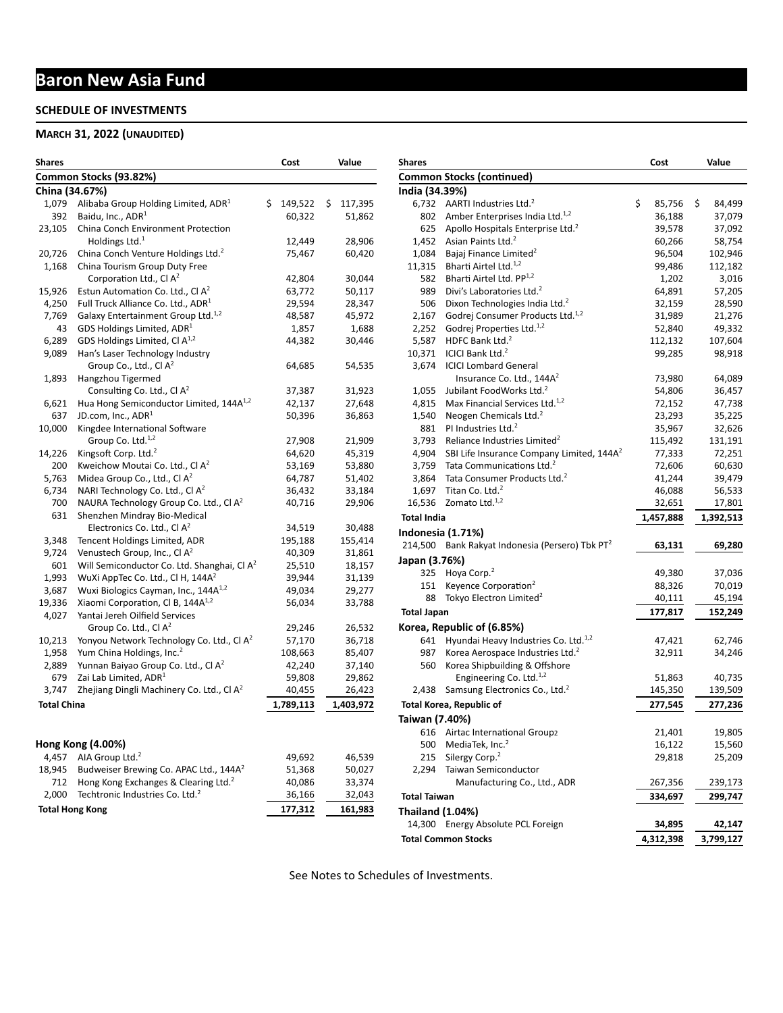# **Baron New Asia Fund**

### **SCHEDULE OF INVESTMENTS**

### **MARCH 31, 2022 (UNAUDITED)**

| <b>Shares</b>      |                                                         | Cost          | Value         |
|--------------------|---------------------------------------------------------|---------------|---------------|
|                    | Common Stocks (93.82%)                                  |               |               |
| China (34.67%)     |                                                         |               |               |
| 1,079              | Alibaba Group Holding Limited, ADR <sup>1</sup>         | \$<br>149,522 | \$<br>117,395 |
| 392                | Baidu, Inc., ADR <sup>1</sup>                           | 60,322        | 51,862        |
| 23,105             | China Conch Environment Protection                      |               |               |
|                    | Holdings Ltd. $1$                                       | 12,449        | 28,906        |
| 20,726             | China Conch Venture Holdings Ltd. <sup>2</sup>          | 75,467        | 60,420        |
| 1,168              | China Tourism Group Duty Free                           |               |               |
|                    | Corporation Ltd., Cl $A^2$                              | 42,804        | 30,044        |
| 15,926             | Estun Automation Co. Ltd., Cl A <sup>2</sup>            | 63,772        | 50,117        |
| 4,250              | Full Truck Alliance Co. Ltd., ADR <sup>1</sup>          | 29,594        | 28,347        |
| 7,769              | Galaxy Entertainment Group Ltd. <sup>1,2</sup>          | 48,587        | 45,972        |
| 43                 | GDS Holdings Limited, $ADR1$                            | 1,857         | 1,688         |
| 6,289              | GDS Holdings Limited, Cl A <sup>1,2</sup>               | 44,382        | 30,446        |
| 9,089              | Han's Laser Technology Industry                         |               |               |
|                    | Group Co., Ltd., Cl A <sup>2</sup>                      | 64,685        | 54,535        |
| 1,893              | Hangzhou Tigermed                                       |               |               |
|                    | Consulting Co. Ltd., Cl A <sup>2</sup>                  | 37,387        | 31,923        |
| 6,621              | Hua Hong Semiconductor Limited, 144A <sup>1,2</sup>     | 42,137        | 27,648        |
| 637                | JD.com, Inc., ADR <sup>1</sup>                          | 50,396        | 36,863        |
| 10,000             | Kingdee International Software                          |               |               |
|                    | Group Co. Ltd. <sup>1,2</sup>                           | 27,908        | 21,909        |
| 14,226             | Kingsoft Corp. Ltd. <sup>2</sup>                        | 64,620        | 45,319        |
| 200                | Kweichow Moutai Co. Ltd., Cl A <sup>2</sup>             | 53,169        | 53,880        |
| 5,763              | Midea Group Co., Ltd., Cl A <sup>2</sup>                | 64,787        | 51,402        |
| 6,734              | NARI Technology Co. Ltd., Cl A <sup>2</sup>             | 36,432        | 33,184        |
| 700                | NAURA Technology Group Co. Ltd., CI A <sup>2</sup>      | 40,716        | 29,906        |
| 631                | Shenzhen Mindray Bio-Medical                            |               |               |
|                    | Electronics Co. Ltd., Cl A <sup>2</sup>                 | 34,519        | 30,488        |
| 3,348              | Tencent Holdings Limited, ADR                           | 195,188       | 155,414       |
| 9,724              | Venustech Group, Inc., Cl A <sup>2</sup>                | 40,309        | 31,861        |
| 601                | Will Semiconductor Co. Ltd. Shanghai, Cl A <sup>2</sup> | 25,510        | 18,157        |
| 1,993              | WuXi AppTec Co. Ltd., Cl H, 144A <sup>2</sup>           | 39,944        | 31,139        |
| 3,687              | Wuxi Biologics Cayman, Inc., 144A <sup>1,2</sup>        | 49,034        | 29,277        |
| 19,336             | Xiaomi Corporation, Cl B, 144A <sup>1,2</sup>           | 56,034        | 33,788        |
| 4,027              | Yantai Jereh Oilfield Services                          |               |               |
|                    | Group Co. Ltd., Cl $A^2$                                | 29,246        | 26,532        |
| 10,213             | Yonyou Network Technology Co. Ltd., Cl A <sup>2</sup>   | 57,170        | 36,718        |
| 1,958              | Yum China Holdings, Inc. <sup>2</sup>                   | 108,663       | 85,407        |
| 2,889              | Yunnan Baiyao Group Co. Ltd., Cl A <sup>2</sup>         | 42,240        | 37,140        |
| 679                | Zai Lab Limited, ADR <sup>1</sup>                       | 59,808        | 29,862        |
| 3,747              | Zhejiang Dingli Machinery Co. Ltd., Cl A <sup>2</sup>   | 40,455        | 26,423        |
| <b>Total China</b> |                                                         | 1,789,113     | 1,403,972     |
|                    |                                                         |               |               |
|                    | Hong Kong (4.00%)                                       |               |               |
| 4,457              | AIA Group Ltd. <sup>2</sup>                             | 49,692        | 46,539        |
| 18,945             | Budweiser Brewing Co. APAC Ltd., 144A <sup>2</sup>      | 51,368        | 50,027        |
| 712                | Hong Kong Exchanges & Clearing Ltd. <sup>2</sup>        | 40,086        | 33,374        |
| 2,000              | Techtronic Industries Co. Ltd. <sup>2</sup>             | 36,166        | 32,043        |
|                    |                                                         |               |               |
|                    | <b>Total Hong Kong</b>                                  | 177,312       | 161,983       |

| <b>Shares</b>           |                                                             | Cost         | Value        |
|-------------------------|-------------------------------------------------------------|--------------|--------------|
|                         | <b>Common Stocks (continued)</b>                            |              |              |
| India (34.39%)          |                                                             |              |              |
| 6,732                   | AARTI Industries Ltd. <sup>2</sup>                          | \$<br>85,756 | \$<br>84,499 |
| 802                     | Amber Enterprises India Ltd. <sup>1,2</sup>                 | 36,188       | 37,079       |
| 625                     | Apollo Hospitals Enterprise Ltd. <sup>2</sup>               | 39,578       | 37,092       |
| 1,452                   | Asian Paints Ltd. <sup>2</sup>                              | 60,266       | 58,754       |
| 1,084                   | Bajaj Finance Limited <sup>2</sup>                          | 96,504       | 102,946      |
| 11,315                  | Bharti Airtel Ltd. <sup>1,2</sup>                           | 99,486       | 112,182      |
| 582                     | Bharti Airtel Ltd. PP <sup>1,2</sup>                        | 1,202        | 3,016        |
| 989                     | Divi's Laboratories Ltd. <sup>2</sup>                       | 64,891       | 57,205       |
| 506                     | Dixon Technologies India Ltd. <sup>2</sup>                  | 32,159       | 28,590       |
| 2,167                   | Godrej Consumer Products Ltd. <sup>1,2</sup>                | 31,989       | 21,276       |
| 2,252                   | Godrej Properties Ltd. <sup>1,2</sup>                       | 52,840       | 49,332       |
| 5,587                   | HDFC Bank Ltd. <sup>2</sup>                                 | 112,132      | 107,604      |
| 10,371                  | ICICI Bank Ltd. <sup>2</sup>                                | 99,285       | 98,918       |
| 3,674                   | <b>ICICI Lombard General</b>                                |              |              |
|                         | Insurance Co. Ltd., 144A <sup>2</sup>                       | 73,980       | 64,089       |
| 1,055                   | Jubilant FoodWorks Ltd. <sup>2</sup>                        | 54,806       | 36,457       |
| 4,815                   | Max Financial Services Ltd. <sup>1,2</sup>                  | 72,152       | 47,738       |
| 1,540                   | Neogen Chemicals Ltd. <sup>2</sup>                          | 23,293       | 35,225       |
| 881                     | PI Industries Ltd. <sup>2</sup>                             | 35,967       | 32,626       |
| 3,793                   | Reliance Industries Limited <sup>2</sup>                    | 115,492      | 131,191      |
| 4,904                   | SBI Life Insurance Company Limited, 144A <sup>2</sup>       | 77,333       | 72,251       |
| 3,759                   | Tata Communications Ltd. <sup>2</sup>                       | 72,606       | 60,630       |
| 3,864                   | Tata Consumer Products Ltd. <sup>2</sup>                    | 41,244       | 39,479       |
| 1,697                   | Titan Co. Ltd. <sup>2</sup>                                 | 46,088       | 56,533       |
| 16,536                  | Zomato Ltd. <sup>1,2</sup>                                  | 32,651       | 17,801       |
| <b>Total India</b>      |                                                             | 1,457,888    | 1,392,513    |
|                         | Indonesia (1.71%)                                           |              |              |
|                         | 214,500 Bank Rakyat Indonesia (Persero) Tbk PT <sup>2</sup> | 63,131       | 69,280       |
| Japan (3.76%)           |                                                             |              |              |
| 325                     | Hoya Corp. <sup>2</sup>                                     | 49,380       | 37,036       |
| 151                     | Keyence Corporation <sup>2</sup>                            | 88,326       | 70,019       |
| 88                      | Tokyo Electron Limited <sup>2</sup>                         | 40,111       | 45,194       |
|                         |                                                             |              |              |
| <b>Total Japan</b>      |                                                             | 177,817      | 152,249      |
|                         | Korea, Republic of (6.85%)                                  |              |              |
| 641                     | Hyundai Heavy Industries Co. Ltd. <sup>1,2</sup>            | 47,421       | 62,746       |
| 987                     | Korea Aerospace Industries Ltd. <sup>2</sup>                | 32,911       | 34,246       |
| 560                     | Korea Shipbuilding & Offshore                               |              |              |
|                         | Engineering Co. Ltd. <sup>1,2</sup>                         | 51,863       | 40,735       |
| 2,438                   | Samsung Electronics Co., Ltd. <sup>2</sup>                  | 145,350      | 139,509      |
|                         | <b>Total Korea, Republic of</b>                             | 277,545      | 277,236      |
| Taiwan (7.40%)          |                                                             |              |              |
| 616                     | Airtac International Group2                                 | 21,401       | 19,805       |
| 500                     | MediaTek, Inc. <sup>2</sup>                                 | 16,122       | 15,560       |
| 215                     | Silergy Corp. <sup>2</sup>                                  | 29,818       | 25,209       |
| 2,294                   | Taiwan Semiconductor                                        |              |              |
|                         | Manufacturing Co., Ltd., ADR                                | 267,356      | 239,173      |
| <b>Total Taiwan</b>     |                                                             | 334,697      | 299,747      |
| <b>Thailand (1.04%)</b> |                                                             |              |              |
|                         | 14,300 Energy Absolute PCL Foreign                          | 34,895       | 42,147       |
|                         | <b>Total Common Stocks</b>                                  | 4,312,398    | 3,799,127    |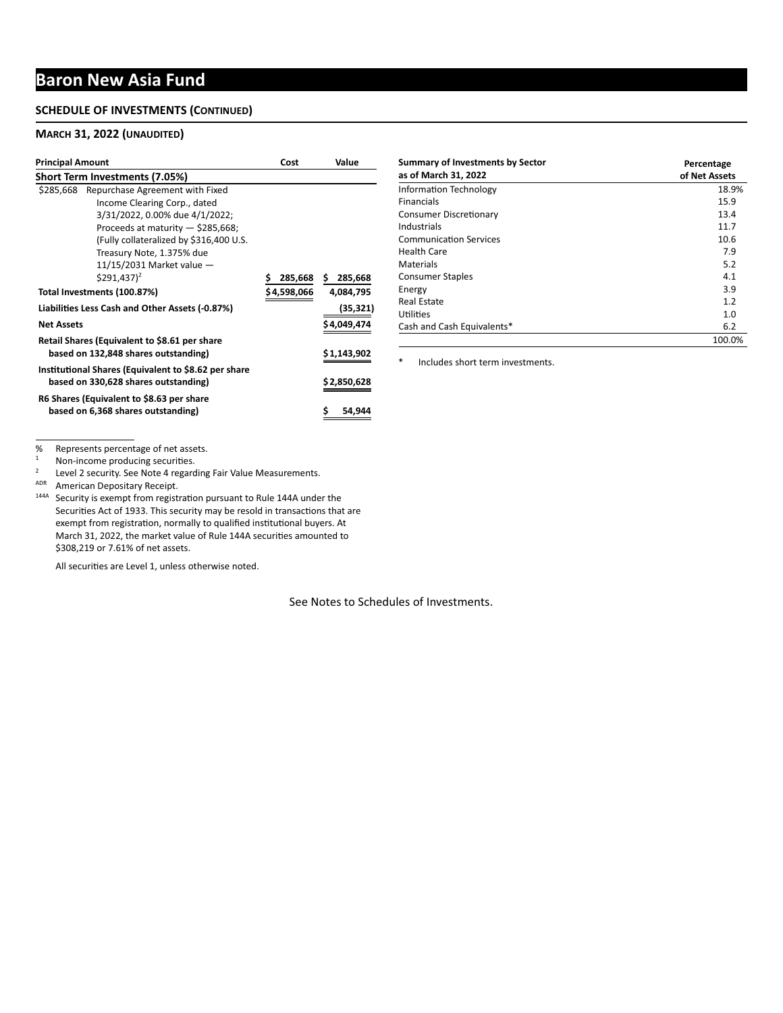# **Baron New Asia Fund**

#### **SCHEDULE OF INVESTMENTS (CONTINUED)**

#### **MARCH 31, 2022 (UNAUDITED)**

| <b>Principal Amount</b>     |                                                      | Cost         | Value         |  |
|-----------------------------|------------------------------------------------------|--------------|---------------|--|
|                             | <b>Short Term Investments (7.05%)</b>                |              |               |  |
| \$285,668                   | Repurchase Agreement with Fixed                      |              |               |  |
|                             | Income Clearing Corp., dated                         |              |               |  |
|                             | 3/31/2022, 0.00% due 4/1/2022;                       |              |               |  |
|                             | Proceeds at maturity - \$285,668;                    |              |               |  |
|                             | (Fully collateralized by \$316,400 U.S.              |              |               |  |
|                             | Treasury Note, 1.375% due                            |              |               |  |
|                             | $11/15/2031$ Market value $-$                        |              |               |  |
|                             | $$291,437$ <sup>2</sup>                              | Ś<br>285,668 | \$<br>285,668 |  |
| Total Investments (100.87%) |                                                      | \$4,598,066  | 4,084,795     |  |
|                             | Liabilities Less Cash and Other Assets (-0.87%)      |              | (35,321)      |  |
| <b>Net Assets</b>           |                                                      |              | \$4,049,474   |  |
|                             | Retail Shares (Equivalent to \$8.61 per share        |              |               |  |
|                             | based on 132,848 shares outstanding)                 |              | \$1,143,902   |  |
|                             | Institutional Shares (Equivalent to \$8.62 per share |              |               |  |
|                             | based on 330,628 shares outstanding)                 |              | \$2,850,628   |  |
|                             | R6 Shares (Equivalent to \$8.63 per share            |              |               |  |
|                             | based on 6,368 shares outstanding)                   |              | \$<br>54,944  |  |

| <b>Summary of Investments by Sector</b><br>as of March 31, 2022 | Percentage<br>of Net Assets |
|-----------------------------------------------------------------|-----------------------------|
| <b>Information Technology</b>                                   | 18.9%                       |
| <b>Financials</b>                                               | 15.9                        |
| <b>Consumer Discretionary</b>                                   | 13.4                        |
| Industrials                                                     | 11.7                        |
| <b>Communication Services</b>                                   | 10.6                        |
| <b>Health Care</b>                                              | 7.9                         |
| Materials                                                       | 5.2                         |
| <b>Consumer Staples</b>                                         | 4.1                         |
| Energy                                                          | 3.9                         |
| <b>Real Estate</b>                                              | 1.2                         |
| Utilities                                                       | 1.0                         |
| Cash and Cash Equivalents*                                      | 6.2                         |
|                                                                 | 100.0%                      |

\* Includes short term investments.

% Represents percentage of net assets.<br> $\frac{1}{1}$  Non-income producing socurities

 $1$  Non-income producing securities.

<sup>2</sup> Level 2 security. See Note 4 regarding Fair Value Measurements.

ADR American Depositary Receipt.

<sup>144A</sup> Security is exempt from registration pursuant to Rule 144A under the Securities Act of 1933. This security may be resold in transactions that are exempt from registration, normally to qualified institutional buyers. At March 31, 2022, the market value of Rule 144A securities amounted to \$308,219 or 7.61% of net assets.

All securities are Level 1, unless otherwise noted.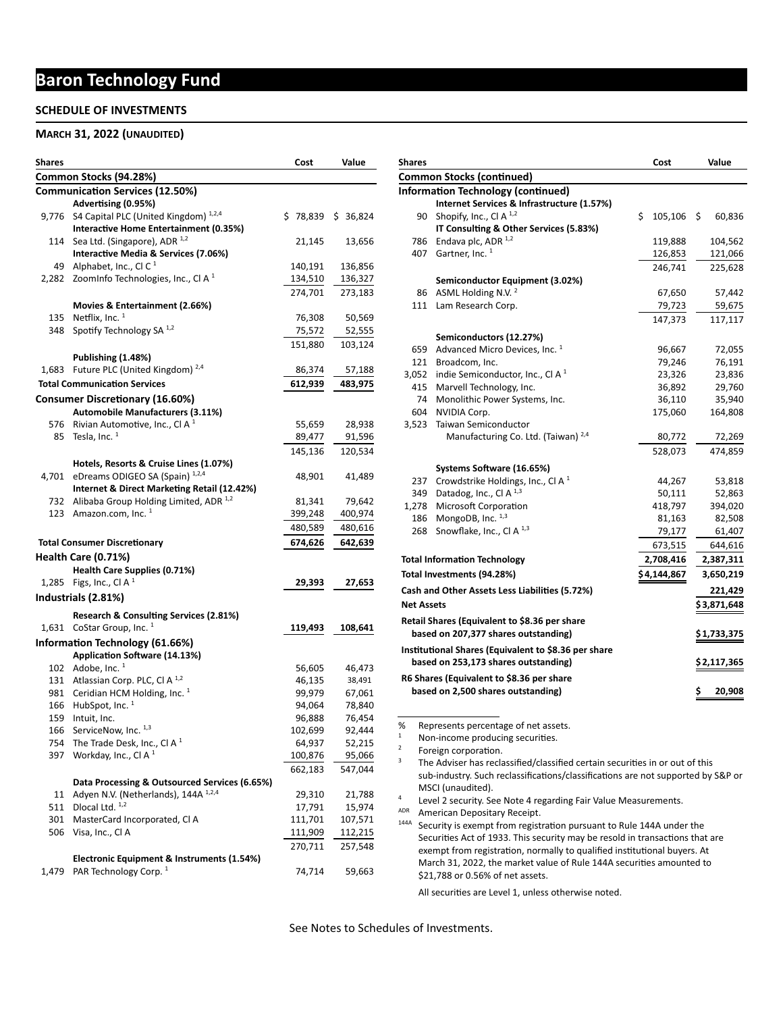# **Baron Technology Fund**

#### **SCHEDULE OF INVESTMENTS**

#### **MARCH 31, 2022 (UNAUDITED)**

| Shares |                                                | Cost     | Value    |
|--------|------------------------------------------------|----------|----------|
|        | Common Stocks (94.28%)                         |          |          |
|        | <b>Communication Services (12.50%)</b>         |          |          |
|        | Advertising (0.95%)                            |          |          |
| 9,776  | S4 Capital PLC (United Kingdom) 1,2,4          | \$78,839 | \$36,824 |
|        | Interactive Home Entertainment (0.35%)         |          |          |
| 114    | Sea Ltd. (Singapore), ADR <sup>1,2</sup>       | 21,145   | 13,656   |
|        | Interactive Media & Services (7.06%)           |          |          |
|        | 49 Alphabet, Inc., Cl C <sup>1</sup>           | 140,191  | 136,856  |
| 2,282  | ZoomInfo Technologies, Inc., CI A <sup>1</sup> | 134,510  | 136,327  |
|        |                                                | 274,701  | 273,183  |
|        | Movies & Entertainment (2.66%)                 |          |          |
| 135    | Netflix, Inc. $1$                              | 76,308   | 50,569   |
| 348    | Spotify Technology SA 1,2                      | 75,572   | 52,555   |
|        |                                                | 151,880  | 103,124  |
|        | Publishing (1.48%)                             |          |          |
| 1,683  | Future PLC (United Kingdom) <sup>2,4</sup>     | 86,374   | 57,188   |
|        | <b>Total Communication Services</b>            | 612,939  | 483,975  |
|        |                                                |          |          |
|        | Consumer Discretionary (16.60%)                |          |          |
|        | <b>Automobile Manufacturers (3.11%)</b>        |          |          |
| 576    | Rivian Automotive, Inc., Cl A $1$              | 55,659   | 28,938   |
| 85     | Tesla, Inc. <sup>1</sup>                       | 89,477   | 91,596   |
|        |                                                | 145,136  | 120,534  |
|        | Hotels, Resorts & Cruise Lines (1.07%)         |          |          |
| 4,701  | eDreams ODIGEO SA (Spain) 1,2,4                | 48,901   | 41,489   |
|        | Internet & Direct Marketing Retail (12.42%)    |          |          |
| 732    | Alibaba Group Holding Limited, ADR 1,2         | 81,341   | 79,642   |
| 123    | Amazon.com, Inc. 1                             | 399,248  | 400,974  |
|        |                                                | 480,589  | 480,616  |
|        | <b>Total Consumer Discretionary</b>            | 674,626  | 642,639  |
|        | Health Care (0.71%)                            |          |          |
|        | Health Care Supplies (0.71%)                   |          |          |
|        | 1,285 Figs, Inc., CI A $1$                     | 29,393   | 27,653   |
|        | Industrials (2.81%)                            |          |          |
|        |                                                |          |          |
|        | Research & Consulting Services (2.81%)         |          |          |
|        | 1,631 CoStar Group, Inc. <sup>1</sup>          | 119,493  | 108,641  |
|        | Information Technology (61.66%)                |          |          |
|        | Application Software (14.13%)                  |          |          |
|        | 102 Adobe, Inc. $1$                            | 56,605   | 46,473   |
|        | 131 Atlassian Corp. PLC, Cl A <sup>1,2</sup>   | 46,135   | 38,491   |
| 981    | Ceridian HCM Holding, Inc. <sup>1</sup>        | 99,979   | 67,061   |
| 166    | HubSpot, Inc. 1                                | 94,064   | 78,840   |
| 159    | Intuit, Inc.                                   | 96,888   | 76,454   |
| 166    | ServiceNow, Inc. 1,3                           | 102,699  | 92,444   |
| 754    | The Trade Desk, Inc., Cl A $1$                 | 64,937   | 52,215   |
| 397    | Workday, Inc., Cl A $1$                        | 100,876  | 95,066   |
|        |                                                | 662,183  | 547,044  |
|        | Data Processing & Outsourced Services (6.65%)  |          |          |
| 11     | Adyen N.V. (Netherlands), 144A 1,2,4           | 29,310   | 21,788   |
| 511    | Dlocal Ltd. 1,2                                | 17,791   | 15,974   |
| 301    | MasterCard Incorporated, CI A                  | 111,701  | 107,571  |
| 506    | Visa, Inc., Cl A                               | 111,909  | 112,215  |
|        |                                                | 270,711  | 257,548  |
|        | Electronic Equipment & Instruments (1.54%)     |          |          |
| 1,479  | PAR Technology Corp. <sup>1</sup>              | 74,714   | 59,663   |
|        |                                                |          |          |

| <b>Shares</b>           |                                                                                  |    | Cost        |    | Value       |  |  |  |  |  |
|-------------------------|----------------------------------------------------------------------------------|----|-------------|----|-------------|--|--|--|--|--|
|                         | <b>Common Stocks (continued)</b>                                                 |    |             |    |             |  |  |  |  |  |
|                         | <b>Information Technology (continued)</b>                                        |    |             |    |             |  |  |  |  |  |
|                         | Internet Services & Infrastructure (1.57%)                                       |    |             |    |             |  |  |  |  |  |
|                         | Shopify, Inc., Cl A $^{1,2}$<br>90                                               | \$ | 105,106     | \$ | 60,836      |  |  |  |  |  |
|                         | IT Consulting & Other Services (5.83%)                                           |    |             |    |             |  |  |  |  |  |
| 786                     | Endava plc, ADR 1,2                                                              |    | 119,888     |    | 104,562     |  |  |  |  |  |
|                         | Gartner, Inc. <sup>1</sup><br>407                                                |    | 126,853     |    | 121,066     |  |  |  |  |  |
|                         |                                                                                  |    | 246,741     |    | 225,628     |  |  |  |  |  |
|                         | Semiconductor Equipment (3.02%)                                                  |    |             |    |             |  |  |  |  |  |
|                         | ASML Holding N.V. <sup>2</sup><br>86                                             |    | 67,650      |    | 57,442      |  |  |  |  |  |
| 111                     | Lam Research Corp.                                                               |    | 79,723      |    | 59,675      |  |  |  |  |  |
|                         |                                                                                  |    | 147,373     |    | 117,117     |  |  |  |  |  |
|                         | Semiconductors (12.27%)                                                          |    |             |    |             |  |  |  |  |  |
| 659                     | Advanced Micro Devices, Inc. <sup>1</sup>                                        |    | 96,667      |    | 72,055      |  |  |  |  |  |
|                         | 121 Broadcom, Inc.                                                               |    | 79,246      |    | 76,191      |  |  |  |  |  |
| 3,052                   | indie Semiconductor, Inc., Cl A $^1$                                             |    | 23,326      |    | 23,836      |  |  |  |  |  |
|                         | 415 Marvell Technology, Inc.                                                     |    | 36,892      |    | 29,760      |  |  |  |  |  |
|                         | Monolithic Power Systems, Inc.<br>74                                             |    | 36,110      |    | 35,940      |  |  |  |  |  |
| 604                     | NVIDIA Corp.                                                                     |    | 175,060     |    | 164,808     |  |  |  |  |  |
| 3,523                   | Taiwan Semiconductor                                                             |    |             |    |             |  |  |  |  |  |
|                         | Manufacturing Co. Ltd. (Taiwan) <sup>2,4</sup>                                   |    | 80,772      |    | 72,269      |  |  |  |  |  |
|                         |                                                                                  |    | 528,073     |    | 474,859     |  |  |  |  |  |
|                         | Systems Software (16.65%)                                                        |    |             |    |             |  |  |  |  |  |
|                         | Crowdstrike Holdings, Inc., CI A $1$<br>237                                      |    | 44,267      |    | 53,818      |  |  |  |  |  |
|                         | 349 Datadog, Inc., Cl A $^{1,3}$                                                 |    | 50,111      |    | 52,863      |  |  |  |  |  |
| 1,278                   | Microsoft Corporation                                                            |    | 418,797     |    | 394,020     |  |  |  |  |  |
|                         | MongoDB, Inc. 1,3<br>186                                                         |    | 81,163      |    | 82,508      |  |  |  |  |  |
| 268                     | Snowflake, Inc., Cl A <sup>1,3</sup>                                             |    | 79,177      |    | 61,407      |  |  |  |  |  |
|                         |                                                                                  |    | 673,515     |    | 644,616     |  |  |  |  |  |
|                         | <b>Total Information Technology</b>                                              |    | 2,708,416   |    | 2,387,311   |  |  |  |  |  |
|                         | Total Investments (94.28%)                                                       |    | \$4,144,867 |    |             |  |  |  |  |  |
|                         |                                                                                  |    |             |    | 3,650,219   |  |  |  |  |  |
|                         | Cash and Other Assets Less Liabilities (5.72%)                                   |    |             |    | 221,429     |  |  |  |  |  |
|                         | <b>Net Assets</b>                                                                |    |             |    | \$3,871,648 |  |  |  |  |  |
|                         | Retail Shares (Equivalent to \$8.36 per share                                    |    |             |    |             |  |  |  |  |  |
|                         | based on 207,377 shares outstanding)                                             |    |             |    | \$1,733,375 |  |  |  |  |  |
|                         | Institutional Shares (Equivalent to \$8.36 per share                             |    |             |    |             |  |  |  |  |  |
|                         | based on 253,173 shares outstanding)                                             |    |             |    | \$2,117,365 |  |  |  |  |  |
|                         | R6 Shares (Equivalent to \$8.36 per share                                        |    |             |    |             |  |  |  |  |  |
|                         | based on 2,500 shares outstanding)                                               |    |             | Ş  | 20,908      |  |  |  |  |  |
|                         |                                                                                  |    |             |    |             |  |  |  |  |  |
|                         |                                                                                  |    |             |    |             |  |  |  |  |  |
| %                       | Represents percentage of net assets.                                             |    |             |    |             |  |  |  |  |  |
| 1                       | Non-income producing securities.                                                 |    |             |    |             |  |  |  |  |  |
| $\overline{\mathbf{c}}$ | Foreign corporation.                                                             |    |             |    |             |  |  |  |  |  |
| 3                       | The Adviser has reclassified/classified certain securities in or out of this     |    |             |    |             |  |  |  |  |  |
|                         | sub-industry. Such reclassifications/classifications are not supported by S&P or |    |             |    |             |  |  |  |  |  |
|                         | MSCI (unaudited).                                                                |    |             |    |             |  |  |  |  |  |
| 4                       | Level 2 security. See Note 4 regarding Fair Value Measurements.                  |    |             |    |             |  |  |  |  |  |
| ADR                     | American Depositary Receipt.                                                     |    |             |    |             |  |  |  |  |  |
|                         | 144A<br>Security is exempt from registration pursuant to Rule 144A under the     |    |             |    |             |  |  |  |  |  |

All securities are Level 1, unless otherwise noted.

\$21,788 or 0.56% of net assets.

Securities Act of 1933. This security may be resold in transactions that are exempt from registration, normally to qualified institutional buyers. At March 31, 2022, the market value of Rule 144A securities amounted to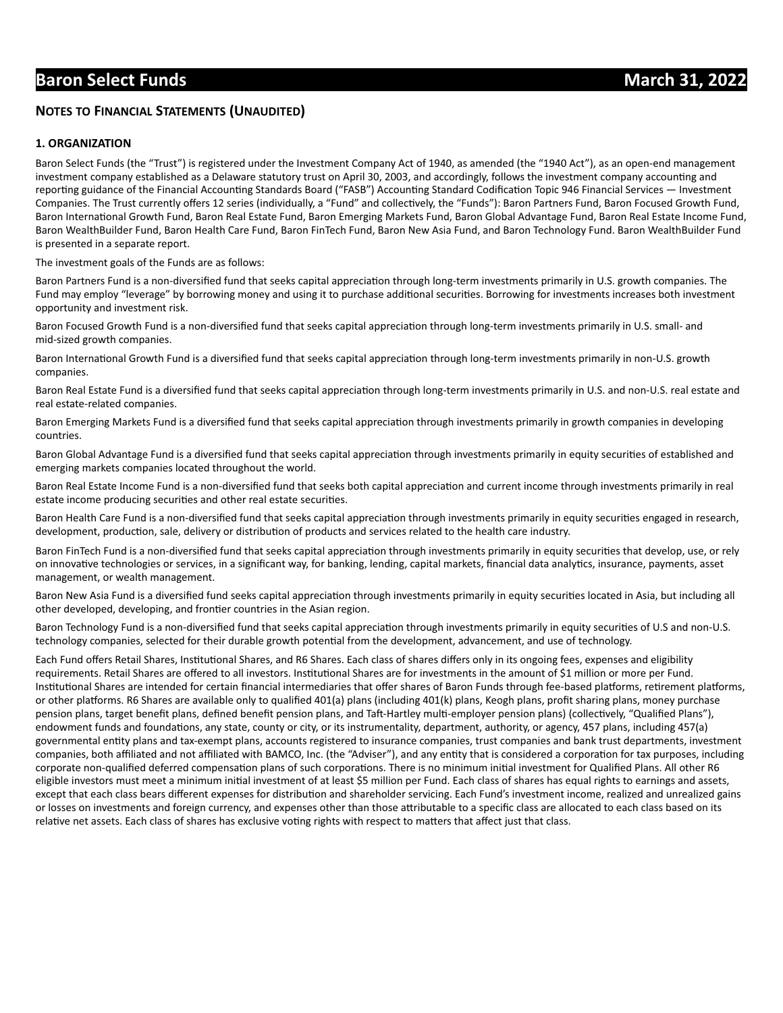#### **NOTES TO FINANCIAL STATEMENTS (UNAUDITED)**

#### **1. ORGANIZATION**

Baron Select Funds (the "Trust") is registered under the Investment Company Act of 1940, as amended (the "1940 Act"), as an open-end management investment company established as a Delaware statutory trust on April 30, 2003, and accordingly, follows the investment company accounting and reporting guidance of the Financial Accounting Standards Board ("FASB") Accounting Standard Codification Topic 946 Financial Services — Investment Companies. The Trust currently offers 12 series (individually, a "Fund" and collectively, the "Funds"): Baron Partners Fund, Baron Focused Growth Fund, Baron International Growth Fund, Baron Real Estate Fund, Baron Emerging Markets Fund, Baron Global Advantage Fund, Baron Real Estate Income Fund, Baron WealthBuilder Fund, Baron Health Care Fund, Baron FinTech Fund, Baron New Asia Fund, and Baron Technology Fund. Baron WealthBuilder Fund is presented in a separate report.

The investment goals of the Funds are as follows:

Baron Partners Fund is a non-diversified fund that seeks capital appreciation through long-term investments primarily in U.S. growth companies. The Fund may employ "leverage" by borrowing money and using it to purchase additional securities. Borrowing for investments increases both investment opportunity and investment risk.

Baron Focused Growth Fund is a non-diversified fund that seeks capital appreciation through long-term investments primarily in U.S. small- and mid-sized growth companies.

Baron International Growth Fund is a diversified fund that seeks capital appreciation through long-term investments primarily in non-U.S. growth companies.

Baron Real Estate Fund is a diversified fund that seeks capital appreciation through long-term investments primarily in U.S. and non-U.S. real estate and real estate-related companies.

Baron Emerging Markets Fund is a diversified fund that seeks capital appreciation through investments primarily in growth companies in developing countries.

Baron Global Advantage Fund is a diversified fund that seeks capital appreciation through investments primarily in equity securities of established and emerging markets companies located throughout the world.

Baron Real Estate Income Fund is a non-diversified fund that seeks both capital appreciation and current income through investments primarily in real estate income producing securities and other real estate securities.

Baron Health Care Fund is a non-diversified fund that seeks capital appreciation through investments primarily in equity securities engaged in research, development, production, sale, delivery or distribution of products and services related to the health care industry.

Baron FinTech Fund is a non-diversified fund that seeks capital appreciation through investments primarily in equity securities that develop, use, or rely on innovative technologies or services, in a significant way, for banking, lending, capital markets, financial data analytics, insurance, payments, asset management, or wealth management.

Baron New Asia Fund is a diversified fund seeks capital appreciation through investments primarily in equity securities located in Asia, but including all other developed, developing, and frontier countries in the Asian region.

Baron Technology Fund is a non-diversified fund that seeks capital appreciation through investments primarily in equity securities of U.S and non-U.S. technology companies, selected for their durable growth potential from the development, advancement, and use of technology.

Each Fund offers Retail Shares, Institutional Shares, and R6 Shares. Each class of shares differs only in its ongoing fees, expenses and eligibility requirements. Retail Shares are offered to all investors. Institutional Shares are for investments in the amount of \$1 million or more per Fund. Institutional Shares are intended for certain financial intermediaries that offer shares of Baron Funds through fee-based platforms, retirement platforms, or other platforms. R6 Shares are available only to qualified 401(a) plans (including 401(k) plans, Keogh plans, profit sharing plans, money purchase pension plans, target benefit plans, defined benefit pension plans, and Taft-Hartley multi-employer pension plans) (collectively, "Qualified Plans"), endowment funds and foundations, any state, county or city, or its instrumentality, department, authority, or agency, 457 plans, including 457(a) governmental entity plans and tax-exempt plans, accounts registered to insurance companies, trust companies and bank trust departments, investment companies, both affiliated and not affiliated with BAMCO, Inc. (the "Adviser"), and any entity that is considered a corporation for tax purposes, including corporate non-qualified deferred compensation plans of such corporations. There is no minimum initial investment for Qualified Plans. All other R6 eligible investors must meet a minimum initial investment of at least \$5 million per Fund. Each class of shares has equal rights to earnings and assets, except that each class bears different expenses for distribution and shareholder servicing. Each Fund's investment income, realized and unrealized gains or losses on investments and foreign currency, and expenses other than those attributable to a specific class are allocated to each class based on its relative net assets. Each class of shares has exclusive voting rights with respect to matters that affect just that class.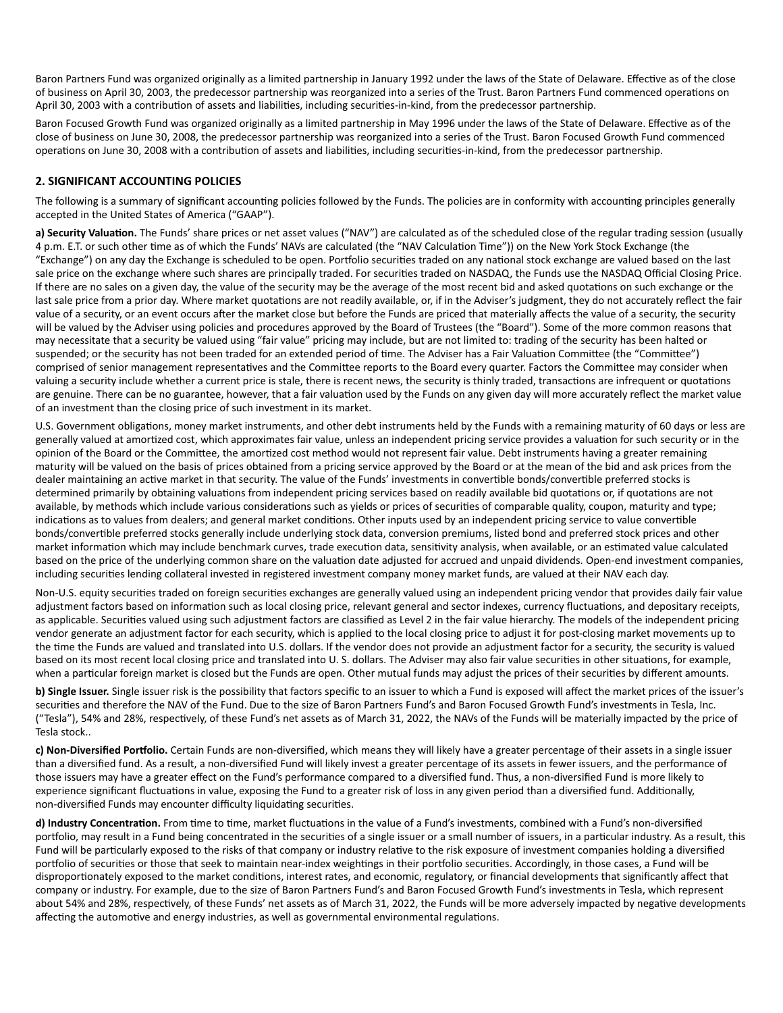Baron Partners Fund was organized originally as a limited partnership in January 1992 under the laws of the State of Delaware. Effective as of the close of business on April 30, 2003, the predecessor partnership was reorganized into a series of the Trust. Baron Partners Fund commenced operations on April 30, 2003 with a contribution of assets and liabilities, including securities-in-kind, from the predecessor partnership.

Baron Focused Growth Fund was organized originally as a limited partnership in May 1996 under the laws of the State of Delaware. Effective as of the close of business on June 30, 2008, the predecessor partnership was reorganized into a series of the Trust. Baron Focused Growth Fund commenced operations on June 30, 2008 with a contribution of assets and liabilities, including securities-in-kind, from the predecessor partnership.

#### **2. SIGNIFICANT ACCOUNTING POLICIES**

The following is a summary of significant accounting policies followed by the Funds. The policies are in conformity with accounting principles generally accepted in the United States of America ("GAAP").

a) Security Valuation. The Funds' share prices or net asset values ("NAV") are calculated as of the scheduled close of the regular trading session (usually 4 p.m. E.T. or such other time as of which the Funds' NAVs are calculated (the "NAV Calculation Time")) on the New York Stock Exchange (the "Exchange") on any day the Exchange is scheduled to be open. Portfolio securities traded on any national stock exchange are valued based on the last sale price on the exchange where such shares are principally traded. For securities traded on NASDAQ, the Funds use the NASDAQ Official Closing Price. If there are no sales on a given day, the value of the security may be the average of the most recent bid and asked quotations on such exchange or the last sale price from a prior day. Where market quotations are not readily available, or, if in the Adviser's judgment, they do not accurately reflect the fair value of a security, or an event occurs after the market close but before the Funds are priced that materially affects the value of a security, the security will be valued by the Adviser using policies and procedures approved by the Board of Trustees (the "Board"). Some of the more common reasons that may necessitate that a security be valued using "fair value" pricing may include, but are not limited to: trading of the security has been halted or suspended; or the security has not been traded for an extended period of time. The Adviser has a Fair Valuation Committee (the "Committee") comprised of senior management representatives and the Committee reports to the Board every quarter. Factors the Committee may consider when valuing a security include whether a current price is stale, there is recent news, the security is thinly traded, transactions are infrequent or quotations are genuine. There can be no guarantee, however, that a fair valuation used by the Funds on any given day will more accurately reflect the market value of an investment than the closing price of such investment in its market.

U.S. Government obligations, money market instruments, and other debt instruments held by the Funds with a remaining maturity of 60 days or less are generally valued at amortized cost, which approximates fair value, unless an independent pricing service provides a valuation for such security or in the opinion of the Board or the Committee, the amortized cost method would not represent fair value. Debt instruments having a greater remaining maturity will be valued on the basis of prices obtained from a pricing service approved by the Board or at the mean of the bid and ask prices from the dealer maintaining an active market in that security. The value of the Funds' investments in convertible bonds/convertible preferred stocks is determined primarily by obtaining valuations from independent pricing services based on readily available bid quotations or, if quotations are not available, by methods which include various considerations such as yields or prices of securities of comparable quality, coupon, maturity and type; indications as to values from dealers; and general market conditions. Other inputs used by an independent pricing service to value convertible bonds/convertible preferred stocks generally include underlying stock data, conversion premiums, listed bond and preferred stock prices and other market information which may include benchmark curves, trade execution data, sensitivity analysis, when available, or an estimated value calculated based on the price of the underlying common share on the valuation date adjusted for accrued and unpaid dividends. Open-end investment companies, including securities lending collateral invested in registered investment company money market funds, are valued at their NAV each day.

Non-U.S. equity securities traded on foreign securities exchanges are generally valued using an independent pricing vendor that provides daily fair value adjustment factors based on information such as local closing price, relevant general and sector indexes, currency fluctuations, and depositary receipts, as applicable. Securities valued using such adjustment factors are classified as Level 2 in the fair value hierarchy. The models of the independent pricing vendor generate an adjustment factor for each security, which is applied to the local closing price to adjust it for post-closing market movements up to the time the Funds are valued and translated into U.S. dollars. If the vendor does not provide an adjustment factor for a security, the security is valued based on its most recent local closing price and translated into U. S. dollars. The Adviser may also fair value securities in other situations, for example, when a particular foreign market is closed but the Funds are open. Other mutual funds may adjust the prices of their securities by different amounts.

**b) Single Issuer.** Single issuer risk is the possibility that factors specific to an issuer to which a Fund is exposed will affect the market prices of the issuer's securities and therefore the NAV of the Fund. Due to the size of Baron Partners Fund's and Baron Focused Growth Fund's investments in Tesla, Inc. ("Tesla"), 54% and 28%, respectively, of these Fund's net assets as of March 31, 2022, the NAVs of the Funds will be materially impacted by the price of Tesla stock..

c) Non-Diversified Portfolio. Certain Funds are non-diversified, which means they will likely have a greater percentage of their assets in a single issuer than a diversified fund. As a result, a non-diversified Fund will likely invest a greater percentage of its assets in fewer issuers, and the performance of those issuers may have a greater effect on the Fund's performance compared to a diversified fund. Thus, a non-diversified Fund is more likely to experience significant fluctuations in value, exposing the Fund to a greater risk of loss in any given period than a diversified fund. Additionally, non-diversified Funds may encounter difficulty liquidating securities.

d) Industry Concentration. From time to time, market fluctuations in the value of a Fund's investments, combined with a Fund's non-diversified portfolio, may result in a Fund being concentrated in the securities of a single issuer or a small number of issuers, in a particular industry. As a result, this Fund will be particularly exposed to the risks of that company or industry relative to the risk exposure of investment companies holding a diversified portfolio of securities or those that seek to maintain near-index weightings in their portfolio securities. Accordingly, in those cases, a Fund will be disproportionately exposed to the market conditions, interest rates, and economic, regulatory, or financial developments that significantly affect that company or industry. For example, due to the size of Baron Partners Fund's and Baron Focused Growth Fund's investments in Tesla, which represent about 54% and 28%, respectively, of these Funds' net assets as of March 31, 2022, the Funds will be more adversely impacted by negative developments affecting the automotive and energy industries, as well as governmental environmental regulations.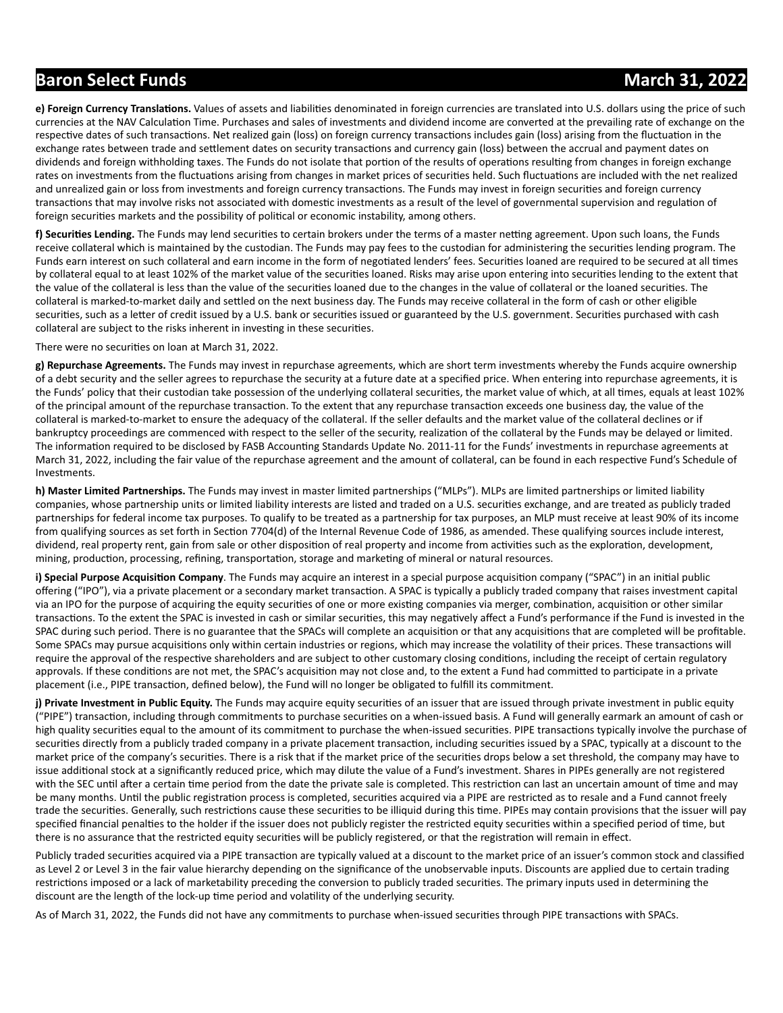e) Foreign Currency Translations. Values of assets and liabilities denominated in foreign currencies are translated into U.S. dollars using the price of such currencies at the NAV Calculation Time. Purchases and sales of investments and dividend income are converted at the prevailing rate of exchange on the respective dates of such transactions. Net realized gain (loss) on foreign currency transactions includes gain (loss) arising from the fluctuation in the exchange rates between trade and settlement dates on security transactions and currency gain (loss) between the accrual and payment dates on dividends and foreign withholding taxes. The Funds do not isolate that portion of the results of operations resulting from changes in foreign exchange rates on investments from the fluctuations arising from changes in market prices of securities held. Such fluctuations are included with the net realized and unrealized gain or loss from investments and foreign currency transactions. The Funds may invest in foreign securities and foreign currency transactions that may involve risks not associated with domestic investments as a result of the level of governmental supervision and regulation of foreign securities markets and the possibility of political or economic instability, among others.

f) Securities Lending. The Funds may lend securities to certain brokers under the terms of a master netting agreement. Upon such loans, the Funds receive collateral which is maintained by the custodian. The Funds may pay fees to the custodian for administering the securities lending program. The Funds earn interest on such collateral and earn income in the form of negotiated lenders' fees. Securities loaned are required to be secured at all times by collateral equal to at least 102% of the market value of the securities loaned. Risks may arise upon entering into securities lending to the extent that the value of the collateral is less than the value of the securities loaned due to the changes in the value of collateral or the loaned securities. The collateral is marked-to-market daily and settled on the next business day. The Funds may receive collateral in the form of cash or other eligible securities, such as a letter of credit issued by a U.S. bank or securities issued or guaranteed by the U.S. government. Securities purchased with cash collateral are subject to the risks inherent in investing in these securities.

There were no securities on loan at March 31, 2022.

**g) Repurchase Agreements.** The Funds may invest in repurchase agreements, which are short term investments whereby the Funds acquire ownership of a debt security and the seller agrees to repurchase the security at a future date at a specified price. When entering into repurchase agreements, it is the Funds' policy that their custodian take possession of the underlying collateral securities, the market value of which, at all times, equals at least 102% of the principal amount of the repurchase transaction. To the extent that any repurchase transaction exceeds one business day, the value of the collateral is marked-to-market to ensure the adequacy of the collateral. If the seller defaults and the market value of the collateral declines or if bankruptcy proceedings are commenced with respect to the seller of the security, realization of the collateral by the Funds may be delayed or limited. The information required to be disclosed by FASB Accounting Standards Update No. 2011-11 for the Funds' investments in repurchase agreements at March 31, 2022, including the fair value of the repurchase agreement and the amount of collateral, can be found in each respective Fund's Schedule of Investments.

**h) Master Limited Partnerships.** The Funds may invest in master limited partnerships ("MLPs"). MLPs are limited partnerships or limited liability companies, whose partnership units or limited liability interests are listed and traded on a U.S. securities exchange, and are treated as publicly traded partnerships for federal income tax purposes. To qualify to be treated as a partnership for tax purposes, an MLP must receive at least 90% of its income from qualifying sources as set forth in Section 7704(d) of the Internal Revenue Code of 1986, as amended. These qualifying sources include interest, dividend, real property rent, gain from sale or other disposition of real property and income from activities such as the exploration, development, mining, production, processing, refining, transportation, storage and marketing of mineral or natural resources.

**i) Special Purpose Acquisition Company**. The Funds may acquire an interest in a special purpose acquisition company ("SPAC") in an initial public offering ("IPO"), via a private placement or a secondary market transaction. A SPAC is typically a publicly traded company that raises investment capital via an IPO for the purpose of acquiring the equity securities of one or more existing companies via merger, combination, acquisition or other similar transactions. To the extent the SPAC is invested in cash or similar securities, this may negatively affect a Fund's performance if the Fund is invested in the SPAC during such period. There is no guarantee that the SPACs will complete an acquisition or that any acquisitions that are completed will be profitable. Some SPACs may pursue acquisitions only within certain industries or regions, which may increase the volatility of their prices. These transactions will require the approval of the respective shareholders and are subject to other customary closing conditions, including the receipt of certain regulatory approvals. If these conditions are not met, the SPAC's acquisition may not close and, to the extent a Fund had committed to participate in a private placement (i.e., PIPE transaction, defined below), the Fund will no longer be obligated to fulfill its commitment.

**j) Private Investment in Public Equity.** The Funds may acquire equity securities of an issuer that are issued through private investment in public equity ("PIPE") transaction, including through commitments to purchase securities on a when-issued basis. A Fund will generally earmark an amount of cash or high quality securities equal to the amount of its commitment to purchase the when-issued securities. PIPE transactions typically involve the purchase of securities directly from a publicly traded company in a private placement transaction, including securities issued by a SPAC, typically at a discount to the market price of the company's securities. There is a risk that if the market price of the securities drops below a set threshold, the company may have to issue additional stock at a significantly reduced price, which may dilute the value of a Fund's investment. Shares in PIPEs generally are not registered with the SEC until after a certain time period from the date the private sale is completed. This restriction can last an uncertain amount of time and may be many months. Until the public registration process is completed, securities acquired via a PIPE are restricted as to resale and a Fund cannot freely trade the securities. Generally, such restrictions cause these securities to be illiquid during this time. PIPEs may contain provisions that the issuer will pay specified financial penalties to the holder if the issuer does not publicly register the restricted equity securities within a specified period of time, but there is no assurance that the restricted equity securities will be publicly registered, or that the registration will remain in effect.

Publicly traded securities acquired via a PIPE transaction are typically valued at a discount to the market price of an issuer's common stock and classified as Level 2 or Level 3 in the fair value hierarchy depending on the significance of the unobservable inputs. Discounts are applied due to certain trading restrictions imposed or a lack of marketability preceding the conversion to publicly traded securities. The primary inputs used in determining the discount are the length of the lock-up time period and volatility of the underlying security.

As of March 31, 2022, the Funds did not have any commitments to purchase when-issued securities through PIPE transactions with SPACs.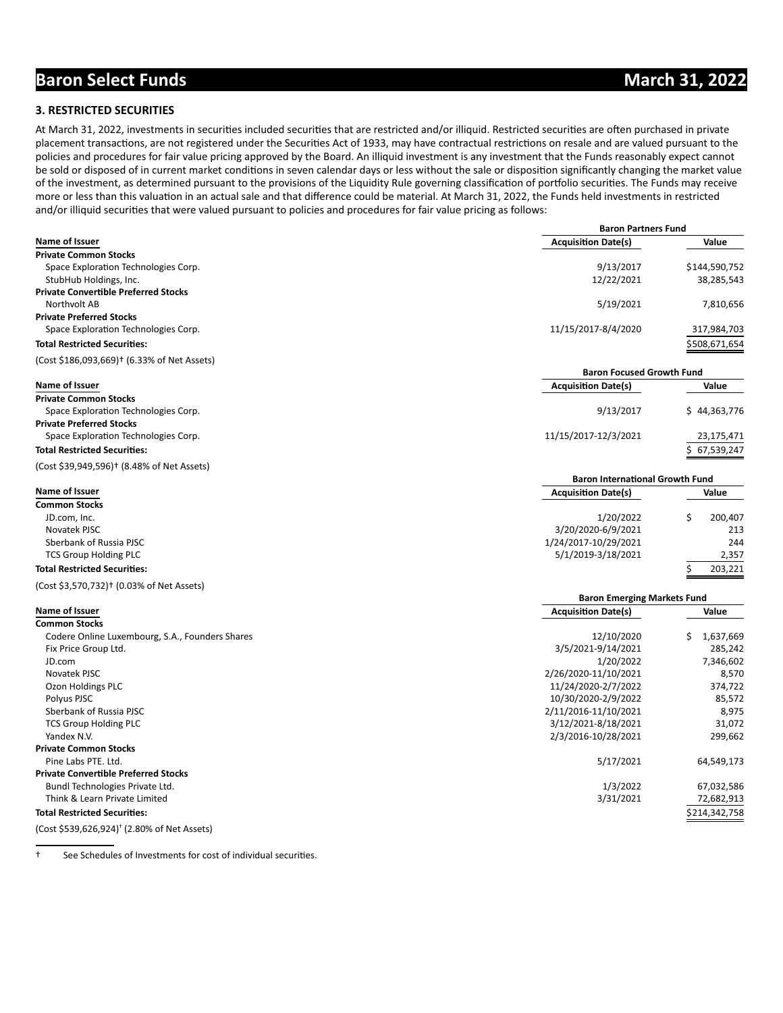**Baron Partners Fund**

#### **3. RESTRICTED SECURITIES**

At March 31, 2022, investments in securities included securities that are restricted and/or illiquid. Restricted securities are often purchased in private placement transactions, are not registered under the Securities Act of 1933, may have contractual restrictions on resale and are valued pursuant to the policies and procedures for fair value pricing approved by the Board. An illiquid investment is any investment that the Funds reasonably expect cannot be sold or disposed of in current market conditions in seven calendar days or less without the sale or disposition significantly changing the market value of the investment, as determined pursuant to the provisions of the Liquidity Rule governing classification of portfolio securities. The Funds may receive more or less than this valuation in an actual sale and that difference could be material. At March 31, 2022, the Funds held investments in restricted and/or illiquid securities that were valued pursuant to policies and procedures for fair value pricing as follows:

| Name of Issuer                                         | <b>PUIVII I UI LIICIJ I UIIU</b><br><b>Acquisition Date(s)</b> | Value           |
|--------------------------------------------------------|----------------------------------------------------------------|-----------------|
| <b>Private Common Stocks</b>                           |                                                                |                 |
| Space Exploration Technologies Corp.                   | 9/13/2017                                                      | \$144,590,752   |
| StubHub Holdings, Inc.                                 | 12/22/2021                                                     | 38,285,543      |
| <b>Private Convertible Preferred Stocks</b>            |                                                                |                 |
| Northvolt AB                                           | 5/19/2021                                                      | 7,810,656       |
| <b>Private Preferred Stocks</b>                        |                                                                |                 |
| Space Exploration Technologies Corp.                   | 11/15/2017-8/4/2020                                            | 317,984,703     |
| <b>Total Restricted Securities:</b>                    |                                                                | \$508,671,654   |
| (Cost \$186,093,669)† (6.33% of Net Assets)            |                                                                |                 |
|                                                        | <b>Baron Focused Growth Fund</b>                               |                 |
| Name of Issuer                                         | <b>Acquisition Date(s)</b>                                     | Value           |
| <b>Private Common Stocks</b>                           |                                                                |                 |
| Space Exploration Technologies Corp.                   | 9/13/2017                                                      | \$44,363,776    |
| <b>Private Preferred Stocks</b>                        |                                                                |                 |
| Space Exploration Technologies Corp.                   | 11/15/2017-12/3/2021                                           | 23,175,471      |
|                                                        |                                                                |                 |
| <b>Total Restricted Securities:</b>                    |                                                                | 67,539,247      |
| (Cost \$39,949,596) <sup>†</sup> (8.48% of Net Assets) | <b>Baron International Growth Fund</b>                         |                 |
| Name of Issuer                                         | <b>Acquisition Date(s)</b>                                     | Value           |
| <b>Common Stocks</b>                                   |                                                                |                 |
| JD.com, Inc.                                           | 1/20/2022                                                      | \$<br>200,407   |
| Novatek PJSC                                           | 3/20/2020-6/9/2021                                             | 213             |
| Sberbank of Russia PJSC                                | 1/24/2017-10/29/2021                                           | 244             |
| <b>TCS Group Holding PLC</b>                           | 5/1/2019-3/18/2021                                             | 2,357           |
| <b>Total Restricted Securities:</b>                    |                                                                | Ś<br>203,221    |
|                                                        |                                                                |                 |
| (Cost \$3,570,732)† (0.03% of Net Assets)              |                                                                |                 |
|                                                        | <b>Baron Emerging Markets Fund</b>                             |                 |
| Name of Issuer                                         | <b>Acquisition Date(s)</b>                                     | Value           |
| <b>Common Stocks</b>                                   |                                                                |                 |
| Codere Online Luxembourg, S.A., Founders Shares        | 12/10/2020                                                     | Ś.<br>1,637,669 |
| Fix Price Group Ltd.                                   | 3/5/2021-9/14/2021                                             | 285,242         |
| JD.com                                                 | 1/20/2022                                                      | 7,346,602       |
| Novatek PJSC                                           | 2/26/2020-11/10/2021                                           | 8,570           |
| Ozon Holdings PLC                                      | 11/24/2020-2/7/2022                                            | 374,722         |
| Polyus PJSC                                            | 10/30/2020-2/9/2022                                            | 85,572          |
| Sberbank of Russia PJSC                                | 2/11/2016-11/10/2021                                           | 8,975           |
| <b>TCS Group Holding PLC</b>                           | 3/12/2021-8/18/2021                                            | 31,072          |
| Yandex N.V.                                            | 2/3/2016-10/28/2021                                            | 299,662         |
| <b>Private Common Stocks</b>                           |                                                                |                 |
| Pine Labs PTE. Ltd.                                    | 5/17/2021                                                      | 64,549,173      |
| <b>Private Convertible Preferred Stocks</b>            |                                                                |                 |
| Bundl Technologies Private Ltd.                        | 1/3/2022                                                       | 67,032,586      |
| Think & Learn Private Limited                          | 3/31/2021                                                      | 72,682,913      |
| <b>Total Restricted Securities:</b>                    |                                                                | \$214,342,758   |
|                                                        |                                                                |                 |

(Cost \$539,626,924)† (2.80% of Net Assets)

<sup>†</sup> See Schedules of Investments for cost of individual securities.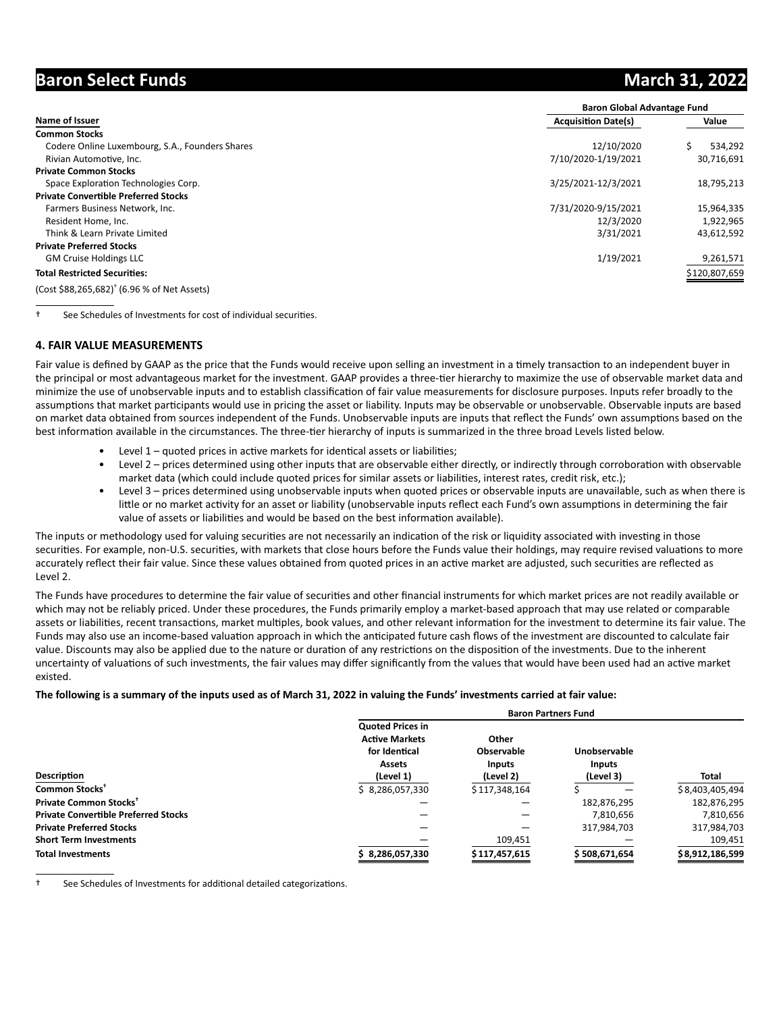|                                                         | <b>Baron Global Advantage Fund</b> |               |  |  |  |  |
|---------------------------------------------------------|------------------------------------|---------------|--|--|--|--|
| Name of Issuer                                          | <b>Acquisition Date(s)</b>         | Value         |  |  |  |  |
| <b>Common Stocks</b>                                    |                                    |               |  |  |  |  |
| Codere Online Luxembourg, S.A., Founders Shares         | 12/10/2020                         | 534,292       |  |  |  |  |
| Rivian Automotive, Inc.                                 | 7/10/2020-1/19/2021                | 30,716,691    |  |  |  |  |
| <b>Private Common Stocks</b>                            |                                    |               |  |  |  |  |
| Space Exploration Technologies Corp.                    | 3/25/2021-12/3/2021                | 18,795,213    |  |  |  |  |
| <b>Private Convertible Preferred Stocks</b>             |                                    |               |  |  |  |  |
| Farmers Business Network, Inc.                          | 7/31/2020-9/15/2021                | 15,964,335    |  |  |  |  |
| Resident Home, Inc.                                     | 12/3/2020                          | 1,922,965     |  |  |  |  |
| Think & Learn Private Limited                           | 3/31/2021                          | 43,612,592    |  |  |  |  |
| <b>Private Preferred Stocks</b>                         |                                    |               |  |  |  |  |
| <b>GM Cruise Holdings LLC</b>                           | 1/19/2021                          | 9,261,571     |  |  |  |  |
| <b>Total Restricted Securities:</b>                     |                                    | \$120,807,659 |  |  |  |  |
| (Cost \$88,265,682) <sup>†</sup> (6.96 % of Net Assets) |                                    |               |  |  |  |  |

<sup>†</sup> See Schedules of Investments for cost of individual securities.

#### **4. FAIR VALUE MEASUREMENTS**

Fair value is defined by GAAP as the price that the Funds would receive upon selling an investment in a timely transaction to an independent buyer in the principal or most advantageous market for the investment. GAAP provides a three-tier hierarchy to maximize the use of observable market data and minimize the use of unobservable inputs and to establish classification of fair value measurements for disclosure purposes. Inputs refer broadly to the assumptions that market participants would use in pricing the asset or liability. Inputs may be observable or unobservable. Observable inputs are based on market data obtained from sources independent of the Funds. Unobservable inputs are inputs that reflect the Funds' own assumptions based on the best information available in the circumstances. The three-tier hierarchy of inputs is summarized in the three broad Levels listed below.

- Level  $1$  quoted prices in active markets for identical assets or liabilities;
	- Level 2 prices determined using other inputs that are observable either directly, or indirectly through corroboration with observable market data (which could include quoted prices for similar assets or liabilities, interest rates, credit risk, etc.);
	- Level 3 prices determined using unobservable inputs when quoted prices or observable inputs are unavailable, such as when there is little or no market activity for an asset or liability (unobservable inputs reflect each Fund's own assumptions in determining the fair value of assets or liabilities and would be based on the best information available).

The inputs or methodology used for valuing securities are not necessarily an indication of the risk or liquidity associated with investing in those securities. For example, non-U.S. securities, with markets that close hours before the Funds value their holdings, may require revised valuations to more accurately reflect their fair value. Since these values obtained from quoted prices in an active market are adjusted, such securities are reflected as Level 2.

The Funds have procedures to determine the fair value of securities and other financial instruments for which market prices are not readily available or which may not be reliably priced. Under these procedures, the Funds primarily employ a market-based approach that may use related or comparable assets or liabilities, recent transactions, market multiples, book values, and other relevant information for the investment to determine its fair value. The Funds may also use an income-based valuation approach in which the anticipated future cash flows of the investment are discounted to calculate fair value. Discounts may also be applied due to the nature or duration of any restrictions on the disposition of the investments. Due to the inherent uncertainty of valuations of such investments, the fair values may differ significantly from the values that would have been used had an active market existed.

#### **The following is a summary of the inputs used as of March 31, 2022 in valuing the Funds' investments carried at fair value:**

|                                             | <b>Baron Partners Fund</b> |               |               |                 |  |  |  |  |
|---------------------------------------------|----------------------------|---------------|---------------|-----------------|--|--|--|--|
|                                             | <b>Quoted Prices in</b>    |               |               |                 |  |  |  |  |
|                                             | <b>Active Markets</b>      | Other         |               |                 |  |  |  |  |
|                                             | for Identical              | Observable    | Unobservable  |                 |  |  |  |  |
|                                             | Assets                     | <b>Inputs</b> | <b>Inputs</b> | <b>Total</b>    |  |  |  |  |
| Description                                 | (Level 1)                  | (Level 2)     | (Level 3)     |                 |  |  |  |  |
| Common Stocks <sup>+</sup>                  | \$8,286,057,330            | \$117,348,164 |               | \$8,403,405,494 |  |  |  |  |
| Private Common Stocks <sup>+</sup>          |                            |               | 182,876,295   | 182,876,295     |  |  |  |  |
| <b>Private Convertible Preferred Stocks</b> |                            |               | 7,810,656     | 7,810,656       |  |  |  |  |
| <b>Private Preferred Stocks</b>             |                            |               | 317,984,703   | 317,984,703     |  |  |  |  |
| <b>Short Term Investments</b>               |                            | 109,451       |               | 109,451         |  |  |  |  |
| <b>Total Investments</b>                    | 8,286,057,330              | \$117,457,615 | \$508,671,654 | \$8,912,186,599 |  |  |  |  |

<sup>†</sup> See Schedules of Investments for additional detailed categorizations.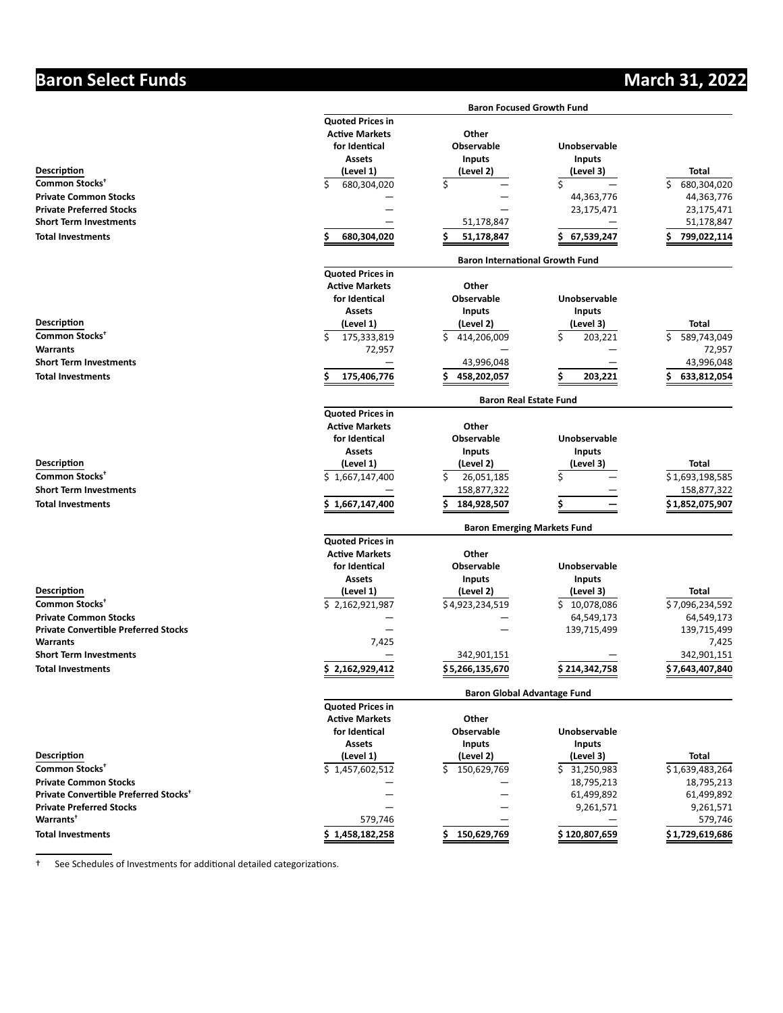|                                                   |                                    | <b>Baron Focused Growth Fund</b>       |                     |                      |  |  |  |  |  |
|---------------------------------------------------|------------------------------------|----------------------------------------|---------------------|----------------------|--|--|--|--|--|
|                                                   | <b>Quoted Prices in</b>            |                                        |                     |                      |  |  |  |  |  |
|                                                   | <b>Active Markets</b>              | Other                                  |                     |                      |  |  |  |  |  |
|                                                   | for Identical                      | <b>Observable</b>                      | Unobservable        |                      |  |  |  |  |  |
|                                                   | <b>Assets</b>                      | <b>Inputs</b>                          | <b>Inputs</b>       |                      |  |  |  |  |  |
| Description                                       | (Level 1)                          | (Level 2)                              | (Level 3)           | <b>Total</b>         |  |  |  |  |  |
| Common Stocks <sup>+</sup>                        | Ś<br>680,304,020                   | \$                                     | \$                  | \$<br>680,304,020    |  |  |  |  |  |
| <b>Private Common Stocks</b>                      |                                    |                                        | 44,363,776          | 44,363,776           |  |  |  |  |  |
| <b>Private Preferred Stocks</b>                   |                                    |                                        | 23,175,471          | 23,175,471           |  |  |  |  |  |
| <b>Short Term Investments</b>                     |                                    | 51,178,847                             |                     | 51,178,847           |  |  |  |  |  |
| <b>Total Investments</b>                          | Ś<br>680,304,020                   | Ś<br>51,178,847                        | 67,539,247          | 799,022,114          |  |  |  |  |  |
|                                                   |                                    |                                        |                     |                      |  |  |  |  |  |
|                                                   |                                    | <b>Baron International Growth Fund</b> |                     |                      |  |  |  |  |  |
|                                                   | <b>Quoted Prices in</b>            |                                        |                     |                      |  |  |  |  |  |
|                                                   | <b>Active Markets</b>              | Other                                  |                     |                      |  |  |  |  |  |
|                                                   | for Identical                      | Observable                             | Unobservable        |                      |  |  |  |  |  |
|                                                   | <b>Assets</b>                      | <b>Inputs</b>                          | <b>Inputs</b>       |                      |  |  |  |  |  |
| Description                                       | (Level 1)                          | (Level 2)                              | (Level 3)           | <b>Total</b>         |  |  |  |  |  |
| Common Stocks <sup>+</sup>                        | \$<br>175,333,819                  | Ś.<br>414,206,009                      | \$<br>203,221       | Ś<br>589,743,049     |  |  |  |  |  |
| <b>Warrants</b>                                   | 72,957                             |                                        |                     | 72,957               |  |  |  |  |  |
| <b>Short Term Investments</b>                     |                                    | 43,996,048                             |                     | 43,996,048           |  |  |  |  |  |
| <b>Total Investments</b>                          | 175,406,776                        | 458,202,057                            | Ś<br>203,221        | 633,812,054          |  |  |  |  |  |
|                                                   |                                    | <b>Baron Real Estate Fund</b>          |                     |                      |  |  |  |  |  |
|                                                   | <b>Quoted Prices in</b>            |                                        |                     |                      |  |  |  |  |  |
|                                                   | <b>Active Markets</b>              | Other                                  |                     |                      |  |  |  |  |  |
|                                                   | for Identical                      | <b>Observable</b>                      | <b>Unobservable</b> |                      |  |  |  |  |  |
|                                                   | <b>Assets</b>                      | <b>Inputs</b>                          | <b>Inputs</b>       |                      |  |  |  |  |  |
| Description                                       | (Level 1)                          | (Level 2)                              | (Level 3)           | <b>Total</b>         |  |  |  |  |  |
| Common Stocks <sup>+</sup>                        | \$1,667,147,400                    | \$<br>26,051,185                       | \$                  | \$1,693,198,585      |  |  |  |  |  |
| <b>Short Term Investments</b>                     |                                    | 158,877,322                            |                     | 158,877,322          |  |  |  |  |  |
| <b>Total Investments</b>                          | 1,667,147,400<br>S.                | 184,928,507                            | Ś                   | \$1,852,075,907      |  |  |  |  |  |
|                                                   | <b>Baron Emerging Markets Fund</b> |                                        |                     |                      |  |  |  |  |  |
|                                                   | <b>Quoted Prices in</b>            |                                        |                     |                      |  |  |  |  |  |
|                                                   | <b>Active Markets</b>              | Other                                  |                     |                      |  |  |  |  |  |
|                                                   | for Identical                      | <b>Observable</b>                      | Unobservable        |                      |  |  |  |  |  |
|                                                   | <b>Assets</b>                      | <b>Inputs</b>                          | <b>Inputs</b>       |                      |  |  |  |  |  |
| Description                                       | (Level 1)                          | (Level 2)                              | (Level 3)           | Total                |  |  |  |  |  |
| Common Stocks <sup>+</sup>                        | \$2,162,921,987                    | \$4,923,234,519                        | \$10,078,086        | \$7,096,234,592      |  |  |  |  |  |
| <b>Private Common Stocks</b>                      |                                    |                                        | 64,549,173          | 64,549,173           |  |  |  |  |  |
| <b>Private Convertible Preferred Stocks</b>       |                                    |                                        | 139,715,499         | 139,715,499          |  |  |  |  |  |
| <b>Warrants</b>                                   | 7,425                              |                                        |                     |                      |  |  |  |  |  |
| <b>Short Term Investments</b>                     |                                    | 342,901,151                            |                     | 7,425<br>342,901,151 |  |  |  |  |  |
| <b>Total Investments</b>                          | \$2,162,929,412                    | \$5,266,135,670                        | \$ 214,342,758      | \$7,643,407,840      |  |  |  |  |  |
|                                                   |                                    |                                        |                     |                      |  |  |  |  |  |
|                                                   | <b>Quoted Prices in</b>            | <b>Baron Global Advantage Fund</b>     |                     |                      |  |  |  |  |  |
|                                                   | <b>Active Markets</b>              | Other                                  |                     |                      |  |  |  |  |  |
|                                                   | for Identical                      | <b>Observable</b>                      | Unobservable        |                      |  |  |  |  |  |
|                                                   | <b>Assets</b>                      | <b>Inputs</b>                          | <b>Inputs</b>       |                      |  |  |  |  |  |
| <b>Description</b>                                | (Level 1)                          | (Level 2)                              | (Level 3)           | Total                |  |  |  |  |  |
| Common Stocks <sup>+</sup>                        | \$1,457,602,512                    | 150,629,769<br>Ś.                      | \$31,250,983        | \$1,639,483,264      |  |  |  |  |  |
| <b>Private Common Stocks</b>                      |                                    |                                        |                     |                      |  |  |  |  |  |
| Private Convertible Preferred Stocks <sup>+</sup> |                                    |                                        | 18,795,213          | 18,795,213           |  |  |  |  |  |
|                                                   |                                    |                                        | 61,499,892          | 61,499,892           |  |  |  |  |  |
| <b>Private Preferred Stocks</b>                   |                                    |                                        | 9,261,571           | 9,261,571            |  |  |  |  |  |
| Warrants <sup>+</sup>                             | 579,746                            |                                        |                     | 579,746              |  |  |  |  |  |
| <b>Total Investments</b>                          | \$1,458,182,258                    | 150,629,769<br>S                       | \$120,807,659       | \$1,729,619,686      |  |  |  |  |  |

<sup>†</sup> See Schedules of Investments for additional detailed categorizations.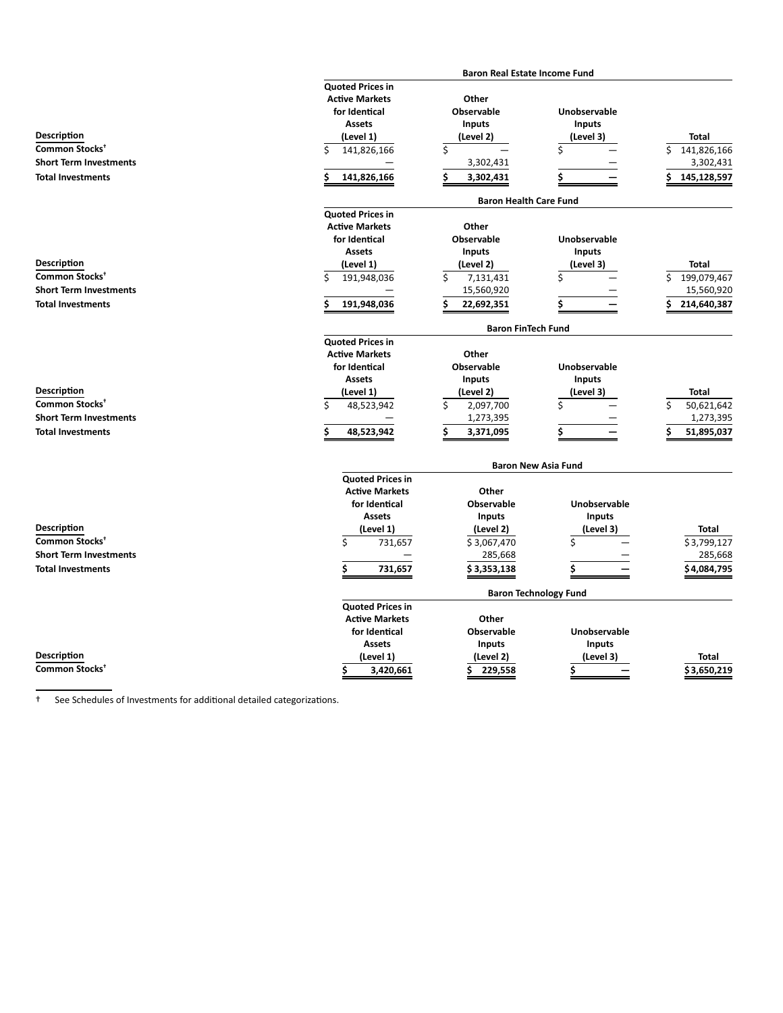|                               |                         | <b>Baron Real Estate Income Fund</b> |                              |                  |
|-------------------------------|-------------------------|--------------------------------------|------------------------------|------------------|
|                               | <b>Quoted Prices in</b> |                                      |                              |                  |
|                               | <b>Active Markets</b>   | Other                                |                              |                  |
|                               | for Identical           | Observable                           | Unobservable                 |                  |
|                               | <b>Assets</b>           | <b>Inputs</b>                        | Inputs                       |                  |
| Description                   |                         | (Level 2)                            | (Level 3)                    | <b>Total</b>     |
|                               | (Level 1)               |                                      |                              |                  |
| Common Stocks <sup>+</sup>    | \$<br>141,826,166       | \$                                   | \$                           | Ś<br>141,826,166 |
| <b>Short Term Investments</b> |                         | 3,302,431                            |                              | 3,302,431        |
| <b>Total Investments</b>      | Ś<br>141,826,166        | \$<br>3,302,431                      | Ś                            | Ś<br>145,128,597 |
|                               |                         | <b>Baron Health Care Fund</b>        |                              |                  |
|                               | <b>Quoted Prices in</b> |                                      |                              |                  |
|                               | <b>Active Markets</b>   | Other                                |                              |                  |
|                               | for Identical           | <b>Observable</b>                    | <b>Unobservable</b>          |                  |
|                               | <b>Assets</b>           | <b>Inputs</b>                        | <b>Inputs</b>                |                  |
| Description                   | (Level 1)               | (Level 2)                            | (Level 3)                    | <b>Total</b>     |
| Common Stocks <sup>+</sup>    | \$<br>191,948,036       | \$<br>7,131,431                      | \$                           | Ś<br>199,079,467 |
| <b>Short Term Investments</b> |                         | 15,560,920                           |                              | 15,560,920       |
| <b>Total Investments</b>      | 191,948,036             | 22,692,351<br>Ś                      | Ś                            | 214,640,387      |
|                               |                         | <b>Baron FinTech Fund</b>            |                              |                  |
|                               | <b>Quoted Prices in</b> |                                      |                              |                  |
|                               | <b>Active Markets</b>   | Other                                |                              |                  |
|                               | for Identical           | <b>Observable</b>                    | Unobservable                 |                  |
|                               | <b>Assets</b>           | <b>Inputs</b>                        | Inputs                       |                  |
| Description                   | (Level 1)               | (Level 2)                            | (Level 3)                    | <b>Total</b>     |
| Common Stocks <sup>+</sup>    |                         |                                      |                              |                  |
|                               | Ś<br>48,523,942         | \$<br>2,097,700                      | \$                           | 50,621,642       |
| <b>Short Term Investments</b> |                         | 1,273,395                            |                              | 1,273,395        |
| <b>Total Investments</b>      | Ś<br>48,523,942         | 3,371,095<br>Ś                       | \$                           | 51,895,037       |
|                               |                         |                                      | <b>Baron New Asia Fund</b>   |                  |
|                               | <b>Quoted Prices in</b> |                                      |                              |                  |
|                               | <b>Active Markets</b>   | Other                                |                              |                  |
|                               | for Identical           | Observable                           | Unobservable                 |                  |
|                               | <b>Assets</b>           | <b>Inputs</b>                        | Inputs                       |                  |
| Description                   | (Level 1)               | (Level 2)                            | (Level 3)                    | Total            |
| Common Stocks <sup>+</sup>    | \$<br>731,657           | \$3,067,470                          | Ś                            | \$3,799,127      |
| <b>Short Term Investments</b> |                         | 285,668                              |                              | 285,668          |
|                               |                         |                                      |                              |                  |
| <b>Total Investments</b>      | \$<br>731,657           | \$3,353,138                          | \$                           | \$4,084,795      |
|                               |                         |                                      | <b>Baron Technology Fund</b> |                  |
|                               | <b>Quoted Prices in</b> |                                      |                              |                  |
|                               | <b>Active Markets</b>   | Other                                |                              |                  |
|                               | for Identical           | <b>Observable</b>                    | Unobservable                 |                  |
|                               | <b>Assets</b>           | <b>Inputs</b>                        | Inputs                       |                  |
| <b>Description</b>            | (Level 1)               | (Level 2)                            | (Level 3)                    | Total            |
| Common Stocks <sup>+</sup>    | Ś<br>3,420,661          | 229,558<br>S                         | \$                           | \$3,650,219      |
|                               |                         |                                      |                              |                  |

<sup>†</sup> See Schedules of Investments for additional detailed categorizations.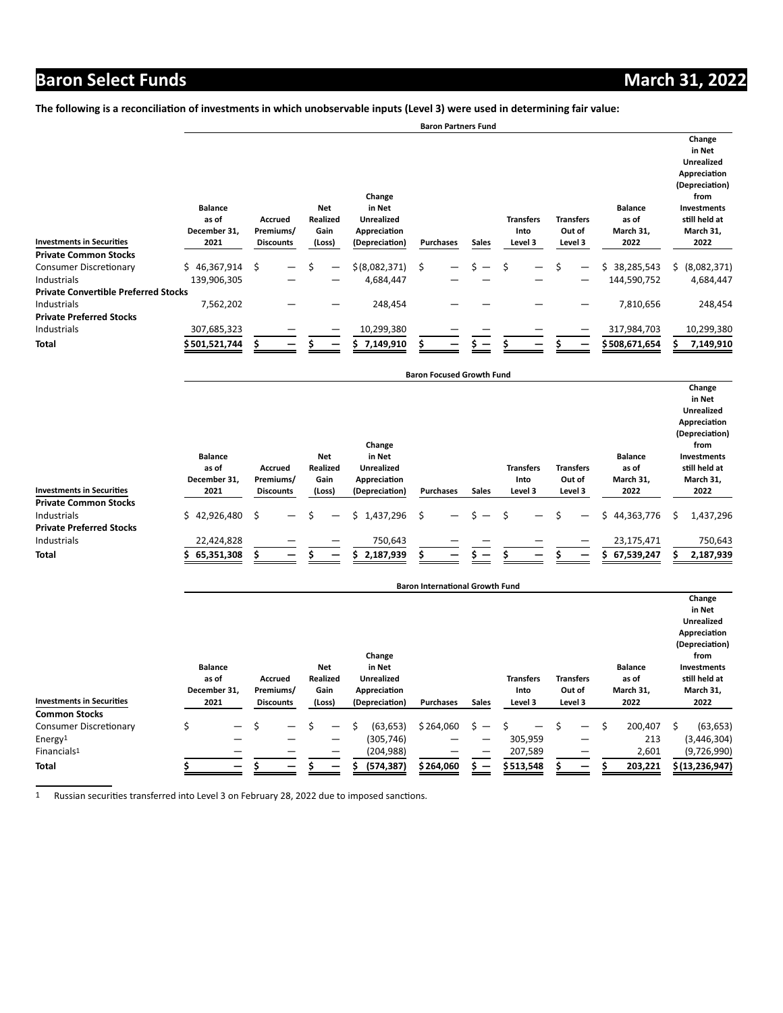The following is a reconciliation of investments in which unobservable inputs (Level 3) were used in determining fair value:

|                                             |                                                                                                    |    |                                                                                                                     |  |                           |                |                                     |  | <b>Baron Partners Fund</b>            |    |                                              |                                                                                                                                      |  |                  |                   |
|---------------------------------------------|----------------------------------------------------------------------------------------------------|----|---------------------------------------------------------------------------------------------------------------------|--|---------------------------|----------------|-------------------------------------|--|---------------------------------------|----|----------------------------------------------|--------------------------------------------------------------------------------------------------------------------------------------|--|------------------|-------------------|
| <b>Investments in Securities</b>            | <b>Balance</b><br>as of<br><b>Accrued</b><br>December 31,<br>Premiums/<br>2021<br><b>Discounts</b> |    | Change<br>Net<br>in Net<br><b>Realized</b><br><b>Unrealized</b><br>Gain<br>Appreciation<br>(Depreciation)<br>(Loss) |  | <b>Sales</b><br>Purchases |                | <b>Transfers</b><br>Into<br>Level 3 |  | <b>Transfers</b><br>Out of<br>Level 3 |    | <b>Balance</b><br>as of<br>March 31,<br>2022 | Change<br>in Net<br><b>Unrealized</b><br>Appreciation<br>(Depreciation)<br>from<br>Investments<br>still held at<br>March 31,<br>2022 |  |                  |                   |
| <b>Private Common Stocks</b>                |                                                                                                    |    |                                                                                                                     |  |                           |                |                                     |  |                                       |    |                                              |                                                                                                                                      |  |                  |                   |
| <b>Consumer Discretionary</b>               | \$46,367,914                                                                                       | -Ŝ | —                                                                                                                   |  |                           | \$ (8,082,371) | Ŝ.                                  |  |                                       | \$ |                                              | \$                                                                                                                                   |  | 38,285,543<br>S. | (8,082,371)<br>Ś. |
| Industrials                                 | 139,906,305                                                                                        |    |                                                                                                                     |  |                           | 4,684,447      |                                     |  |                                       |    |                                              |                                                                                                                                      |  | 144,590,752      | 4,684,447         |
| <b>Private Convertible Preferred Stocks</b> |                                                                                                    |    |                                                                                                                     |  |                           |                |                                     |  |                                       |    |                                              |                                                                                                                                      |  |                  |                   |
| Industrials                                 | 7,562,202                                                                                          |    |                                                                                                                     |  |                           | 248,454        |                                     |  |                                       |    |                                              |                                                                                                                                      |  | 7,810,656        | 248,454           |
| <b>Private Preferred Stocks</b>             |                                                                                                    |    |                                                                                                                     |  |                           |                |                                     |  |                                       |    |                                              |                                                                                                                                      |  |                  |                   |
| Industrials                                 | 307,685,323                                                                                        |    |                                                                                                                     |  |                           | 10,299,380     |                                     |  |                                       |    |                                              |                                                                                                                                      |  | 317,984,703      | 10,299,380        |
| <b>Total</b>                                | \$ 501,521,744                                                                                     |    |                                                                                                                     |  |                           | 7,149,910      |                                     |  |                                       |    |                                              |                                                                                                                                      |  | \$508,671,654    | 7,149,910         |

|                                             | <b>Balance</b><br>as of<br>December 31, | Accrued<br>Premiums/ | <b>Net</b><br>Realized<br>Gain | Change<br>in Net<br><b>Unrealized</b><br>Appreciation |                                |              | <b>Transfers</b><br>Into      | <b>Transfers</b><br>Out of    | <b>Balance</b><br>as of<br>March 31, | Change<br>in Net<br><b>Unrealized</b><br>Appreciation<br>(Depreciation)<br>from<br><b>Investments</b><br>still held at<br>March 31, |
|---------------------------------------------|-----------------------------------------|----------------------|--------------------------------|-------------------------------------------------------|--------------------------------|--------------|-------------------------------|-------------------------------|--------------------------------------|-------------------------------------------------------------------------------------------------------------------------------------|
| <b>Investments in Securities</b>            | 2021                                    | <b>Discounts</b>     | (Loss)                         | (Depreciation)                                        | <b>Purchases</b>               | <b>Sales</b> | Level 3                       | Level 3                       | 2022                                 | 2022                                                                                                                                |
| <b>Private Common Stocks</b><br>Industrials | \$42,926,480                            | -\$<br>—             | —                              | 1,437,296<br>Ś.                                       | \$<br>$\overline{\phantom{0}}$ |              | Ŝ<br>$\overline{\phantom{0}}$ | Ś<br>$\overline{\phantom{0}}$ | \$44,363,776                         | 1,437,296<br>S                                                                                                                      |
| <b>Private Preferred Stocks</b>             |                                         |                      |                                |                                                       |                                |              |                               |                               |                                      |                                                                                                                                     |
| Industrials                                 | 22,424,828                              |                      |                                | 750,643                                               |                                |              |                               |                               | 23,175,471                           | 750,643                                                                                                                             |
| <b>Total</b>                                | 65,351,308                              |                      |                                | 2,187,939                                             |                                |              |                               |                               | 67,539,247                           | 2,187,939                                                                                                                           |

**Baron Focused Growth Fund**

|                                  |   | <b>Baron International Growth Fund</b>                          |   |                                                                                         |  |        |  |                |                          |              |                            |  |                                      |   |                                                                                                                              |   |                  |
|----------------------------------|---|-----------------------------------------------------------------|---|-----------------------------------------------------------------------------------------|--|--------|--|----------------|--------------------------|--------------|----------------------------|--|--------------------------------------|---|------------------------------------------------------------------------------------------------------------------------------|---|------------------|
|                                  |   | <b>Balance</b><br>as of<br>Accrued<br>December 31,<br>Premiums/ |   | Change<br>Net<br>in Net<br><b>Realized</b><br><b>Unrealized</b><br>Gain<br>Appreciation |  |        |  |                | <b>Transfers</b><br>Into |              | <b>Transfers</b><br>Out of |  | <b>Balance</b><br>as of<br>March 31, |   | Change<br>in Net<br><b>Unrealized</b><br>Appreciation<br>(Depreciation)<br>from<br>Investments<br>still held at<br>March 31, |   |                  |
| <b>Investments in Securities</b> |   | 2021                                                            |   | <b>Discounts</b>                                                                        |  | (Loss) |  | (Depreciation) | Purchases                | <b>Sales</b> | Level 3                    |  | Level 3                              |   | 2022                                                                                                                         |   | 2022             |
| <b>Common Stocks</b>             |   |                                                                 |   |                                                                                         |  |        |  |                |                          |              |                            |  |                                      |   |                                                                                                                              |   |                  |
| Consumer Discretionary           | Ś |                                                                 | Ś | —                                                                                       |  | —      |  | (63, 653)      | \$264,060                |              |                            |  | —                                    | Ś | 200,407                                                                                                                      | Ś | (63, 653)        |
| Energy <sup>1</sup>              |   |                                                                 |   |                                                                                         |  | –      |  | (305, 746)     |                          |              | 305,959                    |  | –                                    |   | 213                                                                                                                          |   | (3,446,304)      |
| Financials <sup>1</sup>          |   |                                                                 |   |                                                                                         |  |        |  | (204, 988)     |                          |              | 207,589                    |  |                                      |   | 2,601                                                                                                                        |   | (9,726,990)      |
| <b>Total</b>                     |   |                                                                 |   |                                                                                         |  |        |  | (574, 387)     | \$264,060                |              | \$513,548                  |  |                                      |   | 203,221                                                                                                                      |   | \$(13, 236, 947) |

1 Russian securities transferred into Level 3 on February 28, 2022 due to imposed sanctions.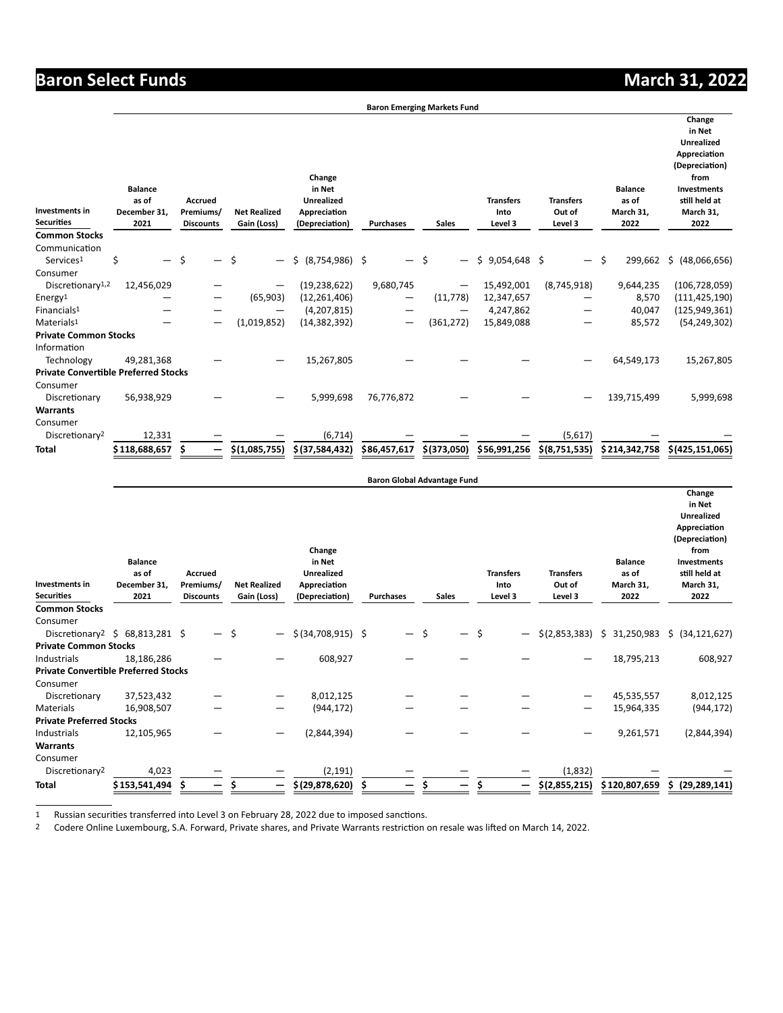**Change**

**Baron Emerging Markets Fund**

| Investments in<br><b>Securities</b>         | <b>Balance</b><br>as of<br>December 31,<br>2021 | <b>Accrued</b><br>Premiums/<br><b>Discounts</b> | <b>Net Realized</b><br>Gain (Loss) | Change<br>in Net<br><b>Unrealized</b><br>Appreciation<br>(Depreciation) | <b>Purchases</b> | <b>Sales</b> | <b>Transfers</b><br>Into<br>Level 3 | <b>Transfers</b><br>Out of<br>Level 3 | <b>Balance</b><br>as of<br>March 31,<br>2022 | in Net<br><b>Unrealized</b><br>Appreciation<br>(Depreciation)<br>from<br>Investments<br>still held at<br>March 31,<br>2022 |
|---------------------------------------------|-------------------------------------------------|-------------------------------------------------|------------------------------------|-------------------------------------------------------------------------|------------------|--------------|-------------------------------------|---------------------------------------|----------------------------------------------|----------------------------------------------------------------------------------------------------------------------------|
| <b>Common Stocks</b>                        |                                                 |                                                 |                                    |                                                                         |                  |              |                                     |                                       |                                              |                                                                                                                            |
| Communication                               |                                                 |                                                 |                                    |                                                                         |                  |              |                                     |                                       |                                              |                                                                                                                            |
| Services <sup>1</sup>                       | \$                                              | Ś                                               | Ś                                  | Ś.<br>(8, 754, 986)                                                     | \$<br>— \$       |              | \$9,054,648                         | $-$                                   | Ŝ.<br>299,662                                | (48,066,656)<br>\$                                                                                                         |
| Consumer                                    |                                                 |                                                 |                                    |                                                                         |                  |              |                                     |                                       |                                              |                                                                                                                            |
| Discretionary <sup>1,2</sup>                | 12,456,029                                      |                                                 |                                    | (19, 238, 622)                                                          | 9,680,745        |              | 15,492,001                          | (8,745,918)                           | 9,644,235                                    | (106, 728, 059)                                                                                                            |
| Energy <sup>1</sup>                         |                                                 |                                                 | (65, 903)                          | (12, 261, 406)                                                          |                  | (11, 778)    | 12,347,657                          |                                       | 8,570                                        | (111, 425, 190)                                                                                                            |
| Financials <sup>1</sup>                     |                                                 |                                                 |                                    | (4,207,815)                                                             |                  |              | 4,247,862                           |                                       | 40,047                                       | (125, 949, 361)                                                                                                            |
| Materials <sup>1</sup>                      |                                                 | -                                               | (1,019,852)                        | (14, 382, 392)                                                          | —                | (361, 272)   | 15,849,088                          |                                       | 85,572                                       | (54, 249, 302)                                                                                                             |
| <b>Private Common Stocks</b>                |                                                 |                                                 |                                    |                                                                         |                  |              |                                     |                                       |                                              |                                                                                                                            |
| Information                                 |                                                 |                                                 |                                    |                                                                         |                  |              |                                     |                                       |                                              |                                                                                                                            |
| Technology                                  | 49,281,368                                      |                                                 |                                    | 15,267,805                                                              |                  |              |                                     |                                       | 64,549,173                                   | 15,267,805                                                                                                                 |
| <b>Private Convertible Preferred Stocks</b> |                                                 |                                                 |                                    |                                                                         |                  |              |                                     |                                       |                                              |                                                                                                                            |
| Consumer                                    |                                                 |                                                 |                                    |                                                                         |                  |              |                                     |                                       |                                              |                                                                                                                            |
| Discretionary                               | 56,938,929                                      |                                                 |                                    | 5,999,698                                                               | 76,776,872       |              |                                     |                                       | 139,715,499                                  | 5,999,698                                                                                                                  |
| <b>Warrants</b>                             |                                                 |                                                 |                                    |                                                                         |                  |              |                                     |                                       |                                              |                                                                                                                            |
| Consumer                                    |                                                 |                                                 |                                    |                                                                         |                  |              |                                     |                                       |                                              |                                                                                                                            |
| Discretionary <sup>2</sup>                  | 12,331                                          |                                                 |                                    | (6, 714)                                                                |                  |              |                                     | (5,617)                               |                                              |                                                                                                                            |
| <b>Total</b>                                | \$ 118,688,657                                  |                                                 | \$(1,085,755)                      | \$(37,584,432)                                                          | \$86,457,617     | \$(373,050)  | \$56,991,256                        | \$(8,751,535)                         | \$214,342,758                                | \$(425, 151, 065)                                                                                                          |

| <b>Investments</b> in<br><b>Securities</b>  | <b>Balance</b><br>as of<br>December 31,<br>2021                   | <b>Accrued</b><br>Premiums/<br><b>Discounts</b> | <b>Net Realized</b><br>Gain (Loss) | Change<br>in Net<br><b>Unrealized</b><br>Appreciation<br>(Depreciation) | <b>Purchases</b> | <b>Sales</b> |   | <b>Transfers</b><br>Into<br>Level 3 | <b>Transfers</b><br>Out of<br>Level 3 | <b>Balance</b><br>as of<br>March 31,<br>2022 | Change<br>in Net<br><b>Unrealized</b><br>Appreciation<br>(Depreciation)<br>from<br>Investments<br>still held at<br>March 31,<br>2022 |
|---------------------------------------------|-------------------------------------------------------------------|-------------------------------------------------|------------------------------------|-------------------------------------------------------------------------|------------------|--------------|---|-------------------------------------|---------------------------------------|----------------------------------------------|--------------------------------------------------------------------------------------------------------------------------------------|
| <b>Common Stocks</b>                        |                                                                   |                                                 |                                    |                                                                         |                  |              |   |                                     |                                       |                                              |                                                                                                                                      |
| Consumer                                    |                                                                   |                                                 |                                    |                                                                         |                  |              |   |                                     |                                       |                                              |                                                                                                                                      |
|                                             | Discretionary <sup>2</sup> $\frac{2}{5}$ 68,813,281 $\frac{2}{5}$ | —                                               | \$                                 | \$ (34,708,915) \$                                                      |                  | - \$         | — | -\$                                 | \$(2,853,383)                         | \$31,250,983                                 | \$ (34, 121, 627)                                                                                                                    |
| <b>Private Common Stocks</b>                |                                                                   |                                                 |                                    |                                                                         |                  |              |   |                                     |                                       |                                              |                                                                                                                                      |
| Industrials                                 | 18,186,286                                                        |                                                 |                                    | 608,927                                                                 |                  |              |   |                                     |                                       | 18,795,213                                   | 608,927                                                                                                                              |
| <b>Private Convertible Preferred Stocks</b> |                                                                   |                                                 |                                    |                                                                         |                  |              |   |                                     |                                       |                                              |                                                                                                                                      |
| Consumer                                    |                                                                   |                                                 |                                    |                                                                         |                  |              |   |                                     |                                       |                                              |                                                                                                                                      |
| Discretionary                               | 37,523,432                                                        |                                                 |                                    | 8,012,125                                                               |                  |              |   |                                     |                                       | 45,535,557                                   | 8,012,125                                                                                                                            |
| Materials                                   | 16,908,507                                                        |                                                 | -                                  | (944, 172)                                                              |                  |              |   |                                     |                                       | 15,964,335                                   | (944, 172)                                                                                                                           |
| <b>Private Preferred Stocks</b>             |                                                                   |                                                 |                                    |                                                                         |                  |              |   |                                     |                                       |                                              |                                                                                                                                      |
| Industrials                                 | 12,105,965                                                        |                                                 |                                    | (2,844,394)                                                             |                  |              |   |                                     |                                       | 9,261,571                                    | (2,844,394)                                                                                                                          |
| <b>Warrants</b>                             |                                                                   |                                                 |                                    |                                                                         |                  |              |   |                                     |                                       |                                              |                                                                                                                                      |
| Consumer                                    |                                                                   |                                                 |                                    |                                                                         |                  |              |   |                                     |                                       |                                              |                                                                                                                                      |
| Discretionary2                              | 4,023                                                             |                                                 |                                    | (2, 191)                                                                |                  |              |   |                                     | (1,832)                               |                                              |                                                                                                                                      |
| <b>Total</b>                                | \$ 153,541,494                                                    | Ŝ                                               | -                                  | \$(29,878,620)                                                          | Ŝ                |              |   | -                                   | \$(2,855,215)                         | \$120,807,659                                | \$ (29, 289, 141)                                                                                                                    |

**Baron Global Advantage Fund**

1 Russian securities transferred into Level 3 on February 28, 2022 due to imposed sanctions.

<sup>2</sup> Codere Online Luxembourg, S.A. Forward, Private shares, and Private Warrants restriction on resale was lifted on March 14, 2022.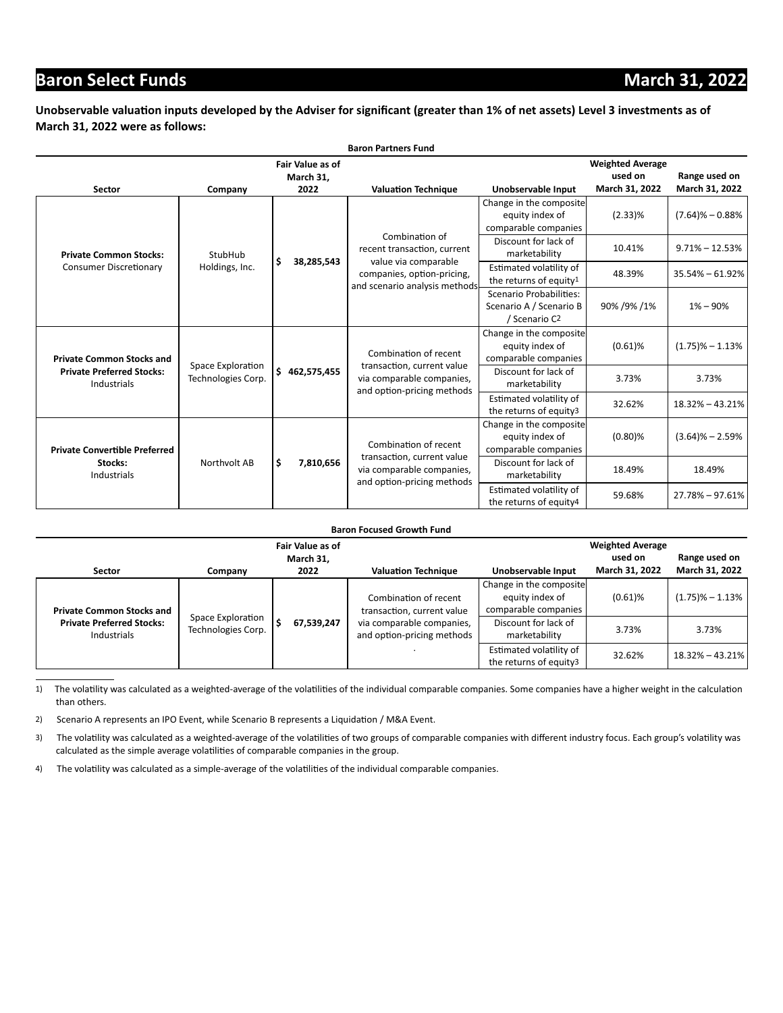#### Unobservable valuation inputs developed by the Adviser for significant (greater than 1% of net assets) Level 3 investments as of **March 31, 2022 were as follows:**

|                                                                |                                         |                                      | <b>Baron Partners Fund</b>                                                            |                                                                                 |                                    |                     |
|----------------------------------------------------------------|-----------------------------------------|--------------------------------------|---------------------------------------------------------------------------------------|---------------------------------------------------------------------------------|------------------------------------|---------------------|
|                                                                |                                         | <b>Fair Value as of</b><br>March 31, |                                                                                       |                                                                                 | <b>Weighted Average</b><br>used on | Range used on       |
| Sector                                                         | Company                                 | 2022                                 | <b>Valuation Technique</b>                                                            | Unobservable Input                                                              | March 31, 2022                     | March 31, 2022      |
|                                                                |                                         |                                      | Combination of                                                                        | Change in the composite<br>equity index of<br>comparable companies              | $(2.33)\%$                         | $(7.64)$ % - 0.88%  |
| <b>Private Common Stocks:</b>                                  | StubHub                                 | \$<br>38,285,543                     | recent transaction, current<br>value via comparable                                   | Discount for lack of<br>marketability                                           | 10.41%                             | $9.71\% - 12.53\%$  |
| <b>Consumer Discretionary</b>                                  | Holdings, Inc.                          |                                      | companies, option-pricing,<br>and scenario analysis methods                           | Estimated volatility of<br>the returns of equity <sup>1</sup>                   | 48.39%                             | $35.54\% - 61.92\%$ |
|                                                                |                                         |                                      |                                                                                       | Scenario Probabilities:<br>Scenario A / Scenario B<br>/ Scenario C <sub>2</sub> | 90% / 9% / 1%                      | $1\% - 90\%$        |
| <b>Private Common Stocks and</b>                               |                                         |                                      | Combination of recent                                                                 | Change in the composite<br>equity index of<br>comparable companies              | $(0.61)$ %                         | $(1.75)\% - 1.13\%$ |
| <b>Private Preferred Stocks:</b><br>Industrials                | Space Exploration<br>Technologies Corp. | \$462,575,455                        | transaction, current value<br>via comparable companies,<br>and option-pricing methods | Discount for lack of<br>marketability                                           | 3.73%                              | 3.73%               |
|                                                                |                                         |                                      |                                                                                       | Estimated volatility of<br>the returns of equity3                               | 32.62%                             | 18.32% - 43.21%     |
| <b>Private Convertible Preferred</b><br>Stocks:<br>Industrials |                                         |                                      | Combination of recent                                                                 | Change in the composite<br>equity index of<br>comparable companies              | $(0.80)$ %                         | $(3.64)\% - 2.59\%$ |
|                                                                | Northvolt AB                            | \$<br>7,810,656                      | transaction, current value<br>via comparable companies,<br>and option-pricing methods | Discount for lack of<br>marketability                                           | 18.49%                             | 18.49%              |
|                                                                |                                         |                                      |                                                                                       | Estimated volatility of<br>the returns of equity4                               | 59.68%                             | 27.78% - 97.61%     |

| <b>Baron Focused Growth Fund</b>                                                    |                                         |                         |                                                         |                                                                    |                           |                                 |  |  |  |  |
|-------------------------------------------------------------------------------------|-----------------------------------------|-------------------------|---------------------------------------------------------|--------------------------------------------------------------------|---------------------------|---------------------------------|--|--|--|--|
|                                                                                     |                                         | <b>Fair Value as of</b> |                                                         |                                                                    | <b>Weighted Average</b>   |                                 |  |  |  |  |
| <b>Sector</b>                                                                       | Company                                 | March 31,<br>2022       | <b>Valuation Technique</b>                              | Unobservable Input                                                 | used on<br>March 31, 2022 | Range used on<br>March 31, 2022 |  |  |  |  |
| <b>Private Common Stocks and</b><br><b>Private Preferred Stocks:</b><br>Industrials |                                         |                         | Combination of recent<br>transaction, current value     | Change in the composite<br>equity index of<br>comparable companies | $(0.61)$ %                | $(1.75)\% - 1.13\%$             |  |  |  |  |
|                                                                                     | Space Exploration<br>Technologies Corp. | 67,539,247              | via comparable companies,<br>and option-pricing methods | Discount for lack of<br>marketability                              | 3.73%                     | 3.73%                           |  |  |  |  |
|                                                                                     |                                         |                         |                                                         | Estimated volatility of<br>the returns of equity3                  | 32.62%                    | $18.32\% - 43.21\%$             |  |  |  |  |

1) The volatility was calculated as a weighted-average of the volatilities of the individual comparable companies. Some companies have a higher weight in the calculation than others.

2) Scenario A represents an IPO Event, while Scenario B represents a Liquidation / M&A Event.

3) The volatility was calculated as a weighted-average of the volatilities of two groups of comparable companies with different industry focus. Each group's volatility was calculated as the simple average volatilities of comparable companies in the group.

4) The volatility was calculated as a simple-average of the volatilities of the individual comparable companies.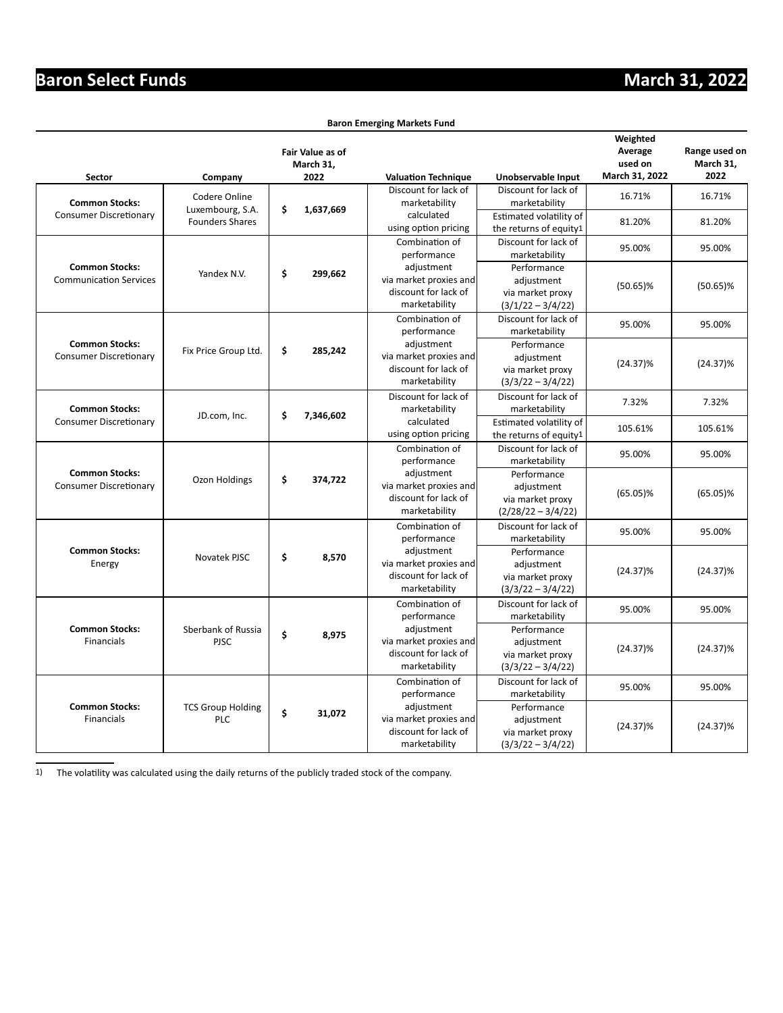#### **Baron Emerging Markets Fund**

|                                                        |                                        | <b>Fair Value as of</b><br>March 31, |                                                                               |                                                                       | Weighted<br>Average<br>used on | Range used on<br>March 31, |
|--------------------------------------------------------|----------------------------------------|--------------------------------------|-------------------------------------------------------------------------------|-----------------------------------------------------------------------|--------------------------------|----------------------------|
| <b>Sector</b>                                          | Company                                | 2022                                 | <b>Valuation Technique</b>                                                    | Unobservable Input                                                    | March 31, 2022                 | 2022                       |
| <b>Common Stocks:</b>                                  | Codere Online<br>Luxembourg, S.A.      | \$<br>1,637,669                      | Discount for lack of<br>marketability                                         | Discount for lack of<br>marketability                                 | 16.71%                         | 16.71%                     |
| <b>Consumer Discretionary</b>                          | <b>Founders Shares</b>                 |                                      | calculated<br>using option pricing                                            | Estimated volatility of<br>the returns of equity1                     | 81.20%                         | 81.20%                     |
|                                                        |                                        |                                      | Combination of<br>performance                                                 | Discount for lack of<br>marketability                                 | 95.00%                         | 95.00%                     |
| <b>Common Stocks:</b><br><b>Communication Services</b> | Yandex N.V.                            | \$<br>299,662                        | adjustment<br>via market proxies and<br>discount for lack of<br>marketability | Performance<br>adjustment<br>via market proxy<br>$(3/1/22 - 3/4/22)$  | $(50.65)\%$                    | $(50.65)\%$                |
|                                                        |                                        |                                      | Combination of<br>performance                                                 | Discount for lack of<br>marketability                                 | 95.00%                         | 95.00%                     |
| <b>Common Stocks:</b><br><b>Consumer Discretionary</b> | Fix Price Group Ltd.                   | \$<br>285,242                        | adjustment<br>via market proxies and<br>discount for lack of<br>marketability | Performance<br>adjustment<br>via market proxy<br>$(3/3/22 - 3/4/22)$  | $(24.37)\%$                    | $(24.37)\%$                |
| <b>Common Stocks:</b>                                  | JD.com, Inc.                           | \$<br>7,346,602                      | Discount for lack of<br>marketability                                         | Discount for lack of<br>marketability                                 | 7.32%                          | 7.32%                      |
| <b>Consumer Discretionary</b>                          |                                        |                                      | calculated<br>using option pricing                                            | Estimated volatility of<br>the returns of equity1                     | 105.61%                        | 105.61%                    |
|                                                        |                                        |                                      | Combination of<br>performance                                                 | Discount for lack of<br>marketability                                 | 95.00%                         | 95.00%                     |
| <b>Common Stocks:</b><br><b>Consumer Discretionary</b> | Ozon Holdings                          | \$<br>374,722                        | adjustment<br>via market proxies and<br>discount for lack of<br>marketability | Performance<br>adjustment<br>via market proxy<br>$(2/28/22 - 3/4/22)$ | $(65.05)\%$                    | $(65.05)\%$                |
|                                                        |                                        |                                      | Combination of<br>performance                                                 | Discount for lack of<br>marketability                                 | 95.00%                         | 95.00%                     |
| <b>Common Stocks:</b><br>Energy                        | Novatek PJSC                           | \$<br>8,570                          | adjustment<br>via market proxies and<br>discount for lack of<br>marketability | Performance<br>adjustment<br>via market proxy<br>$(3/3/22 - 3/4/22)$  | $(24.37)\%$                    | $(24.37)\%$                |
|                                                        |                                        |                                      | Combination of<br>performance                                                 | Discount for lack of<br>marketability                                 | 95.00%                         | 95.00%                     |
| <b>Common Stocks:</b><br>Financials                    | Sberbank of Russia<br><b>PJSC</b>      | \$<br>8,975                          | adjustment<br>via market proxies and<br>discount for lack of<br>marketability | Performance<br>adjustment<br>via market proxy<br>$(3/3/22 - 3/4/22)$  | $(24.37)\%$                    | $(24.37)\%$                |
|                                                        |                                        |                                      | Combination of<br>performance                                                 | Discount for lack of<br>marketability                                 | 95.00%                         | 95.00%                     |
| <b>Common Stocks:</b><br>Financials                    | <b>TCS Group Holding</b><br><b>PLC</b> | \$<br>31,072                         | adjustment<br>via market proxies and<br>discount for lack of<br>marketability | Performance<br>adjustment<br>via market proxy<br>$(3/3/22 - 3/4/22)$  | $(24.37)\%$                    | $(24.37)\%$                |

1) The volatility was calculated using the daily returns of the publicly traded stock of the company.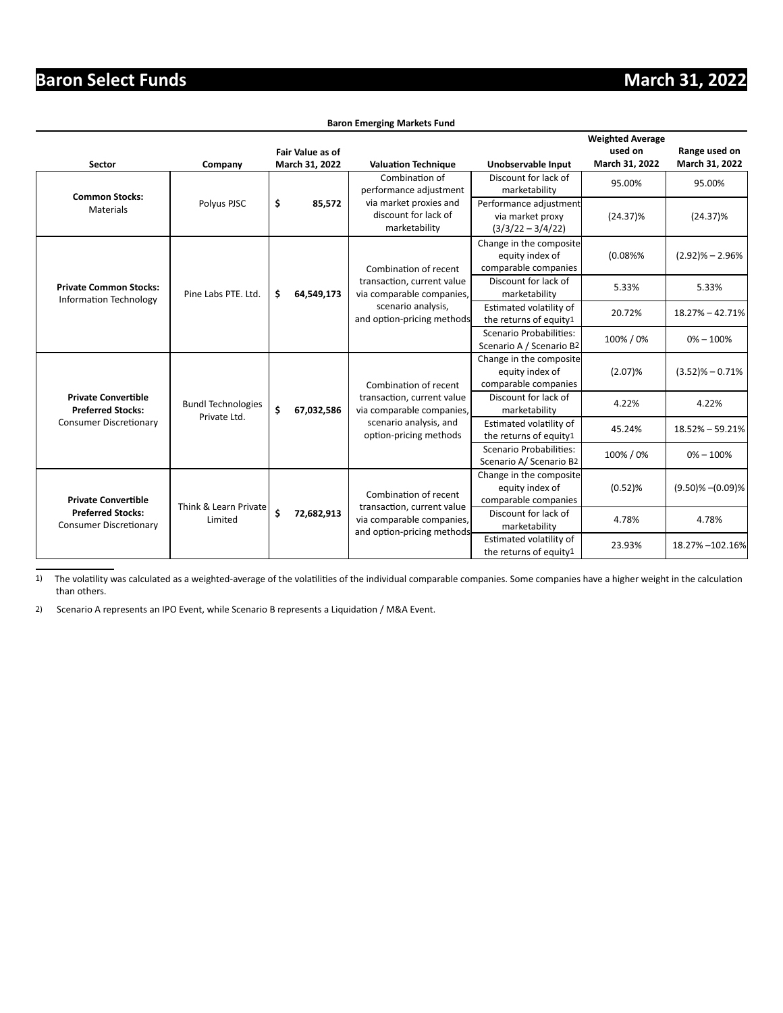| <b>Baron Emerging Markets Fund</b> |  |
|------------------------------------|--|

|                                                                |                           |                  |                                    |                                                                 |                                                                    | <b>Weighted Average</b>   |                                 |
|----------------------------------------------------------------|---------------------------|------------------|------------------------------------|-----------------------------------------------------------------|--------------------------------------------------------------------|---------------------------|---------------------------------|
| <b>Sector</b>                                                  | Company                   |                  | Fair Value as of<br>March 31, 2022 | <b>Valuation Technique</b>                                      | Unobservable Input                                                 | used on<br>March 31, 2022 | Range used on<br>March 31, 2022 |
|                                                                |                           |                  |                                    | Combination of<br>performance adjustment                        | Discount for lack of<br>marketability                              | 95.00%                    | 95.00%                          |
| <b>Common Stocks:</b><br>Materials                             | Polyus PJSC               | \$               | 85,572                             | via market proxies and<br>discount for lack of<br>marketability | Performance adjustment<br>via market proxy<br>$(3/3/22 - 3/4/22)$  | $(24.37)\%$               | $(24.37)\%$                     |
|                                                                |                           |                  |                                    | Combination of recent                                           | Change in the composite<br>equity index of<br>comparable companies | (0.08%%                   | $(2.92)\% - 2.96\%$             |
| <b>Private Common Stocks:</b><br><b>Information Technology</b> | Pine Labs PTE. Ltd.       | \$               | 64,549,173                         | transaction, current value<br>via comparable companies,         | Discount for lack of<br>marketability                              | 5.33%                     | 5.33%                           |
|                                                                |                           |                  |                                    | scenario analysis,<br>and option-pricing methods                | Estimated volatility of<br>the returns of equity1                  | 20.72%                    | $18.27\% - 42.71\%$             |
|                                                                |                           |                  |                                    |                                                                 | Scenario Probabilities:<br>Scenario A / Scenario B2                | 100% / 0%                 | $0\% - 100\%$                   |
|                                                                |                           |                  | 67,032,586                         | Combination of recent                                           | Change in the composite<br>equity index of<br>comparable companies | (2.07)%                   | $(3.52)$ % - 0.71%              |
| <b>Private Convertible</b><br><b>Preferred Stocks:</b>         | <b>Bundl Technologies</b> | \$               |                                    | transaction, current value<br>via comparable companies,         | Discount for lack of<br>marketability                              | 4.22%                     | 4.22%                           |
| <b>Consumer Discretionary</b>                                  | Private Ltd.              |                  |                                    | scenario analysis, and<br>option-pricing methods                | Estimated volatility of<br>the returns of equity1                  | 45.24%                    | 18.52% - 59.21%                 |
|                                                                |                           |                  |                                    |                                                                 | Scenario Probabilities:<br>Scenario A/ Scenario B2                 | 100% / 0%                 | $0\% - 100\%$                   |
| <b>Private Convertible</b>                                     | Think & Learn Private     |                  |                                    | Combination of recent<br>transaction, current value             | Change in the composite<br>equity index of<br>comparable companies | (0.52)%                   | $(9.50)\% - (0.09)\%$           |
| <b>Preferred Stocks:</b><br><b>Consumer Discretionary</b>      | Limited                   | \$<br>72,682,913 |                                    | via comparable companies,<br>and option-pricing methods         | Discount for lack of<br>marketability                              | 4.78%                     | 4.78%                           |
|                                                                |                           |                  |                                    |                                                                 | Estimated volatility of<br>the returns of equity1                  | 23.93%                    | 18.27% - 102.16%                |

1) The volatility was calculated as a weighted-average of the volatilities of the individual comparable companies. Some companies have a higher weight in the calculation than others.

2) Scenario A represents an IPO Event, while Scenario B represents a Liquidation / M&A Event.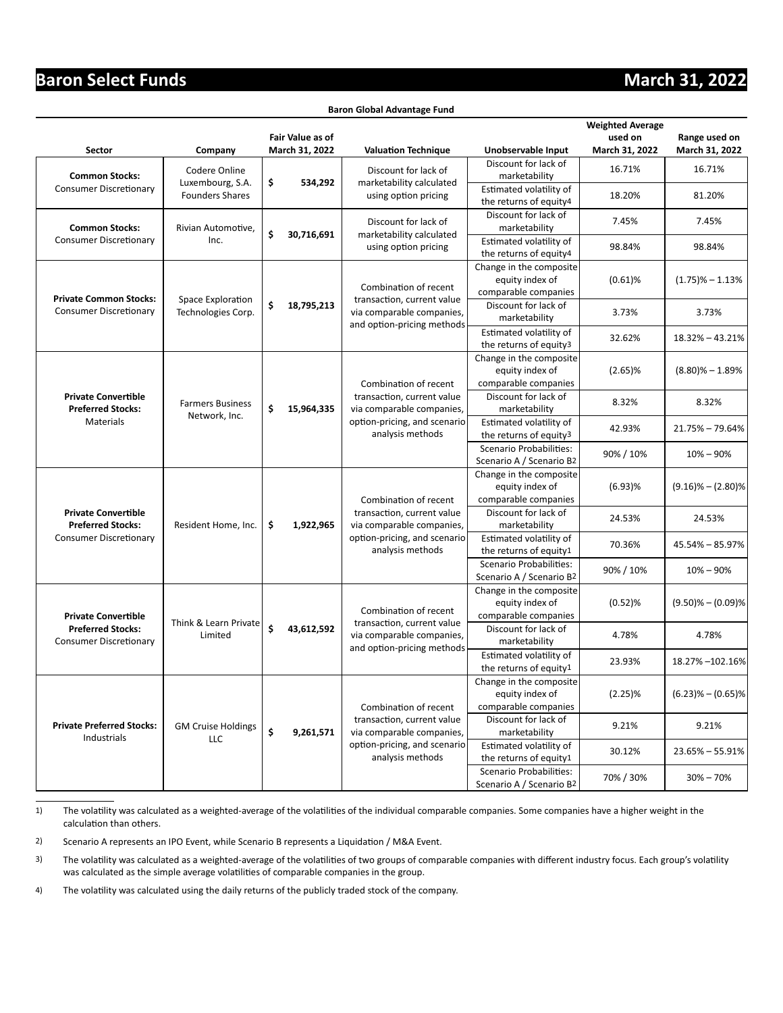#### **Baron Global Advantage Fund**

|                                                           |                                            |                                                                            |                         |                                                                                       |                                                                    | <b>Weighted Average</b> |                       |
|-----------------------------------------------------------|--------------------------------------------|----------------------------------------------------------------------------|-------------------------|---------------------------------------------------------------------------------------|--------------------------------------------------------------------|-------------------------|-----------------------|
|                                                           |                                            |                                                                            | <b>Fair Value as of</b> |                                                                                       |                                                                    | used on                 | Range used on         |
| Sector                                                    | Company                                    |                                                                            | March 31, 2022          | <b>Valuation Technique</b>                                                            | Unobservable Input                                                 | March 31, 2022          | March 31, 2022        |
| <b>Common Stocks:</b>                                     | Codere Online                              |                                                                            |                         | Discount for lack of<br>marketability calculated                                      | Discount for lack of<br>marketability                              | 16.71%                  | 16.71%                |
| <b>Consumer Discretionary</b>                             | Luxembourg, S.A.<br><b>Founders Shares</b> | \$                                                                         | 534,292                 | using option pricing                                                                  | Estimated volatility of<br>the returns of equity4                  | 18.20%                  | 81.20%                |
| <b>Common Stocks:</b>                                     | Rivian Automotive,                         |                                                                            |                         | Discount for lack of                                                                  | Discount for lack of<br>marketability                              | 7.45%                   | 7.45%                 |
| <b>Consumer Discretionary</b>                             | Inc.                                       | \$                                                                         | 30,716,691              | marketability calculated<br>using option pricing                                      | Estimated volatility of<br>the returns of equity4                  | 98.84%                  | 98.84%                |
| <b>Private Common Stocks:</b>                             |                                            |                                                                            |                         | Combination of recent<br>transaction, current value                                   | Change in the composite<br>equity index of<br>comparable companies | $(0.61)$ %              | $(1.75)\% - 1.13\%$   |
| <b>Consumer Discretionary</b>                             | Space Exploration<br>Technologies Corp.    | \$                                                                         | 18,795,213              | via comparable companies,<br>and option-pricing methods                               | Discount for lack of<br>marketability                              | 3.73%                   | 3.73%                 |
|                                                           |                                            |                                                                            |                         |                                                                                       | Estimated volatility of<br>the returns of equity3                  | 32.62%                  | 18.32% - 43.21%       |
|                                                           |                                            |                                                                            |                         | Combination of recent                                                                 | Change in the composite<br>equity index of<br>comparable companies | $(2.65)\%$              | $(8.80)\% - 1.89\%$   |
| <b>Private Convertible</b><br><b>Preferred Stocks:</b>    | <b>Farmers Business</b>                    | \$                                                                         | 15,964,335              | transaction, current value<br>via comparable companies,                               | Discount for lack of<br>marketability                              | 8.32%                   | 8.32%                 |
| Materials                                                 | Network, Inc.                              |                                                                            |                         | option-pricing, and scenario<br>analysis methods                                      | Estimated volatility of<br>the returns of equity3                  | 42.93%                  | 21.75% - 79.64%       |
|                                                           |                                            |                                                                            |                         |                                                                                       | Scenario Probabilities:<br>Scenario A / Scenario B2                | 90% / 10%               | $10\% - 90\%$         |
|                                                           |                                            |                                                                            |                         | Combination of recent                                                                 | Change in the composite<br>equity index of<br>comparable companies | $(6.93)$ %              | $(9.16)\% - (2.80)\%$ |
| <b>Private Convertible</b><br><b>Preferred Stocks:</b>    | Resident Home, Inc.                        | transaction, current value<br>\$<br>1,922,965<br>via comparable companies, |                         | Discount for lack of<br>marketability                                                 | 24.53%                                                             | 24.53%                  |                       |
| <b>Consumer Discretionary</b>                             |                                            |                                                                            |                         | option-pricing, and scenario<br>analysis methods                                      | Estimated volatility of<br>the returns of equity1                  | 70.36%                  | 45.54% - 85.97%       |
|                                                           |                                            |                                                                            |                         |                                                                                       | Scenario Probabilities:<br>Scenario A / Scenario B2                | 90% / 10%               | $10\% - 90\%$         |
| <b>Private Convertible</b>                                |                                            |                                                                            |                         | Combination of recent                                                                 | Change in the composite<br>equity index of<br>comparable companies | $(0.52)$ %              | $(9.50)\% - (0.09)\%$ |
| <b>Preferred Stocks:</b><br><b>Consumer Discretionary</b> | Think & Learn Private<br>Limited           | \$                                                                         | 43,612,592              | transaction, current value<br>via comparable companies,<br>and option-pricing methods | Discount for lack of<br>marketability                              | 4.78%                   | 4.78%                 |
|                                                           |                                            |                                                                            |                         |                                                                                       | Estimated volatility of<br>the returns of equity1                  | 23.93%                  | 18.27% - 102.16%      |
|                                                           |                                            |                                                                            |                         | Combination of recent                                                                 | Change in the composite<br>equity index of<br>comparable companies | (2.25)%                 | $(6.23)\% - (0.65)\%$ |
| <b>Private Preferred Stocks:</b><br>Industrials           | <b>GM Cruise Holdings</b><br>LLC           | \$                                                                         | 9,261,571               | transaction, current value<br>via comparable companies,                               | Discount for lack of<br>marketability                              | 9.21%                   | 9.21%                 |
|                                                           |                                            |                                                                            |                         | option-pricing, and scenario<br>analysis methods                                      | Estimated volatility of<br>the returns of equity1                  | 30.12%                  | $23.65\% - 55.91\%$   |
|                                                           |                                            |                                                                            |                         |                                                                                       | Scenario Probabilities:<br>Scenario A / Scenario B2                | 70% / 30%               | $30\% - 70\%$         |

1) The volatility was calculated as a weighted-average of the volatilities of the individual comparable companies. Some companies have a higher weight in the calculation than others.

2) Scenario A represents an IPO Event, while Scenario B represents a Liquidation / M&A Event.

3) The volatility was calculated as a weighted-average of the volatilities of two groups of comparable companies with different industry focus. Each group's volatility was calculated as the simple average volatilities of comparable companies in the group.

4) The volatility was calculated using the daily returns of the publicly traded stock of the company.